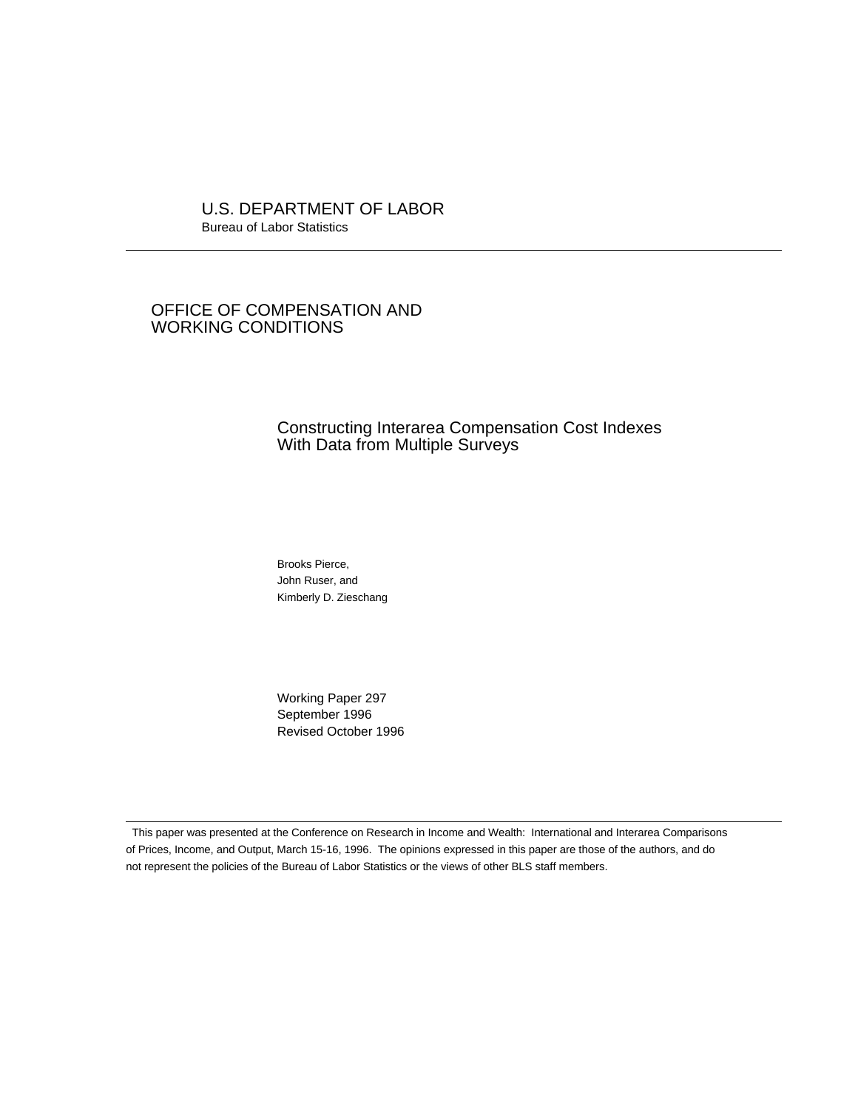#### U.S. DEPARTMENT OF LABOR Bureau of Labor Statistics

#### OFFICE OF COMPENSATION AND WORKING CONDITIONS

 $\overline{a}$ 

 $\overline{a}$ 

#### Constructing Interarea Compensation Cost Indexes With Data from Multiple Surveys

Brooks Pierce, John Ruser, and Kimberly D. Zieschang

Working Paper 297 September 1996 Revised October 1996

 This paper was presented at the Conference on Research in Income and Wealth: International and Interarea Comparisons of Prices, Income, and Output, March 15-16, 1996. The opinions expressed in this paper are those of the authors, and do not represent the policies of the Bureau of Labor Statistics or the views of other BLS staff members.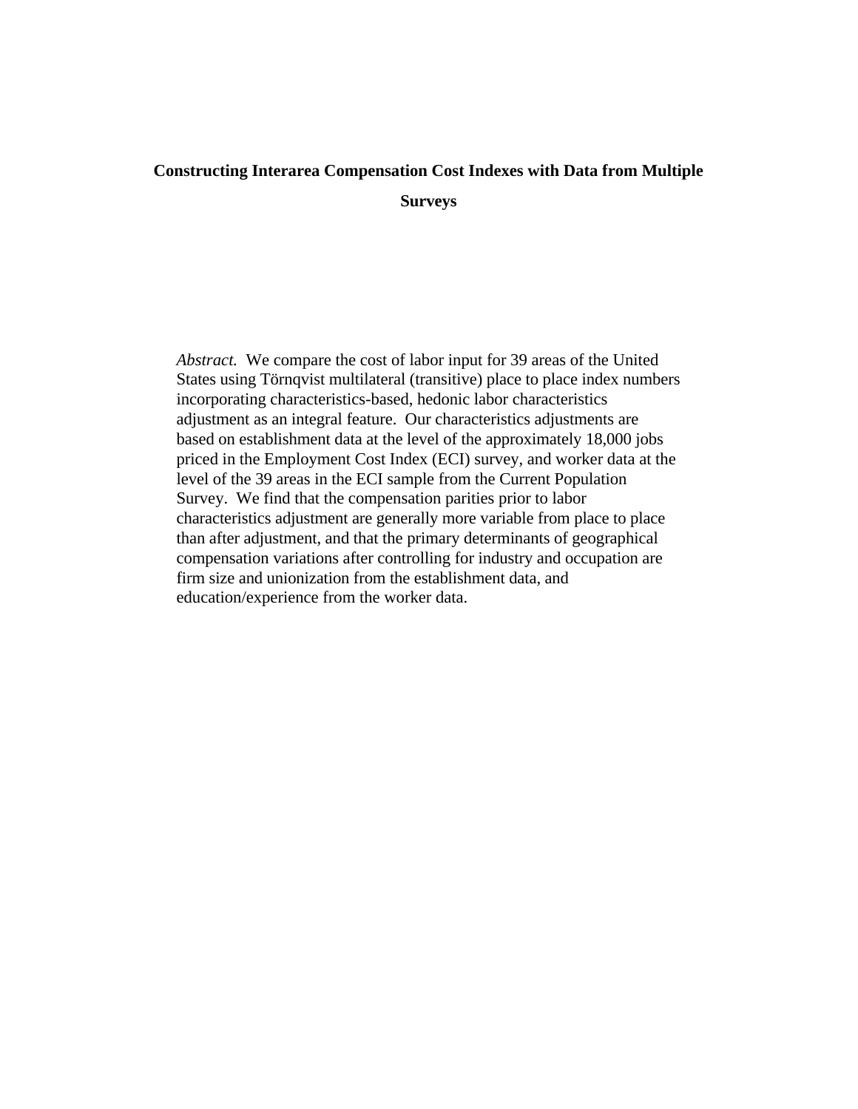# **Constructing Interarea Compensation Cost Indexes with Data from Multiple Surveys**

*Abstract.* We compare the cost of labor input for 39 areas of the United States using Törnqvist multilateral (transitive) place to place index numbers incorporating characteristics-based, hedonic labor characteristics adjustment as an integral feature. Our characteristics adjustments are based on establishment data at the level of the approximately 18,000 jobs priced in the Employment Cost Index (ECI) survey, and worker data at the level of the 39 areas in the ECI sample from the Current Population Survey. We find that the compensation parities prior to labor characteristics adjustment are generally more variable from place to place than after adjustment, and that the primary determinants of geographical compensation variations after controlling for industry and occupation are firm size and unionization from the establishment data, and education/experience from the worker data.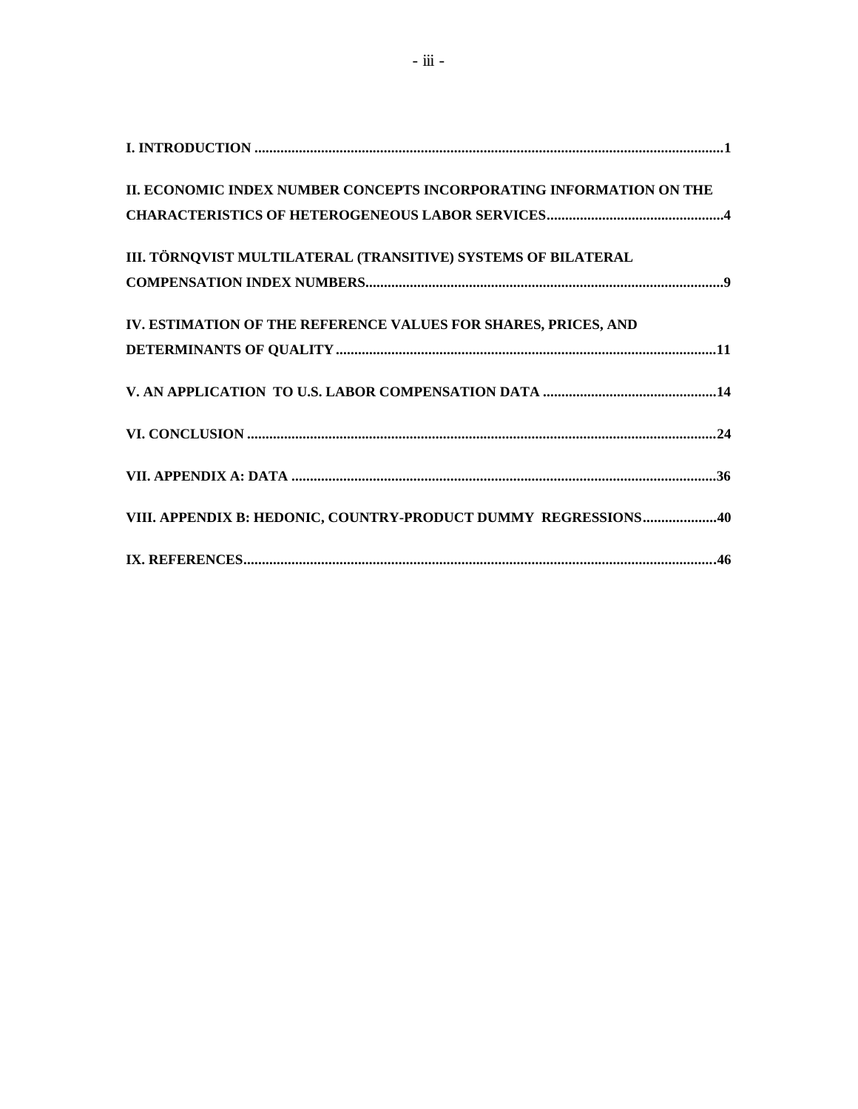| II. ECONOMIC INDEX NUMBER CONCEPTS INCORPORATING INFORMATION ON THE |
|---------------------------------------------------------------------|
|                                                                     |
| III. TÖRNQVIST MULTILATERAL (TRANSITIVE) SYSTEMS OF BILATERAL       |
|                                                                     |
| IV. ESTIMATION OF THE REFERENCE VALUES FOR SHARES, PRICES, AND      |
|                                                                     |
|                                                                     |
|                                                                     |
|                                                                     |
| VIII. APPENDIX B: HEDONIC, COUNTRY-PRODUCT DUMMY REGRESSIONS40      |
|                                                                     |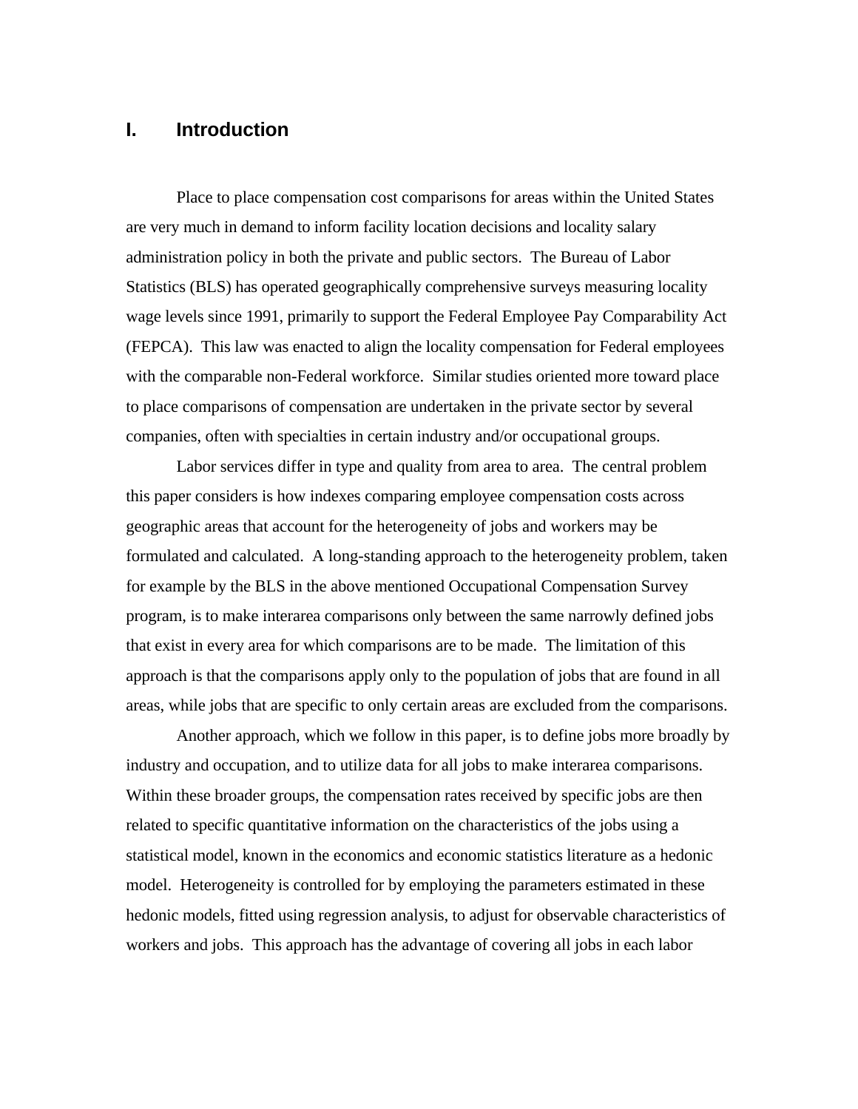## **I. Introduction**

Place to place compensation cost comparisons for areas within the United States are very much in demand to inform facility location decisions and locality salary administration policy in both the private and public sectors. The Bureau of Labor Statistics (BLS) has operated geographically comprehensive surveys measuring locality wage levels since 1991, primarily to support the Federal Employee Pay Comparability Act (FEPCA). This law was enacted to align the locality compensation for Federal employees with the comparable non-Federal workforce. Similar studies oriented more toward place to place comparisons of compensation are undertaken in the private sector by several companies, often with specialties in certain industry and/or occupational groups.

Labor services differ in type and quality from area to area. The central problem this paper considers is how indexes comparing employee compensation costs across geographic areas that account for the heterogeneity of jobs and workers may be formulated and calculated. A long-standing approach to the heterogeneity problem, taken for example by the BLS in the above mentioned Occupational Compensation Survey program, is to make interarea comparisons only between the same narrowly defined jobs that exist in every area for which comparisons are to be made. The limitation of this approach is that the comparisons apply only to the population of jobs that are found in all areas, while jobs that are specific to only certain areas are excluded from the comparisons.

Another approach, which we follow in this paper, is to define jobs more broadly by industry and occupation, and to utilize data for all jobs to make interarea comparisons. Within these broader groups, the compensation rates received by specific jobs are then related to specific quantitative information on the characteristics of the jobs using a statistical model, known in the economics and economic statistics literature as a hedonic model. Heterogeneity is controlled for by employing the parameters estimated in these hedonic models, fitted using regression analysis, to adjust for observable characteristics of workers and jobs. This approach has the advantage of covering all jobs in each labor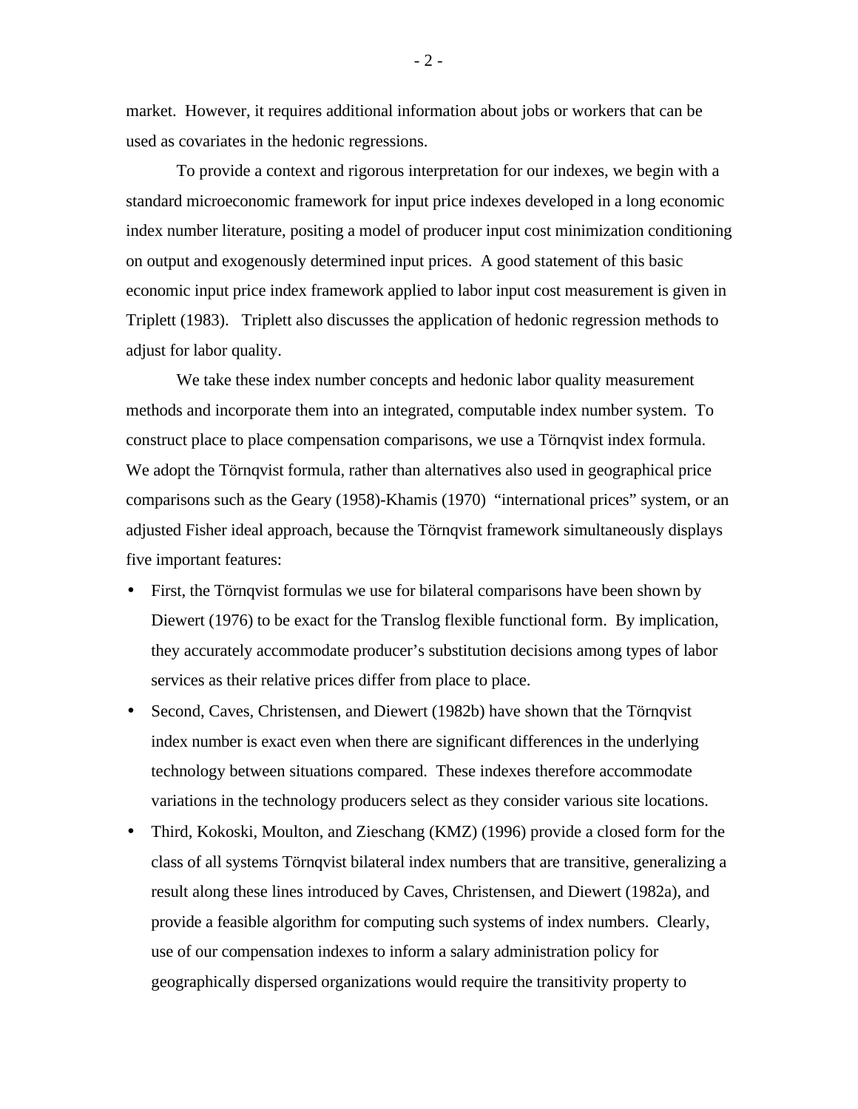market. However, it requires additional information about jobs or workers that can be used as covariates in the hedonic regressions.

To provide a context and rigorous interpretation for our indexes, we begin with a standard microeconomic framework for input price indexes developed in a long economic index number literature, positing a model of producer input cost minimization conditioning on output and exogenously determined input prices. A good statement of this basic economic input price index framework applied to labor input cost measurement is given in Triplett (1983). Triplett also discusses the application of hedonic regression methods to adjust for labor quality.

We take these index number concepts and hedonic labor quality measurement methods and incorporate them into an integrated, computable index number system. To construct place to place compensation comparisons, we use a Törnqvist index formula. We adopt the Törnqvist formula, rather than alternatives also used in geographical price comparisons such as the Geary (1958)-Khamis (1970) "international prices" system, or an adjusted Fisher ideal approach, because the Törnqvist framework simultaneously displays five important features:

- First, the Törnqvist formulas we use for bilateral comparisons have been shown by Diewert (1976) to be exact for the Translog flexible functional form. By implication, they accurately accommodate producer's substitution decisions among types of labor services as their relative prices differ from place to place.
- Second, Caves, Christensen, and Diewert (1982b) have shown that the Törnqvist index number is exact even when there are significant differences in the underlying technology between situations compared. These indexes therefore accommodate variations in the technology producers select as they consider various site locations.
- Third, Kokoski, Moulton, and Zieschang (KMZ) (1996) provide a closed form for the class of all systems Törnqvist bilateral index numbers that are transitive, generalizing a result along these lines introduced by Caves, Christensen, and Diewert (1982a), and provide a feasible algorithm for computing such systems of index numbers. Clearly, use of our compensation indexes to inform a salary administration policy for geographically dispersed organizations would require the transitivity property to

- 2 -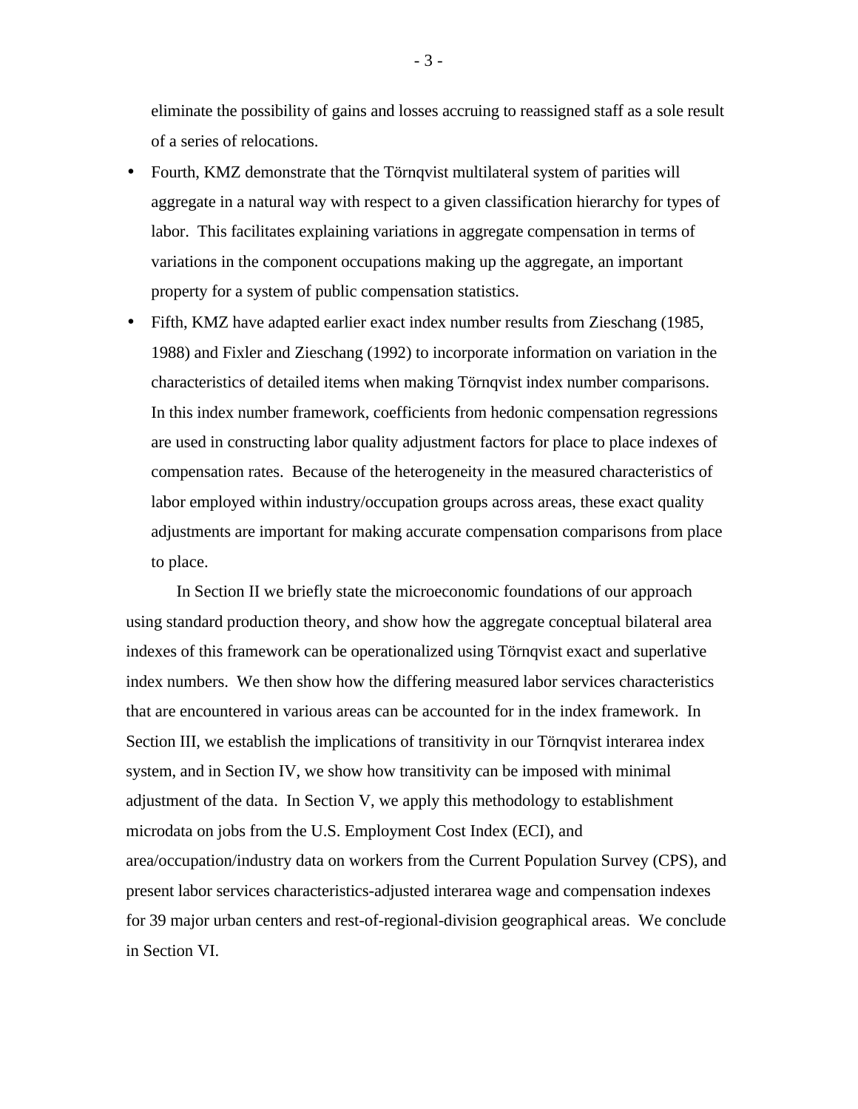eliminate the possibility of gains and losses accruing to reassigned staff as a sole result of a series of relocations.

- Fourth, KMZ demonstrate that the Törnqvist multilateral system of parities will aggregate in a natural way with respect to a given classification hierarchy for types of labor. This facilitates explaining variations in aggregate compensation in terms of variations in the component occupations making up the aggregate, an important property for a system of public compensation statistics.
- Fifth, KMZ have adapted earlier exact index number results from Zieschang (1985, 1988) and Fixler and Zieschang (1992) to incorporate information on variation in the characteristics of detailed items when making Törnqvist index number comparisons. In this index number framework, coefficients from hedonic compensation regressions are used in constructing labor quality adjustment factors for place to place indexes of compensation rates. Because of the heterogeneity in the measured characteristics of labor employed within industry/occupation groups across areas, these exact quality adjustments are important for making accurate compensation comparisons from place to place.

In Section II we briefly state the microeconomic foundations of our approach using standard production theory, and show how the aggregate conceptual bilateral area indexes of this framework can be operationalized using Törnqvist exact and superlative index numbers. We then show how the differing measured labor services characteristics that are encountered in various areas can be accounted for in the index framework. In Section III, we establish the implications of transitivity in our Törnqvist interarea index system, and in Section IV, we show how transitivity can be imposed with minimal adjustment of the data. In Section V, we apply this methodology to establishment microdata on jobs from the U.S. Employment Cost Index (ECI), and area/occupation/industry data on workers from the Current Population Survey (CPS), and present labor services characteristics-adjusted interarea wage and compensation indexes for 39 major urban centers and rest-of-regional-division geographical areas. We conclude in Section VI.

- 3 -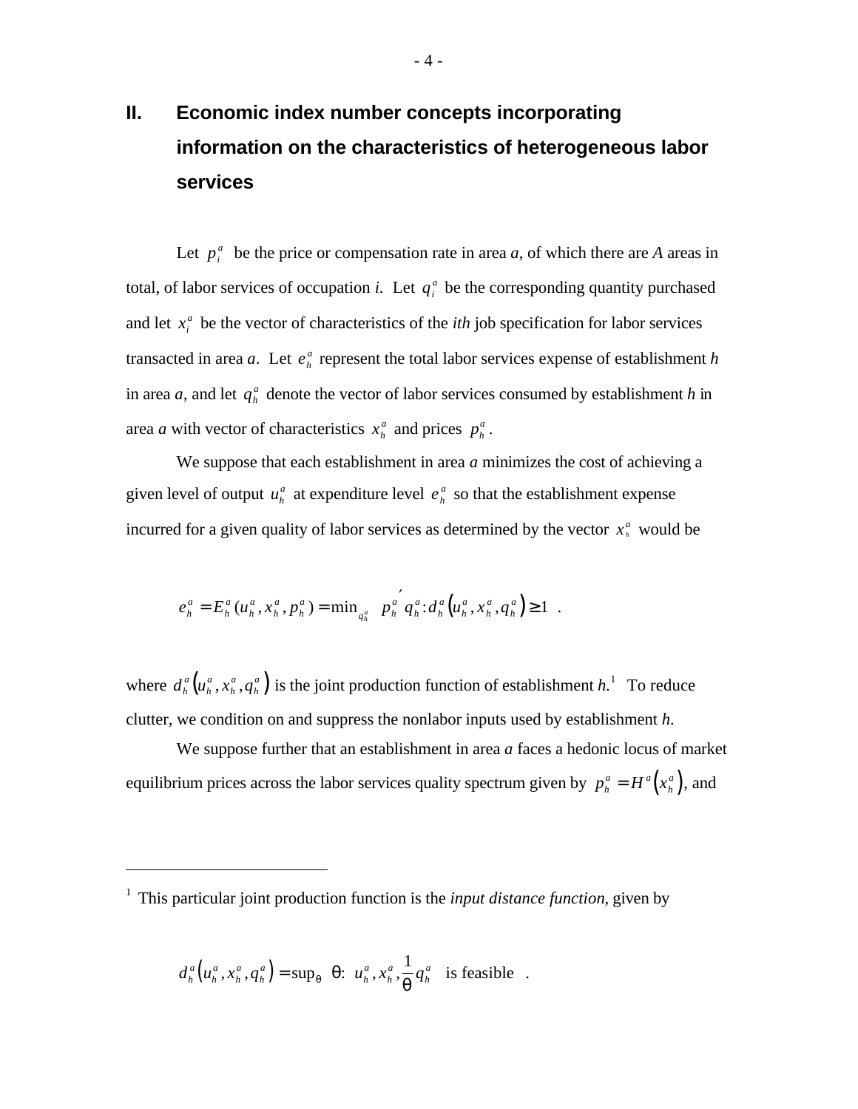# **II. Economic index number concepts incorporating information on the characteristics of heterogeneous labor services**

Let  $p_i^a$  be the price or compensation rate in area *a*, of which there are *A* areas in total, of labor services of occupation *i*. Let  $q_i^a$  be the corresponding quantity purchased and let  $x_i^a$  be the vector of characteristics of the *ith* job specification for labor services transacted in area *a*. Let  $e_h^a$  represent the total labor services expense of establishment *h* in area *a*, and let  $q_h^a$  denote the vector of labor services consumed by establishment *h* in area *a* with vector of characteristics  $x_h^a$  and prices  $p_h^a$ .

We suppose that each establishment in area *a* minimizes the cost of achieving a given level of output  $u_h^a$  at expenditure level  $e_h^a$  so that the establishment expense incurred for a given quality of labor services as determined by the vector  $x<sub>n</sub><sup>a</sup>$  would be

$$
e_h^a = E_h^a(u_h^a, x_h^a, p_h^a) = \min_{q_h^a} \left\{ p_h^{a'} q_h^{a} : d_h^a(u_h^a, x_h^a, q_h^a) \ge 1 \right\}.
$$

where  $d_h^a(u_h^a, x_h^a, q_h^a)$ *a h a*  $h, x_h^a, q_h^a$  is the joint production function of establishment  $h$ <sup>1</sup> To reduce clutter, we condition on and suppress the nonlabor inputs used by establishment *h.*

We suppose further that an establishment in area *a* faces a hedonic locus of market equilibrium prices across the labor services quality spectrum given by  $p_h^a = H^a(x_h^a)$ , and

$$
d_h^a\left(u_h^a, x_h^a, q_h^a\right) = \sup_{\theta} \left\{\theta: \left(u_h^a, x_h^a, \frac{1}{\theta} q_h^a\right) \text{is feasible}\right\}.
$$

 $\overline{a}$ 

<sup>1</sup> This particular joint production function is the *input distance function*, given by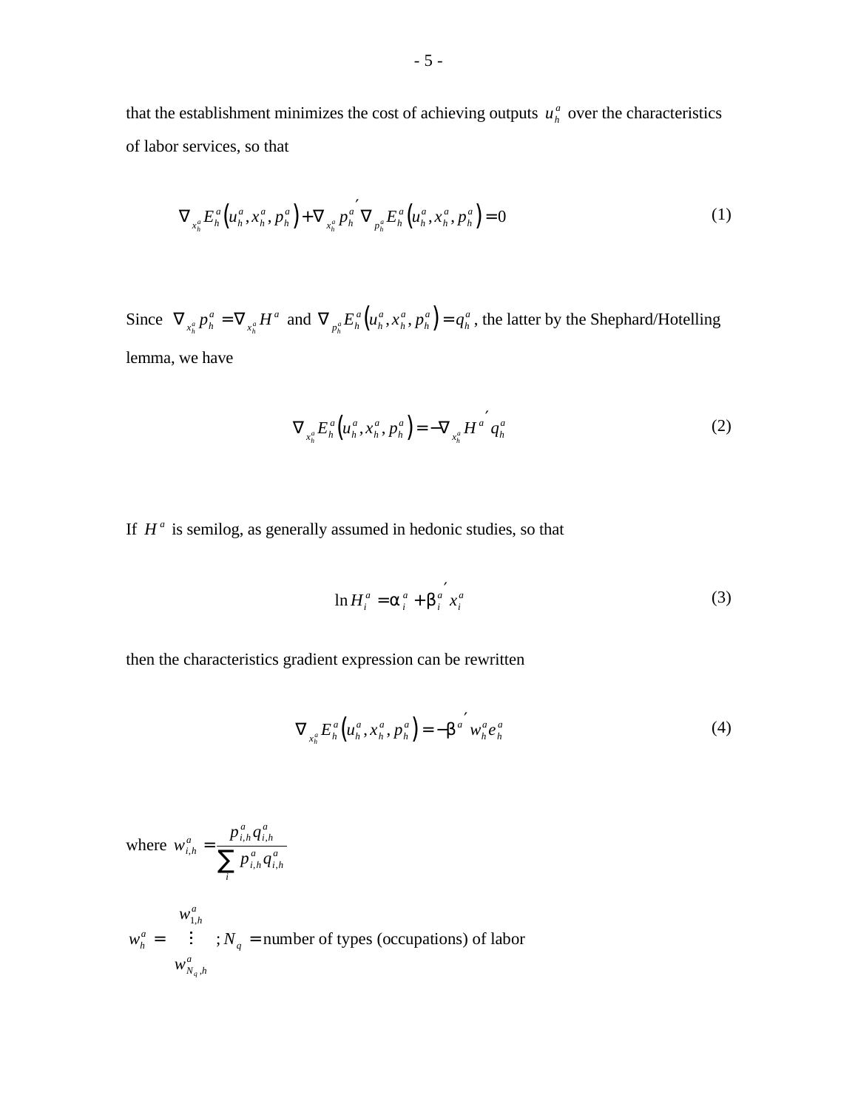that the establishment minimizes the cost of achieving outputs  $u_h^a$  over the characteristics of labor services, so that

$$
\nabla_{x_h^a} E_h^a \left( u_h^a, x_h^a, p_h^a \right) + \nabla_{x_h^a} p_h^{a'} \nabla_{p_h^a} E_h^a \left( u_h^a, x_h^a, p_h^a \right) = 0 \tag{1}
$$

Since  $\nabla_{x_h^a} p_h^a = \nabla$ *x a*  $\sum_{a}^{a} P_{h}^{a} = \nabla_{x_{h}^{a}} H^{a}$  and  $\nabla_{p_{h}^{a}} E_{h}^{a} (u_{h}^{a}, x_{h}^{a}, p_{h}^{a}) =$ *a h a h a h a*  $a_{\mu}^a E_h^a(u_{\mu}^a, x_{\mu}^a, p_{\mu}^a) = q_{\mu}^a$ , the latter by the Shephard/Hotelling lemma, we have

$$
\nabla_{x_h^a} E_h^a \Big( u_h^a, x_h^a, p_h^a \Big) = - \nabla_{x_h^a} H^{a'} q_h^a \tag{2}
$$

If  $H^a$  is semilog, as generally assumed in hedonic studies, so that

$$
\ln H_i^a = \alpha_i^a + \beta_i^a x_i^a \tag{3}
$$

then the characteristics gradient expression can be rewritten

$$
\nabla_{x_h^a} E_h^a \Big( u_h^a, x_h^a, p_h^a \Big) = -\beta^{a'} w_h^a e_h^a \tag{4}
$$

where 
$$
w_{i,h}^{a} = \frac{p_{i,h}^{a} q_{i,h}^{a}}{\sum_{i} p_{i,h}^{a} q_{i,h}^{a}}
$$

$$
w_{h}^{a} = \begin{bmatrix} w_{1,h}^{a} \\ \vdots \\ w_{N_q,h}^{a} \end{bmatrix}; N_q = \text{number of types (occupations) of labor}
$$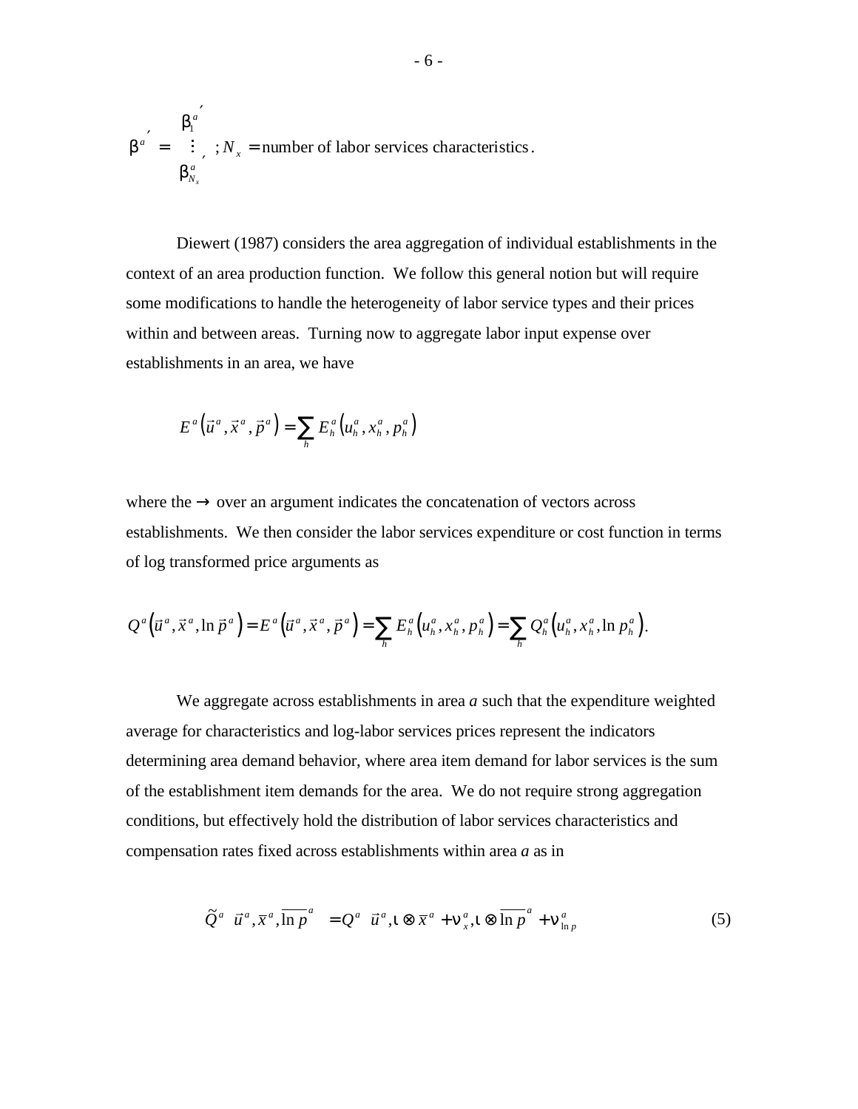$$
\beta^{a'} = \begin{bmatrix} \beta_1^{a'} \\ \vdots \\ \beta_{N_x}^{a'} \end{bmatrix}; N_x = \text{number of labor services characteristics.}
$$

Diewert (1987) considers the area aggregation of individual establishments in the context of an area production function. We follow this general notion but will require some modifications to handle the heterogeneity of labor service types and their prices within and between areas. Turning now to aggregate labor input expense over establishments in an area, we have

$$
E^a(\vec{u}^a,\vec{x}^a,\vec{p}^a)=\sum_h E^a_h(u^a_h,x^a_h,p^a_h)
$$

where the  $\rightarrow$  over an argument indicates the concatenation of vectors across establishments. We then consider the labor services expenditure or cost function in terms of log transformed price arguments as

$$
Q^{a}(\vec{u}^{a}, \vec{x}^{a}, \ln \vec{p}^{a}) = E^{a}(\vec{u}^{a}, \vec{x}^{a}, \vec{p}^{a}) = \sum_{h} E_{h}^{a}(u_{h}^{a}, x_{h}^{a}, p_{h}^{a}) = \sum_{h} Q_{h}^{a}(u_{h}^{a}, x_{h}^{a}, \ln p_{h}^{a}).
$$

We aggregate across establishments in area *a* such that the expenditure weighted average for characteristics and log-labor services prices represent the indicators determining area demand behavior, where area item demand for labor services is the sum of the establishment item demands for the area. We do not require strong aggregation conditions, but effectively hold the distribution of labor services characteristics and compensation rates fixed across establishments within area *a* as in

$$
\widetilde{Q}^{a}\left(\vec{u}^{a}, \overline{x}^{a}, \overline{\ln p}^{a}\right) = Q^{a}\left(\vec{u}^{a}, \mathfrak{t} \otimes \overline{x}^{a} + \mathfrak{v}_{x}^{a}, \mathfrak{t} \otimes \overline{\ln p}^{a} + \mathfrak{v}_{\ln p}^{a}\right)
$$
\n(5)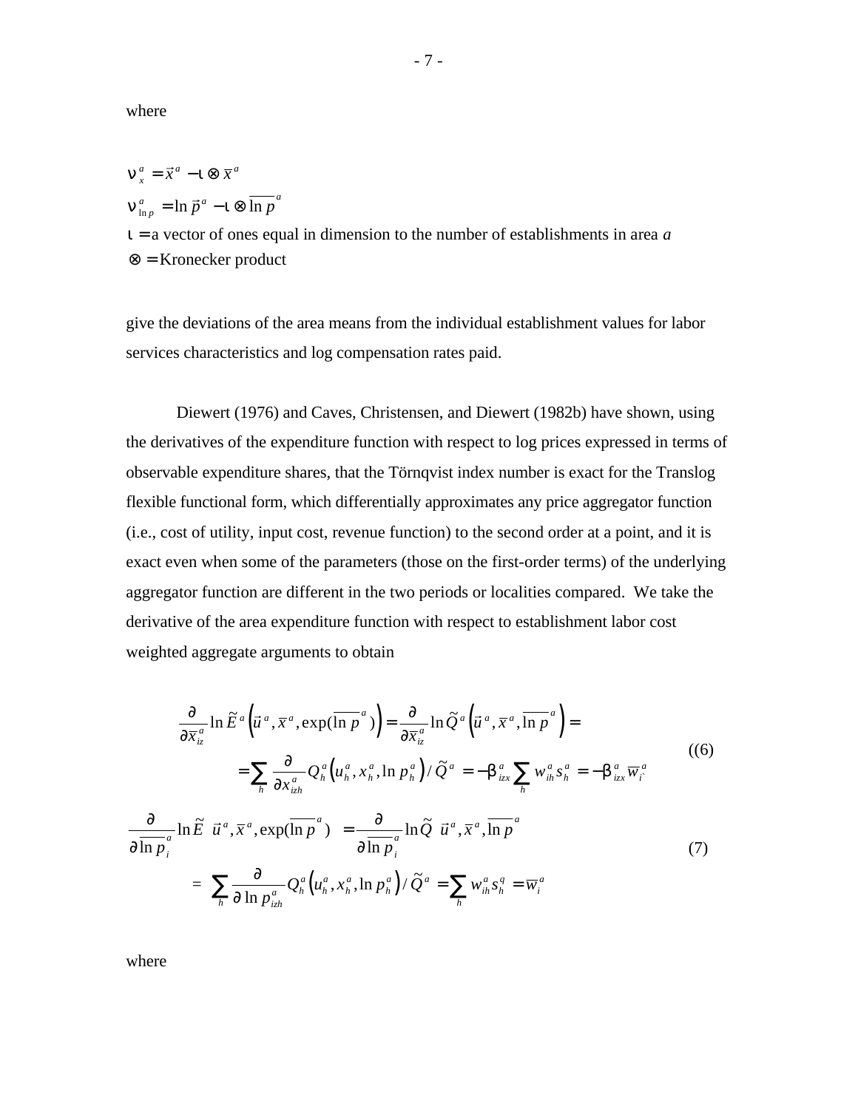where

$$
\mathbf{v}_x^a = \vec{x}^a - \mathbf{1} \otimes \vec{x}^a
$$

$$
\mathbf{v}_{\ln p}^a = \ln \vec{p}^a - \mathbf{1} \otimes \overline{\ln p}^a
$$

 $\overline{a}$ 

 $t = a$  vector of ones equal in dimension to the number of establishments in area  $a$ ⊗ = Kronecker product

give the deviations of the area means from the individual establishment values for labor services characteristics and log compensation rates paid.

Diewert (1976) and Caves, Christensen, and Diewert (1982b) have shown, using the derivatives of the expenditure function with respect to log prices expressed in terms of observable expenditure shares, that the Törnqvist index number is exact for the Translog flexible functional form, which differentially approximates any price aggregator function (i.e., cost of utility, input cost, revenue function) to the second order at a point, and it is exact even when some of the parameters (those on the first-order terms) of the underlying aggregator function are different in the two periods or localities compared. We take the derivative of the area expenditure function with respect to establishment labor cost weighted aggregate arguments to obtain

$$
\frac{\partial}{\partial \overline{x}_{iz}^{a}} \ln \widetilde{E}^{a} \left( \vec{u}^{a}, \overline{x}^{a}, \exp(\overline{\ln p}^{a}) \right) = \frac{\partial}{\partial \overline{x}_{iz}^{a}} \ln \widetilde{Q}^{a} \left( \vec{u}^{a}, \overline{x}^{a}, \overline{\ln p}^{a} \right) =
$$
\n
$$
= \sum_{h} \frac{\partial}{\partial x_{izh}^{a}} Q_{h}^{a} \left( u_{h}^{a}, x_{h}^{a}, \ln p_{h}^{a} \right) / \widetilde{Q}^{a} = -\beta_{izx}^{a} \sum_{h} w_{ih}^{a} s_{h}^{a} = -\beta_{izx}^{a} \overline{w}_{i}^{a}
$$
\n
$$
\frac{\partial}{\partial \overline{\ln p}_{i}^{a}} \ln \widetilde{E} \left( \vec{u}^{a}, \overline{x}^{a}, \exp(\overline{\ln p}^{a}) \right) = \frac{\partial}{\partial \overline{\ln p}_{i}^{a}} \ln \widetilde{Q} \left( \vec{u}^{a}, \overline{x}^{a}, \overline{\ln p}^{a} \right)
$$
\n(7)

$$
= \sum_{h} \frac{\partial}{\partial \ln p_{i\sigma h}^a} Q_h^a(u_h^a, x_h^a, \ln p_h^a) / \tilde{Q}^a = \sum_{h} w_{ih}^a s_h^a = \overline{w}_i^a
$$

where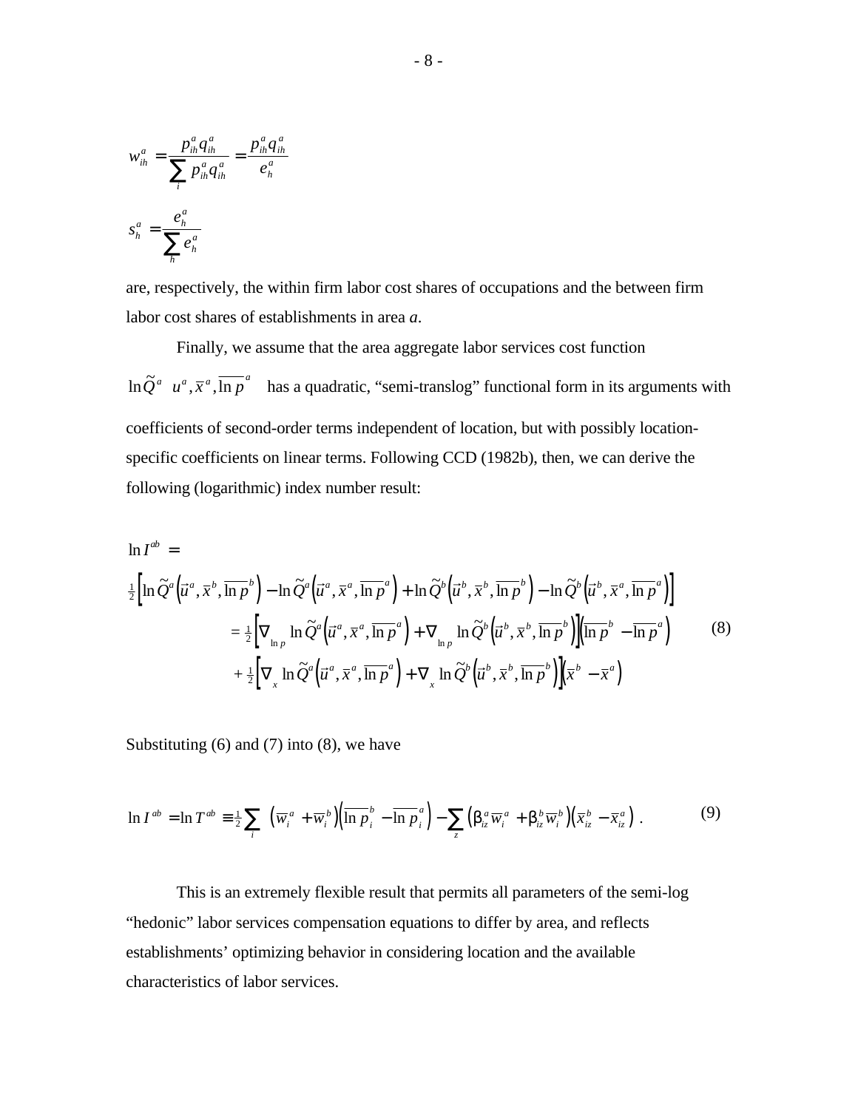$$
w_{ih}^{a} = \frac{p_{ih}^{a}q_{ih}^{a}}{\sum_{i} p_{ih}^{a}q_{ih}^{a}} = \frac{p_{ih}^{a}q_{ih}^{a}}{e_{h}^{a}}
$$

$$
s_{h}^{a} = \frac{e_{h}^{a}}{\sum_{h} e_{h}^{a}}
$$

are, respectively, the within firm labor cost shares of occupations and the between firm labor cost shares of establishments in area *a*.

Finally, we assume that the area aggregate labor services cost function  $\ln \tilde{Q}^a\left(u^a,\overline{x}^a,\overline{\ln p}^a\right)$  has a quadratic, "semi-translog" functional form in its arguments with coefficients of second-order terms independent of location, but with possibly locationspecific coefficients on linear terms. Following CCD (1982b), then, we can derive the following (logarithmic) index number result:

$$
\ln I^{ab} =
$$
\n
$$
\frac{1}{2} \Big[ \ln \widetilde{Q}^{a} \Big( \vec{u}^{a}, \vec{x}^{b}, \overline{\ln p}^{b} \Big) - \ln \widetilde{Q}^{a} \Big( \vec{u}^{a}, \vec{x}^{a}, \overline{\ln p}^{a} \Big) + \ln \widetilde{Q}^{b} \Big( \vec{u}^{b}, \vec{x}^{b}, \overline{\ln p}^{b} \Big) - \ln \widetilde{Q}^{b} \Big( \vec{u}^{b}, \vec{x}^{a}, \overline{\ln p}^{a} \Big) \Big]
$$
\n
$$
= \frac{1}{2} \Big[ \nabla_{\ln p} \ln \widetilde{Q}^{a} \Big( \vec{u}^{a}, \vec{x}^{a}, \overline{\ln p}^{a} \Big) + \nabla_{\ln p} \ln \widetilde{Q}^{b} \Big( \vec{u}^{b}, \vec{x}^{b}, \overline{\ln p}^{b} \Big) \Big] \Big( \overline{\ln p}^{b} - \overline{\ln p}^{a} \Big)
$$
\n
$$
+ \frac{1}{2} \Big[ \nabla_{x} \ln \widetilde{Q}^{a} \Big( \vec{u}^{a}, \vec{x}^{a}, \overline{\ln p}^{a} \Big) + \nabla_{x} \ln \widetilde{Q}^{b} \Big( \vec{u}^{b}, \vec{x}^{b}, \overline{\ln p}^{b} \Big) \Big] \Big( \overline{x}^{b} - \overline{x}^{a} \Big)
$$
\n(8)

Substituting  $(6)$  and  $(7)$  into  $(8)$ , we have

$$
\ln I^{ab} = \ln T^{ab} \equiv \frac{1}{2} \sum_{i} \left[ \left( \overline{w}_{i}^{a} + \overline{w}_{i}^{b} \right) \left( \overline{\ln p}_{i}^{b} - \overline{\ln p}_{i}^{a} \right) - \sum_{z} \left( \beta_{iz}^{a} \overline{w}_{i}^{a} + \beta_{iz}^{b} \overline{w}_{i}^{b} \right) \left( \overline{x}_{iz}^{b} - \overline{x}_{iz}^{a} \right) \right]. \tag{9}
$$

This is an extremely flexible result that permits all parameters of the semi-log "hedonic" labor services compensation equations to differ by area, and reflects establishments' optimizing behavior in considering location and the available characteristics of labor services.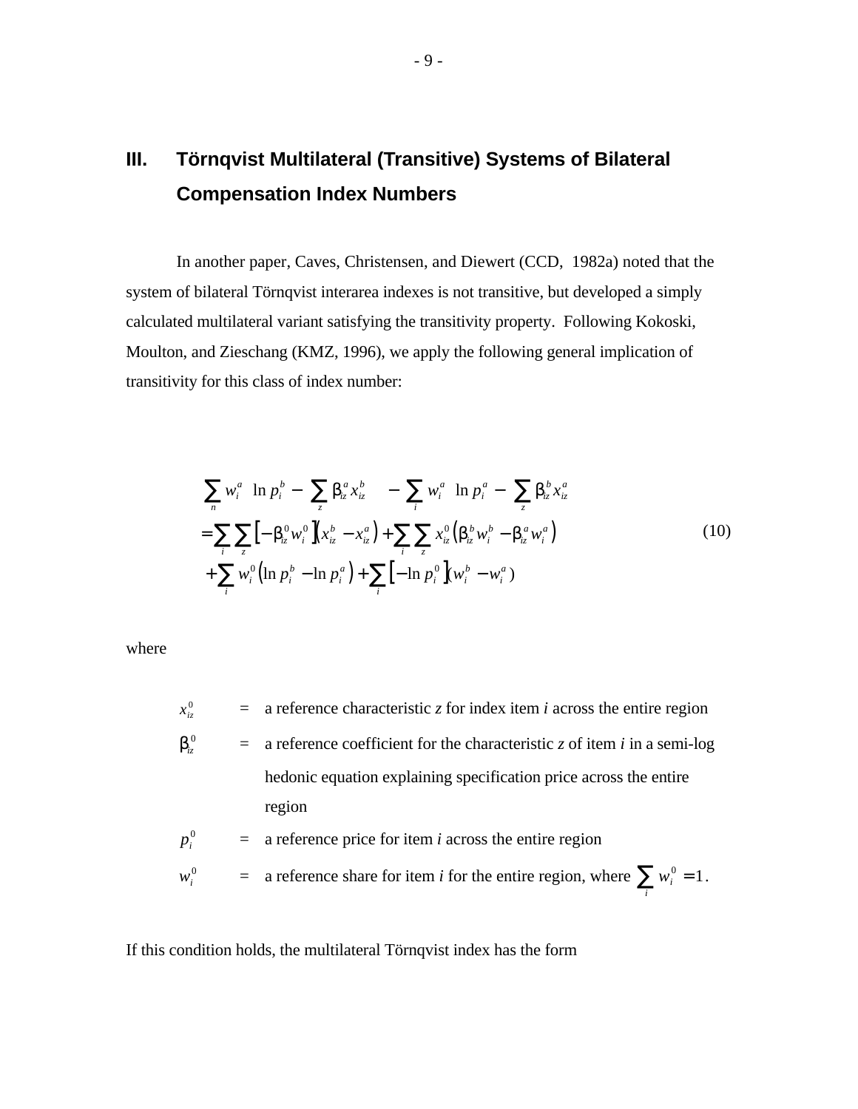# **III. Törnqvist Multilateral (Transitive) Systems of Bilateral Compensation Index Numbers**

In another paper, Caves, Christensen, and Diewert (CCD, 1982a) noted that the system of bilateral Törnqvist interarea indexes is not transitive, but developed a simply calculated multilateral variant satisfying the transitivity property. Following Kokoski, Moulton, and Zieschang (KMZ, 1996), we apply the following general implication of transitivity for this class of index number:

$$
\sum_{n} w_{i}^{a} \left( \ln p_{i}^{b} - \left( \sum_{z} \beta_{iz}^{a} x_{iz}^{b} \right) \right) - \left[ \sum_{i} w_{i}^{a} \left( \ln p_{i}^{a} - \left( \sum_{z} \beta_{iz}^{b} x_{iz}^{a} \right) \right) \right]
$$
\n
$$
= \sum_{i} \sum_{z} \left[ -\beta_{iz}^{0} w_{i}^{0} \right] \left( x_{iz}^{b} - x_{iz}^{a} \right) + \sum_{i} \sum_{z} x_{iz}^{0} \left( \beta_{iz}^{b} w_{i}^{b} - \beta_{iz}^{a} w_{i}^{a} \right)
$$
\n
$$
+ \sum_{i} w_{i}^{0} \left( \ln p_{i}^{b} - \ln p_{i}^{a} \right) + \sum_{i} \left[ -\ln p_{i}^{0} \right] \left( w_{i}^{b} - w_{i}^{a} \right)
$$
\n(10)

where

- $x_i^0$  $\equiv$  a reference characteristic *z* for index item *i* across the entire region
- $\beta_{iz}^{\,0}$  $=$  a reference coefficient for the characteristic *z* of item *i* in a semi-log hedonic equation explaining specification price across the entire region

$$
p_i^0
$$
 = a reference price for item *i* across the entire region  
\n $w_i^0$  = a reference share for item *i* for the entire region, where  $\sum_i w_i^0 = 1$ .

If this condition holds, the multilateral Törnqvist index has the form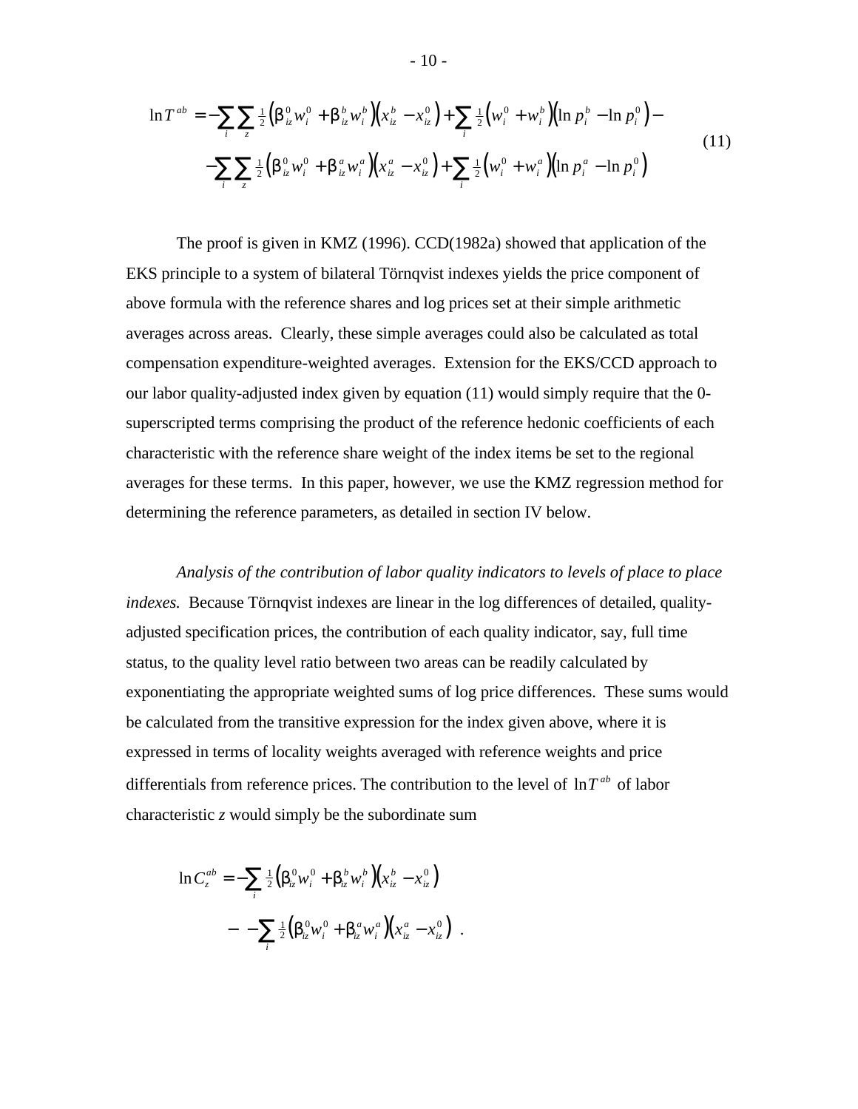$$
\ln T^{ab} = -\sum_{i} \sum_{z} \frac{1}{2} \left( \beta^{0}_{iz} w^{0}_{i} + \beta^{b}_{iz} w^{b}_{i} \right) \left( x^{b}_{iz} - x^{0}_{iz} \right) + \sum_{i} \frac{1}{2} \left( w^{0}_{i} + w^{b}_{i} \right) \left( \ln p^{b}_{i} - \ln p^{0}_{i} \right) -
$$
\n
$$
\left[ -\sum_{i} \sum_{z} \frac{1}{2} \left( \beta^{0}_{iz} w^{0}_{i} + \beta^{a}_{iz} w^{a}_{i} \right) \left( x^{a}_{iz} - x^{0}_{iz} \right) + \sum_{i} \frac{1}{2} \left( w^{0}_{i} + w^{a}_{i} \right) \left( \ln p^{a}_{i} - \ln p^{0}_{i} \right) \right]
$$
\n(11)

The proof is given in KMZ (1996). CCD(1982a) showed that application of the EKS principle to a system of bilateral Törnqvist indexes yields the price component of above formula with the reference shares and log prices set at their simple arithmetic averages across areas. Clearly, these simple averages could also be calculated as total compensation expenditure-weighted averages. Extension for the EKS/CCD approach to our labor quality-adjusted index given by equation (11) would simply require that the 0 superscripted terms comprising the product of the reference hedonic coefficients of each characteristic with the reference share weight of the index items be set to the regional averages for these terms. In this paper, however, we use the KMZ regression method for determining the reference parameters, as detailed in section IV below.

*Analysis of the contribution of labor quality indicators to levels of place to place indexes.* Because Törnqvist indexes are linear in the log differences of detailed, qualityadjusted specification prices, the contribution of each quality indicator, say, full time status, to the quality level ratio between two areas can be readily calculated by exponentiating the appropriate weighted sums of log price differences. These sums would be calculated from the transitive expression for the index given above, where it is expressed in terms of locality weights averaged with reference weights and price differentials from reference prices. The contribution to the level of  $\ln T^{ab}$  of labor characteristic *z* would simply be the subordinate sum

$$
\ln C_z^{ab} = -\sum_i \frac{1}{2} \Big( \beta_{iz}^0 w_i^0 + \beta_{iz}^b w_i^b \Big) \Big( x_{iz}^b - x_{iz}^0 \Big) - \Bigg[ -\sum_i \frac{1}{2} \Big( \beta_{iz}^0 w_i^0 + \beta_{iz}^a w_i^a \Big) \Big( x_{iz}^a - x_{iz}^0 \Big) \Bigg].
$$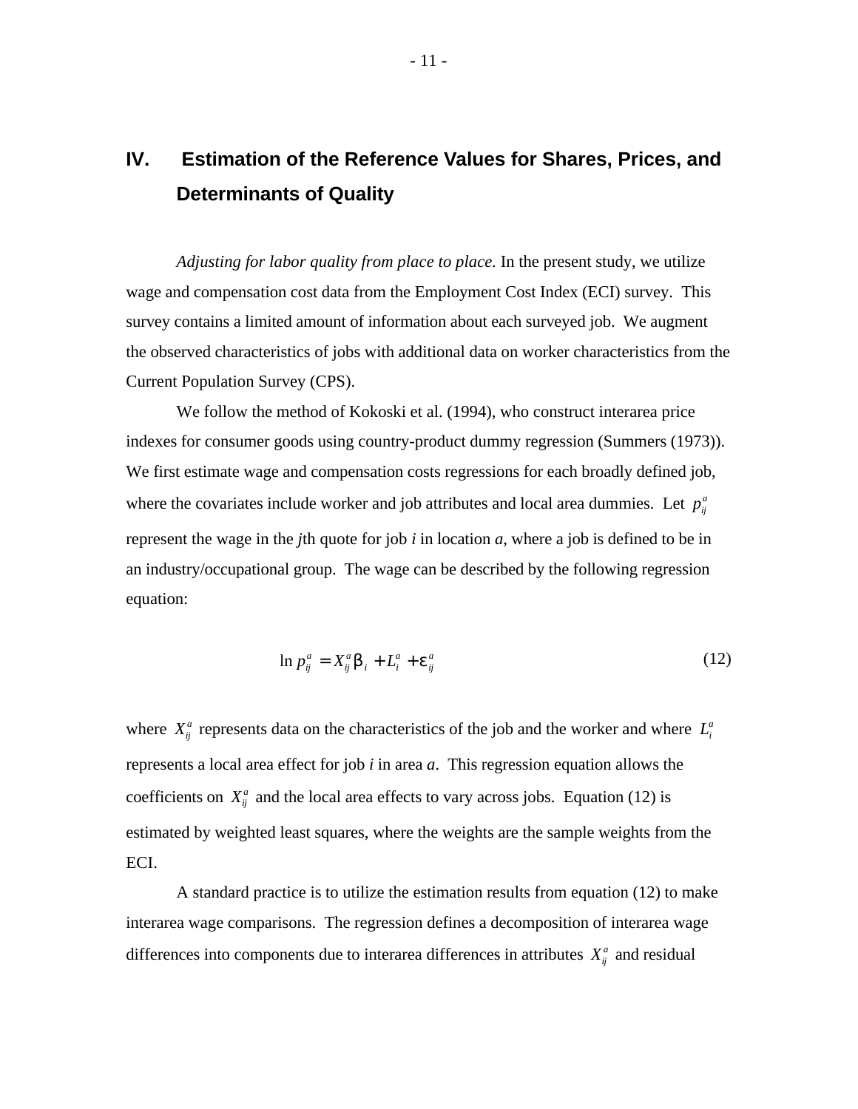# **IV. Estimation of the Reference Values for Shares, Prices, and Determinants of Quality**

*Adjusting for labor quality from place to place.* In the present study, we utilize wage and compensation cost data from the Employment Cost Index (ECI) survey. This survey contains a limited amount of information about each surveyed job. We augment the observed characteristics of jobs with additional data on worker characteristics from the Current Population Survey (CPS).

We follow the method of Kokoski et al. (1994), who construct interarea price indexes for consumer goods using country-product dummy regression (Summers (1973)). We first estimate wage and compensation costs regressions for each broadly defined job, where the covariates include worker and job attributes and local area dummies. Let  $p_{ij}^a$ represent the wage in the *j*th quote for job *i* in location *a*, where a job is defined to be in an industry/occupational group. The wage can be described by the following regression equation:

$$
\ln p_{ij}^a = X_{ij}^a \beta_i + L_i^a + \varepsilon_{ij}^a \tag{12}
$$

where  $X_{ij}^a$  represents data on the characteristics of the job and the worker and where  $L_i^a$ represents a local area effect for job *i* in area *a*. This regression equation allows the coefficients on  $X_{ij}^a$  and the local area effects to vary across jobs. Equation (12) is estimated by weighted least squares, where the weights are the sample weights from the ECI.

A standard practice is to utilize the estimation results from equation (12) to make interarea wage comparisons. The regression defines a decomposition of interarea wage differences into components due to interarea differences in attributes  $X_{ij}^a$  and residual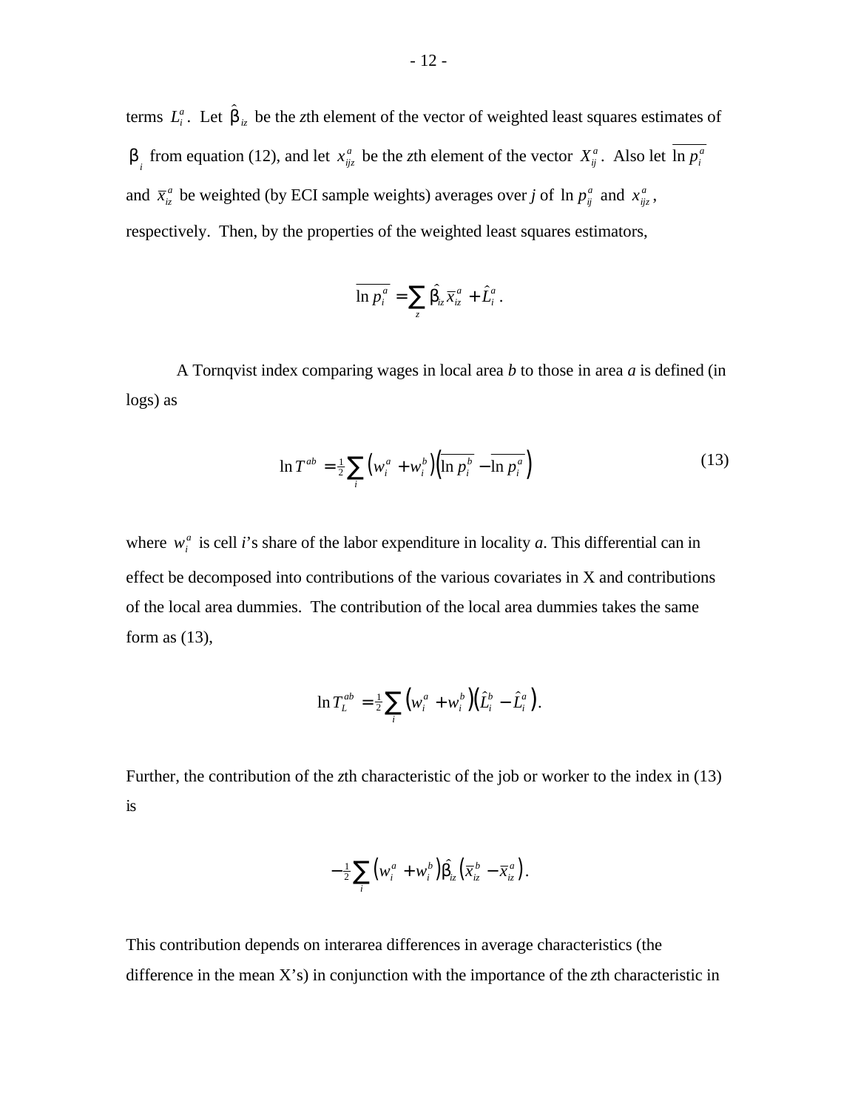terms  $L_i^a$ . Let  $\hat{\beta}_{i\bar{z}}$  be the *z*th element of the vector of weighted least squares estimates of β<sub>*i*</sub> from equation (12), and let  $x_{ijz}^a$  be the *z*th element of the vector  $X_{ij}^a$ . Also let  $\ln p_i^a$ and  $\bar{x}^a_{iz}$  be weighted (by ECI sample weights) averages over *j* of ln  $p^a_{ij}$  and  $x^a_{ijz}$ , respectively. Then, by the properties of the weighted least squares estimators,

$$
\overline{\ln p_i^a} = \sum_z \hat{\beta_{iz}} \overline{x}_{iz}^a + \hat{L}_i^a.
$$

A Tornqvist index comparing wages in local area *b* to those in area *a* is defined (in logs) as

$$
\ln T^{ab} = \frac{1}{2} \sum_{i} \left( w_i^a + w_i^b \right) \left( \ln p_i^b - \overline{\ln p_i^a} \right) \tag{13}
$$

where  $w_i^a$  is cell *i*'s share of the labor expenditure in locality *a*. This differential can in effect be decomposed into contributions of the various covariates in X and contributions of the local area dummies. The contribution of the local area dummies takes the same form as  $(13)$ ,

$$
\ln T_L^{ab} = \frac{1}{2} \sum_i \left( w_i^a + w_i^b \right) \left( \hat{L}_i^b - \hat{L}_i^a \right).
$$

Further, the contribution of the *z*th characteristic of the job or worker to the index in (13) is

$$
-\frac{1}{2}\sum_i \left(w_i^a + w_i^b\right) \hat{\beta_{iz}} \left(\overline{x}_{iz}^b - \overline{x}_{iz}^a\right).
$$

This contribution depends on interarea differences in average characteristics (the difference in the mean X's) in conjunction with the importance of the *z*th characteristic in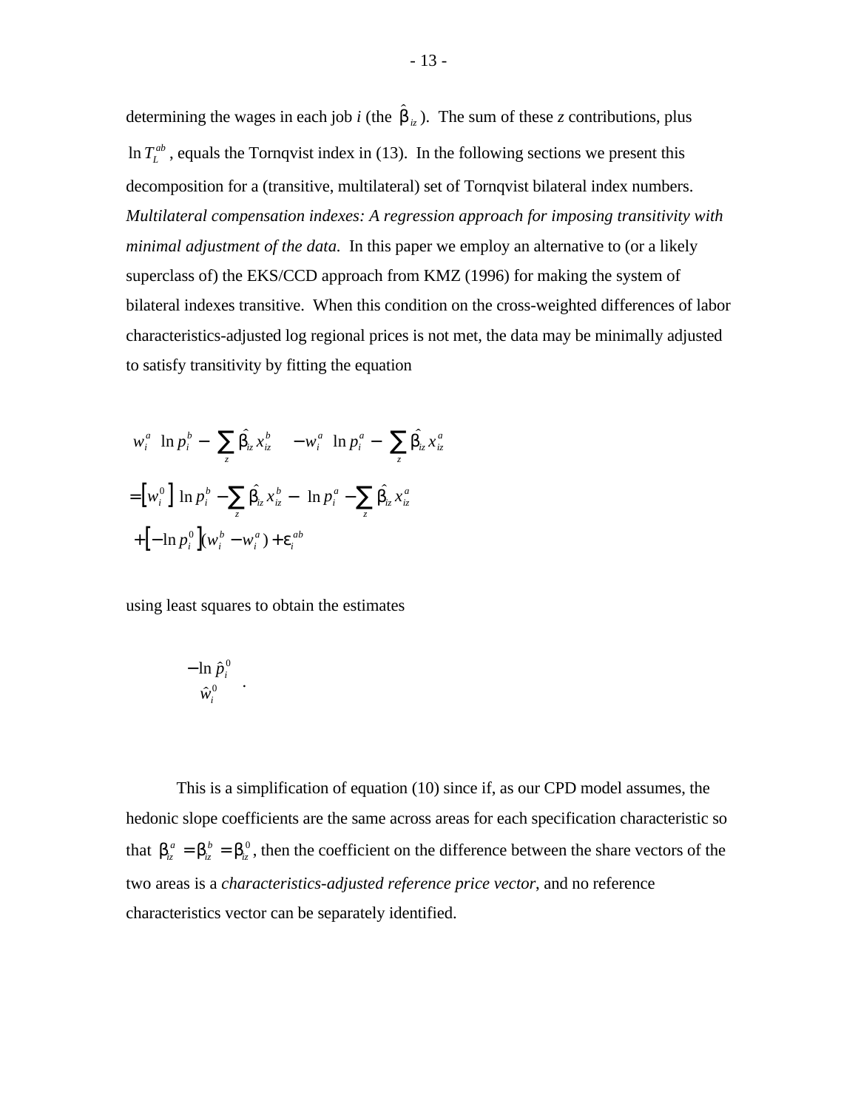determining the wages in each job *i* (the  $\hat{\beta}_k$ ). The sum of these *z* contributions, plus  $\ln T_L^{ab}$ , equals the Tornqvist index in (13). In the following sections we present this decomposition for a (transitive, multilateral) set of Tornqvist bilateral index numbers. *Multilateral compensation indexes: A regression approach for imposing transitivity with minimal adjustment of the data.* In this paper we employ an alternative to (or a likely superclass of) the EKS/CCD approach from KMZ (1996) for making the system of bilateral indexes transitive. When this condition on the cross-weighted differences of labor characteristics-adjusted log regional prices is not met, the data may be minimally adjusted to satisfy transitivity by fitting the equation

$$
w_i^a \left( \ln p_i^b - \left( \sum_z \hat{\beta_{iz}} x_{iz}^b \right) \right) - w_i^a \left( \ln p_i^a - \left( \sum_z \hat{\beta_{iz}} x_{iz}^a \right) \right)
$$
  
= 
$$
\left[ w_i^0 \left( \ln p_i^b - \sum_z \hat{\beta_{iz}} x_{iz}^b - \left( \ln p_i^a - \sum_z \hat{\beta_{iz}} x_{iz}^a \right) \right) + \left[ -\ln p_i^0 \right] \left( w_i^b - w_i^a \right) + \varepsilon_i^{ab}
$$

using least squares to obtain the estimates

$$
\left[\begin{matrix} -\ln \hat{p}_i^0 \\ \hat{w}_i^0 \end{matrix}\right].
$$

This is a simplification of equation (10) since if, as our CPD model assumes, the hedonic slope coefficients are the same across areas for each specification characteristic so that  $\beta_{iz}^a = \beta_{iz}^b = \beta_{iz}^b$  $= \beta_{iz}^b = \beta_{iz}^0$ , then the coefficient on the difference between the share vectors of the two areas is a *characteristics-adjusted reference price vector*, and no reference characteristics vector can be separately identified.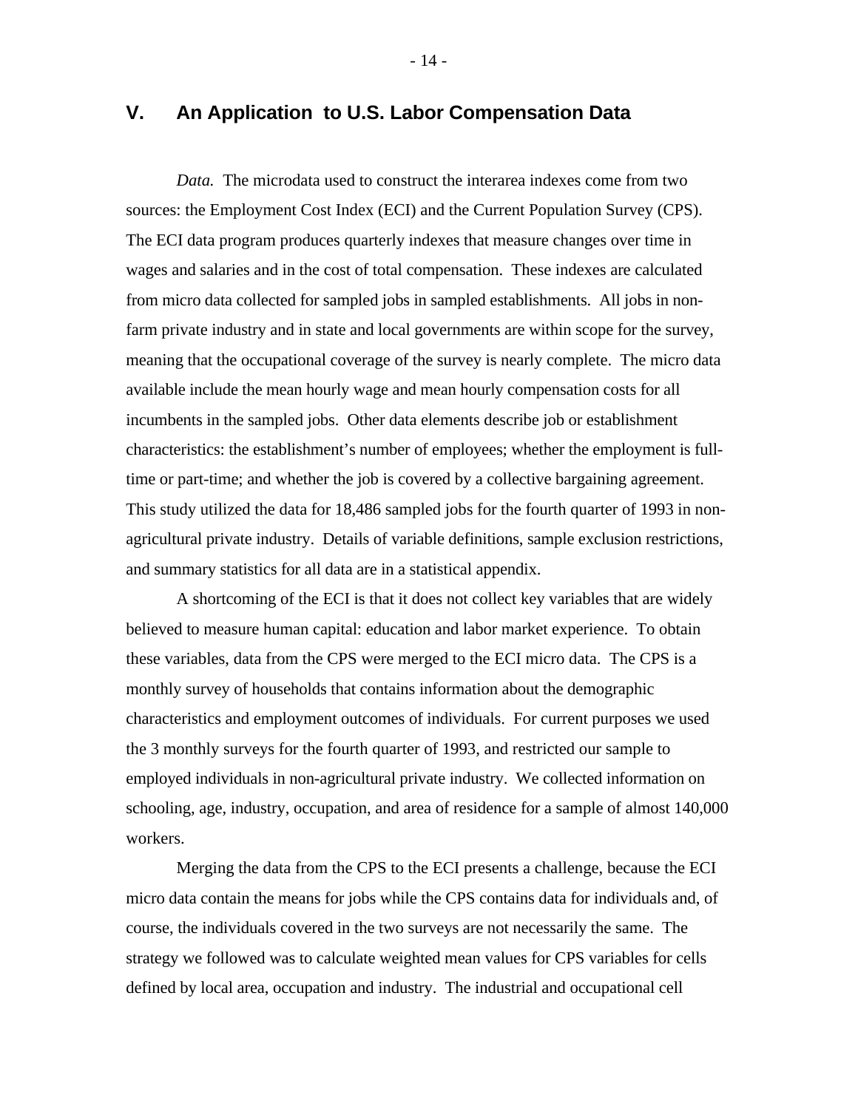# **V. An Application to U.S. Labor Compensation Data**

*Data.* The microdata used to construct the interarea indexes come from two sources: the Employment Cost Index (ECI) and the Current Population Survey (CPS). The ECI data program produces quarterly indexes that measure changes over time in wages and salaries and in the cost of total compensation. These indexes are calculated from micro data collected for sampled jobs in sampled establishments. All jobs in nonfarm private industry and in state and local governments are within scope for the survey, meaning that the occupational coverage of the survey is nearly complete. The micro data available include the mean hourly wage and mean hourly compensation costs for all incumbents in the sampled jobs. Other data elements describe job or establishment characteristics: the establishment's number of employees; whether the employment is fulltime or part-time; and whether the job is covered by a collective bargaining agreement. This study utilized the data for 18,486 sampled jobs for the fourth quarter of 1993 in nonagricultural private industry. Details of variable definitions, sample exclusion restrictions, and summary statistics for all data are in a statistical appendix.

A shortcoming of the ECI is that it does not collect key variables that are widely believed to measure human capital: education and labor market experience. To obtain these variables, data from the CPS were merged to the ECI micro data. The CPS is a monthly survey of households that contains information about the demographic characteristics and employment outcomes of individuals. For current purposes we used the 3 monthly surveys for the fourth quarter of 1993, and restricted our sample to employed individuals in non-agricultural private industry. We collected information on schooling, age, industry, occupation, and area of residence for a sample of almost 140,000 workers.

Merging the data from the CPS to the ECI presents a challenge, because the ECI micro data contain the means for jobs while the CPS contains data for individuals and, of course, the individuals covered in the two surveys are not necessarily the same. The strategy we followed was to calculate weighted mean values for CPS variables for cells defined by local area, occupation and industry. The industrial and occupational cell

- 14 -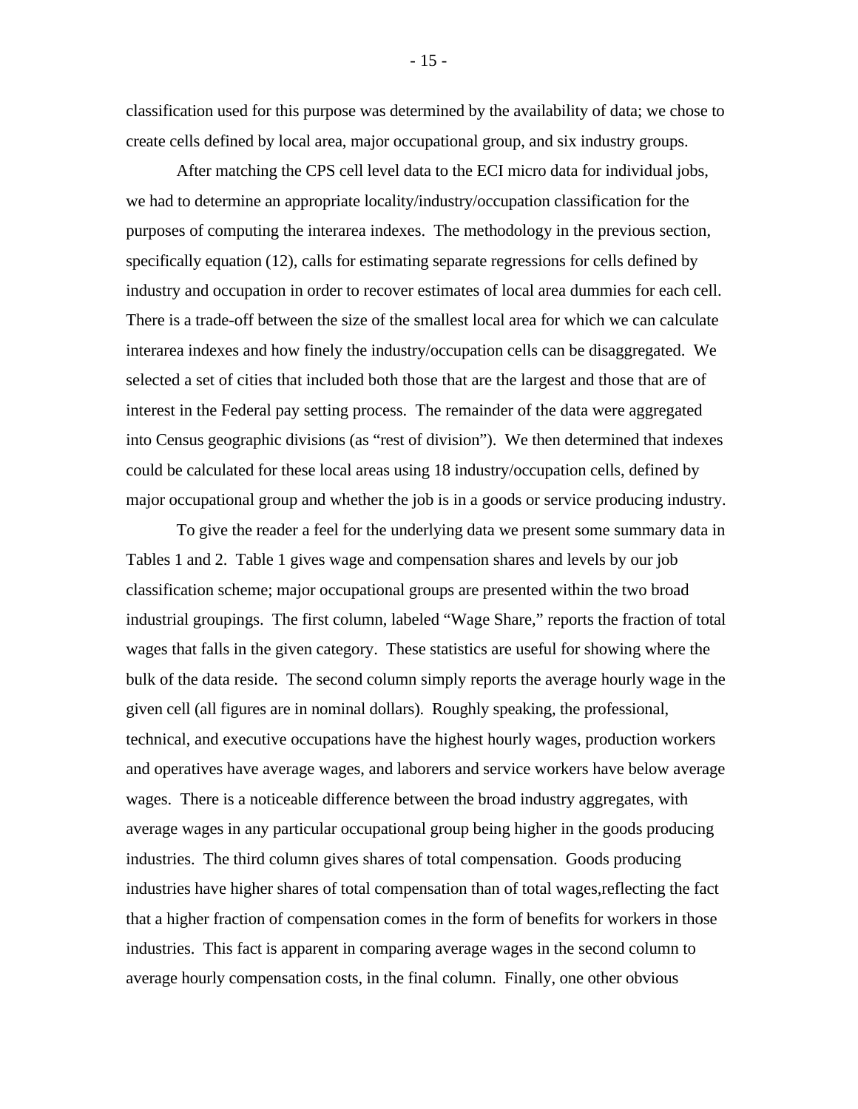classification used for this purpose was determined by the availability of data; we chose to create cells defined by local area, major occupational group, and six industry groups.

After matching the CPS cell level data to the ECI micro data for individual jobs, we had to determine an appropriate locality/industry/occupation classification for the purposes of computing the interarea indexes. The methodology in the previous section, specifically equation (12), calls for estimating separate regressions for cells defined by industry and occupation in order to recover estimates of local area dummies for each cell. There is a trade-off between the size of the smallest local area for which we can calculate interarea indexes and how finely the industry/occupation cells can be disaggregated. We selected a set of cities that included both those that are the largest and those that are of interest in the Federal pay setting process. The remainder of the data were aggregated into Census geographic divisions (as "rest of division"). We then determined that indexes could be calculated for these local areas using 18 industry/occupation cells, defined by major occupational group and whether the job is in a goods or service producing industry.

To give the reader a feel for the underlying data we present some summary data in Tables 1 and 2. Table 1 gives wage and compensation shares and levels by our job classification scheme; major occupational groups are presented within the two broad industrial groupings. The first column, labeled "Wage Share," reports the fraction of total wages that falls in the given category. These statistics are useful for showing where the bulk of the data reside. The second column simply reports the average hourly wage in the given cell (all figures are in nominal dollars). Roughly speaking, the professional, technical, and executive occupations have the highest hourly wages, production workers and operatives have average wages, and laborers and service workers have below average wages. There is a noticeable difference between the broad industry aggregates, with average wages in any particular occupational group being higher in the goods producing industries. The third column gives shares of total compensation. Goods producing industries have higher shares of total compensation than of total wages,reflecting the fact that a higher fraction of compensation comes in the form of benefits for workers in those industries. This fact is apparent in comparing average wages in the second column to average hourly compensation costs, in the final column. Finally, one other obvious

- 15 -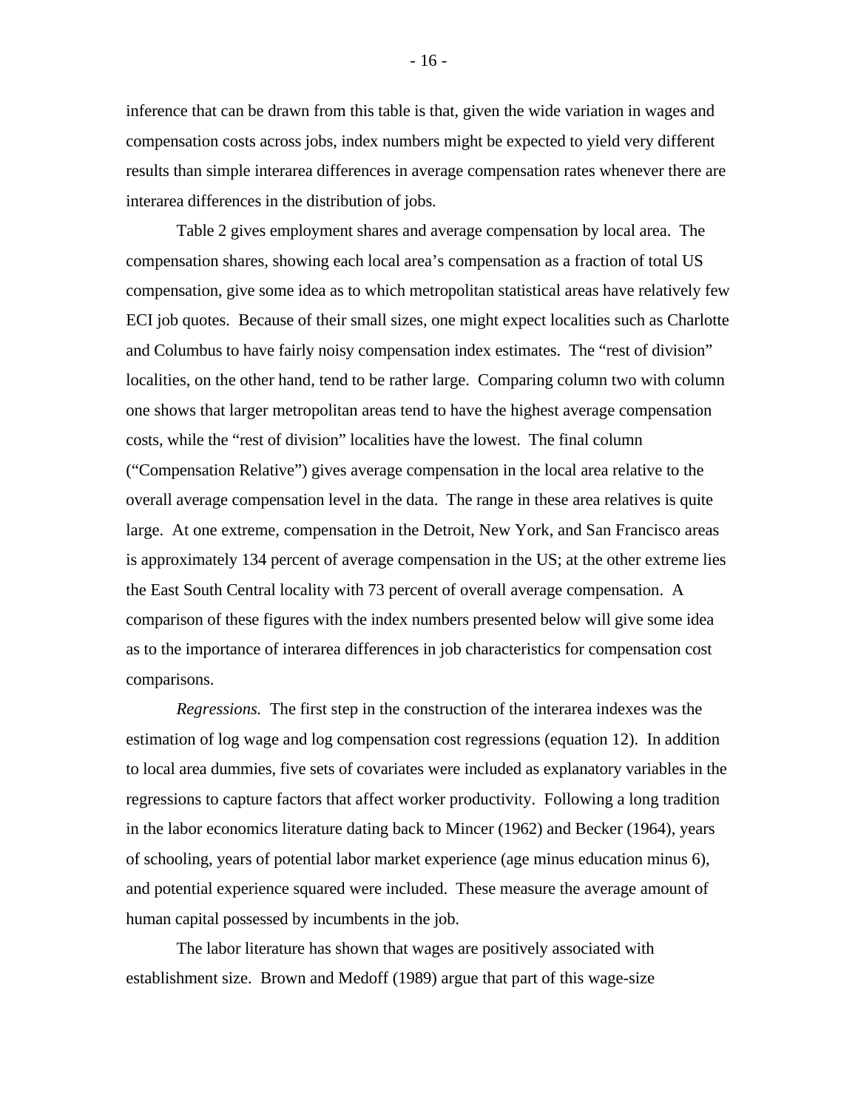inference that can be drawn from this table is that, given the wide variation in wages and compensation costs across jobs, index numbers might be expected to yield very different results than simple interarea differences in average compensation rates whenever there are interarea differences in the distribution of jobs.

Table 2 gives employment shares and average compensation by local area. The compensation shares, showing each local area's compensation as a fraction of total US compensation, give some idea as to which metropolitan statistical areas have relatively few ECI job quotes. Because of their small sizes, one might expect localities such as Charlotte and Columbus to have fairly noisy compensation index estimates. The "rest of division" localities, on the other hand, tend to be rather large. Comparing column two with column one shows that larger metropolitan areas tend to have the highest average compensation costs, while the "rest of division" localities have the lowest. The final column ("Compensation Relative") gives average compensation in the local area relative to the overall average compensation level in the data. The range in these area relatives is quite large. At one extreme, compensation in the Detroit, New York, and San Francisco areas is approximately 134 percent of average compensation in the US; at the other extreme lies the East South Central locality with 73 percent of overall average compensation. A comparison of these figures with the index numbers presented below will give some idea as to the importance of interarea differences in job characteristics for compensation cost comparisons.

*Regressions.* The first step in the construction of the interarea indexes was the estimation of log wage and log compensation cost regressions (equation 12). In addition to local area dummies, five sets of covariates were included as explanatory variables in the regressions to capture factors that affect worker productivity. Following a long tradition in the labor economics literature dating back to Mincer (1962) and Becker (1964), years of schooling, years of potential labor market experience (age minus education minus 6), and potential experience squared were included. These measure the average amount of human capital possessed by incumbents in the job.

The labor literature has shown that wages are positively associated with establishment size. Brown and Medoff (1989) argue that part of this wage-size

- 16 -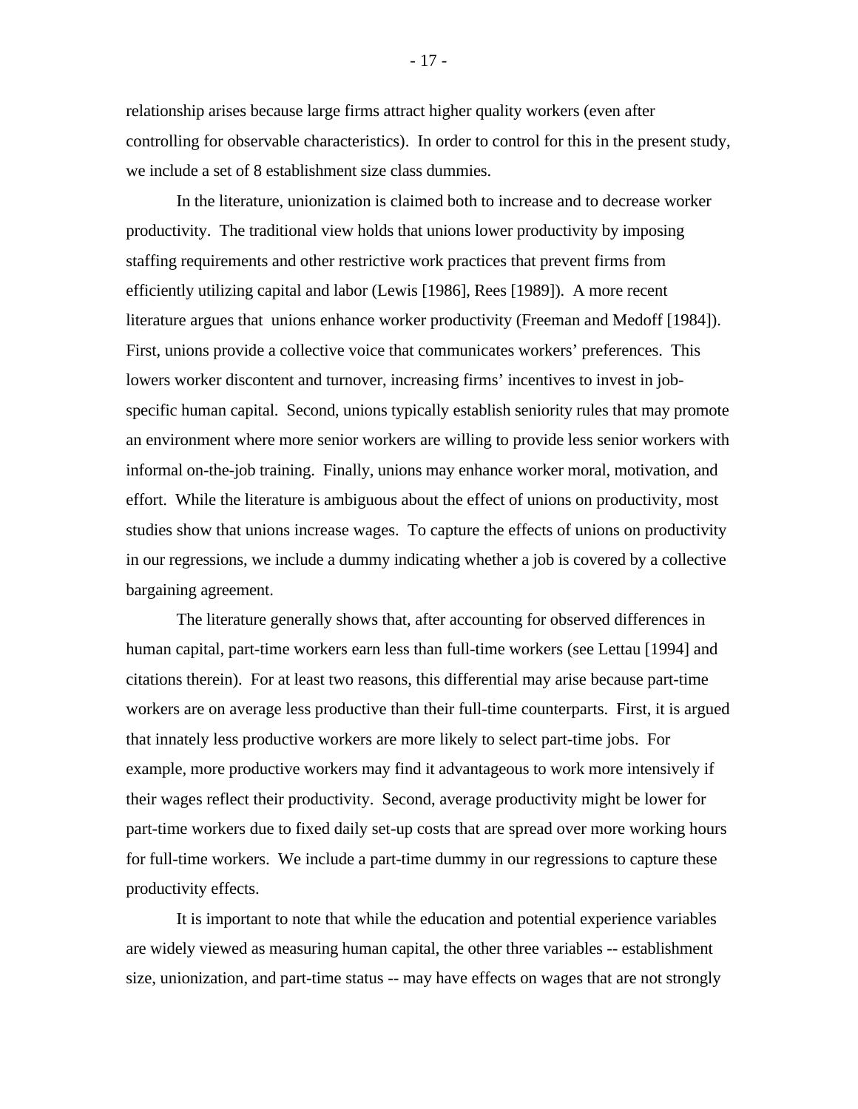relationship arises because large firms attract higher quality workers (even after controlling for observable characteristics). In order to control for this in the present study, we include a set of 8 establishment size class dummies.

In the literature, unionization is claimed both to increase and to decrease worker productivity. The traditional view holds that unions lower productivity by imposing staffing requirements and other restrictive work practices that prevent firms from efficiently utilizing capital and labor (Lewis [1986], Rees [1989]). A more recent literature argues that unions enhance worker productivity (Freeman and Medoff [1984]). First, unions provide a collective voice that communicates workers' preferences. This lowers worker discontent and turnover, increasing firms' incentives to invest in jobspecific human capital. Second, unions typically establish seniority rules that may promote an environment where more senior workers are willing to provide less senior workers with informal on-the-job training. Finally, unions may enhance worker moral, motivation, and effort. While the literature is ambiguous about the effect of unions on productivity, most studies show that unions increase wages. To capture the effects of unions on productivity in our regressions, we include a dummy indicating whether a job is covered by a collective bargaining agreement.

The literature generally shows that, after accounting for observed differences in human capital, part-time workers earn less than full-time workers (see Lettau [1994] and citations therein). For at least two reasons, this differential may arise because part-time workers are on average less productive than their full-time counterparts. First, it is argued that innately less productive workers are more likely to select part-time jobs. For example, more productive workers may find it advantageous to work more intensively if their wages reflect their productivity. Second, average productivity might be lower for part-time workers due to fixed daily set-up costs that are spread over more working hours for full-time workers. We include a part-time dummy in our regressions to capture these productivity effects.

It is important to note that while the education and potential experience variables are widely viewed as measuring human capital, the other three variables -- establishment size, unionization, and part-time status -- may have effects on wages that are not strongly

- 17 -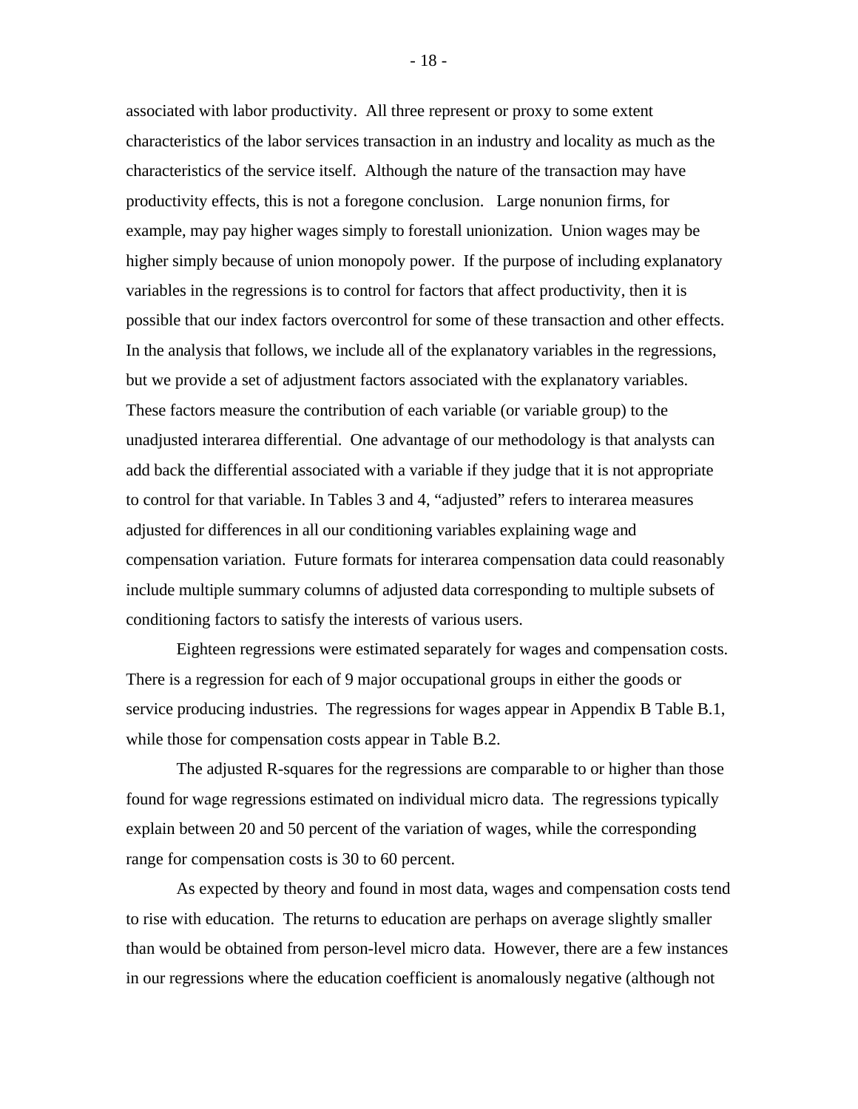associated with labor productivity. All three represent or proxy to some extent characteristics of the labor services transaction in an industry and locality as much as the characteristics of the service itself. Although the nature of the transaction may have productivity effects, this is not a foregone conclusion. Large nonunion firms, for example, may pay higher wages simply to forestall unionization. Union wages may be higher simply because of union monopoly power. If the purpose of including explanatory variables in the regressions is to control for factors that affect productivity, then it is possible that our index factors overcontrol for some of these transaction and other effects. In the analysis that follows, we include all of the explanatory variables in the regressions, but we provide a set of adjustment factors associated with the explanatory variables. These factors measure the contribution of each variable (or variable group) to the unadjusted interarea differential. One advantage of our methodology is that analysts can add back the differential associated with a variable if they judge that it is not appropriate to control for that variable. In Tables 3 and 4, "adjusted" refers to interarea measures adjusted for differences in all our conditioning variables explaining wage and compensation variation. Future formats for interarea compensation data could reasonably include multiple summary columns of adjusted data corresponding to multiple subsets of conditioning factors to satisfy the interests of various users.

Eighteen regressions were estimated separately for wages and compensation costs. There is a regression for each of 9 major occupational groups in either the goods or service producing industries. The regressions for wages appear in Appendix B Table B.1, while those for compensation costs appear in Table B.2.

The adjusted R-squares for the regressions are comparable to or higher than those found for wage regressions estimated on individual micro data. The regressions typically explain between 20 and 50 percent of the variation of wages, while the corresponding range for compensation costs is 30 to 60 percent.

As expected by theory and found in most data, wages and compensation costs tend to rise with education. The returns to education are perhaps on average slightly smaller than would be obtained from person-level micro data. However, there are a few instances in our regressions where the education coefficient is anomalously negative (although not

- 18 -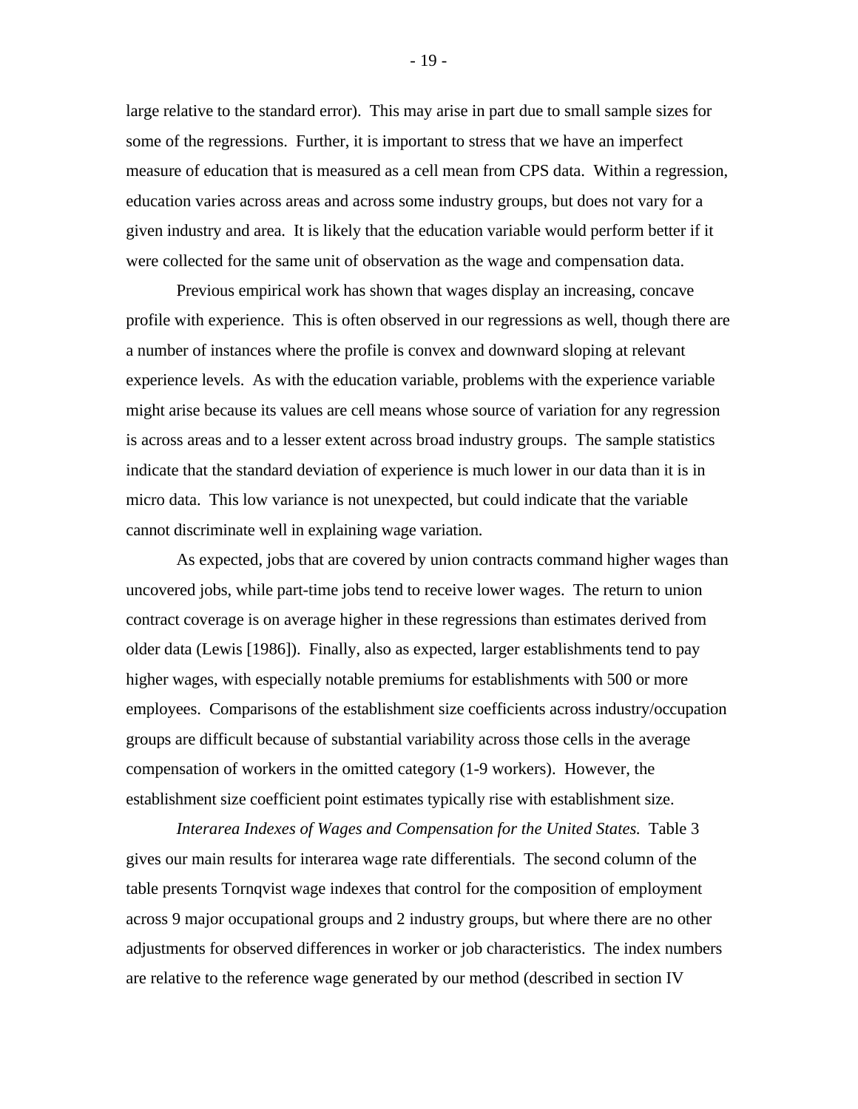large relative to the standard error). This may arise in part due to small sample sizes for some of the regressions. Further, it is important to stress that we have an imperfect measure of education that is measured as a cell mean from CPS data. Within a regression, education varies across areas and across some industry groups, but does not vary for a given industry and area. It is likely that the education variable would perform better if it were collected for the same unit of observation as the wage and compensation data.

Previous empirical work has shown that wages display an increasing, concave profile with experience. This is often observed in our regressions as well, though there are a number of instances where the profile is convex and downward sloping at relevant experience levels. As with the education variable, problems with the experience variable might arise because its values are cell means whose source of variation for any regression is across areas and to a lesser extent across broad industry groups. The sample statistics indicate that the standard deviation of experience is much lower in our data than it is in micro data. This low variance is not unexpected, but could indicate that the variable cannot discriminate well in explaining wage variation.

As expected, jobs that are covered by union contracts command higher wages than uncovered jobs, while part-time jobs tend to receive lower wages. The return to union contract coverage is on average higher in these regressions than estimates derived from older data (Lewis [1986]). Finally, also as expected, larger establishments tend to pay higher wages, with especially notable premiums for establishments with 500 or more employees. Comparisons of the establishment size coefficients across industry/occupation groups are difficult because of substantial variability across those cells in the average compensation of workers in the omitted category (1-9 workers). However, the establishment size coefficient point estimates typically rise with establishment size.

*Interarea Indexes of Wages and Compensation for the United States*. Table 3 gives our main results for interarea wage rate differentials. The second column of the table presents Tornqvist wage indexes that control for the composition of employment across 9 major occupational groups and 2 industry groups, but where there are no other adjustments for observed differences in worker or job characteristics. The index numbers are relative to the reference wage generated by our method (described in section IV

- 19 -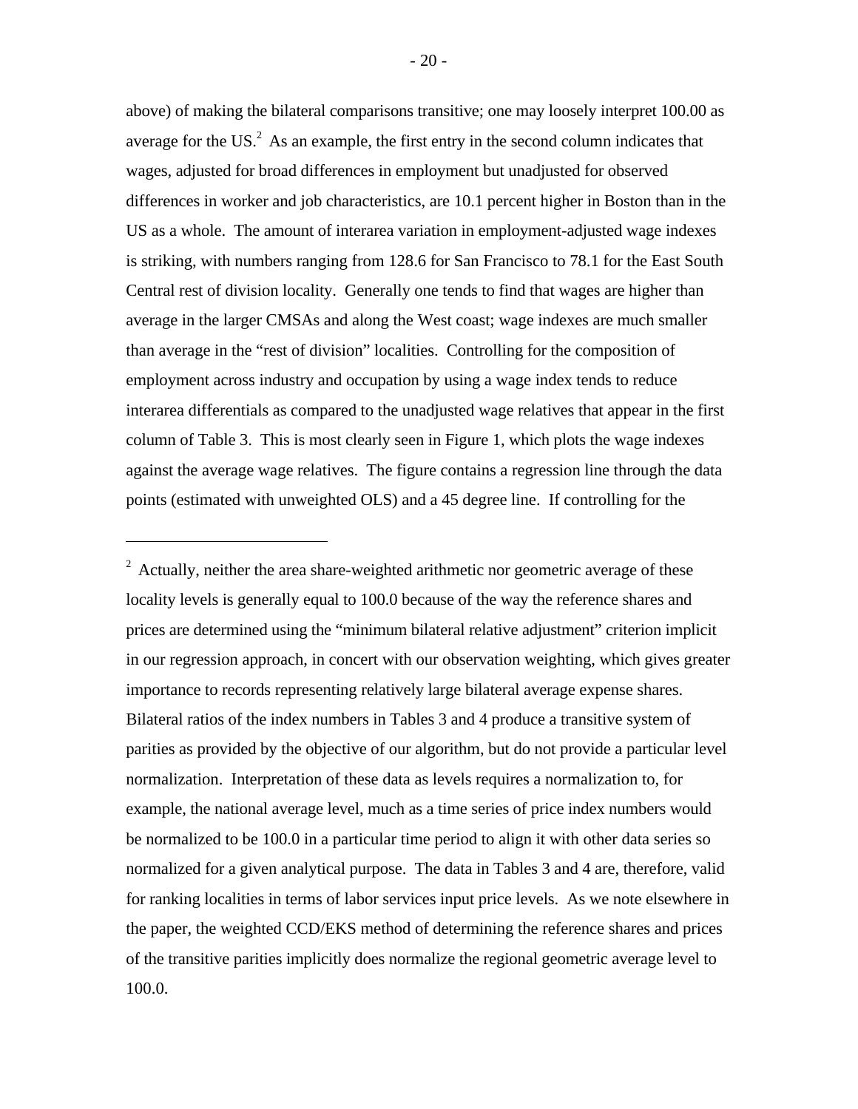above) of making the bilateral comparisons transitive; one may loosely interpret 100.00 as average for the US. $<sup>2</sup>$  As an example, the first entry in the second column indicates that</sup> wages, adjusted for broad differences in employment but unadjusted for observed differences in worker and job characteristics, are 10.1 percent higher in Boston than in the US as a whole. The amount of interarea variation in employment-adjusted wage indexes is striking, with numbers ranging from 128.6 for San Francisco to 78.1 for the East South Central rest of division locality. Generally one tends to find that wages are higher than average in the larger CMSAs and along the West coast; wage indexes are much smaller than average in the "rest of division" localities. Controlling for the composition of employment across industry and occupation by using a wage index tends to reduce interarea differentials as compared to the unadjusted wage relatives that appear in the first column of Table 3. This is most clearly seen in Figure 1, which plots the wage indexes against the average wage relatives. The figure contains a regression line through the data points (estimated with unweighted OLS) and a 45 degree line. If controlling for the

 $\overline{a}$ 

 $2$  Actually, neither the area share-weighted arithmetic nor geometric average of these locality levels is generally equal to 100.0 because of the way the reference shares and prices are determined using the "minimum bilateral relative adjustment" criterion implicit in our regression approach, in concert with our observation weighting, which gives greater importance to records representing relatively large bilateral average expense shares. Bilateral ratios of the index numbers in Tables 3 and 4 produce a transitive system of parities as provided by the objective of our algorithm, but do not provide a particular level normalization. Interpretation of these data as levels requires a normalization to, for example, the national average level, much as a time series of price index numbers would be normalized to be 100.0 in a particular time period to align it with other data series so normalized for a given analytical purpose. The data in Tables 3 and 4 are, therefore, valid for ranking localities in terms of labor services input price levels. As we note elsewhere in the paper, the weighted CCD/EKS method of determining the reference shares and prices of the transitive parities implicitly does normalize the regional geometric average level to 100.0.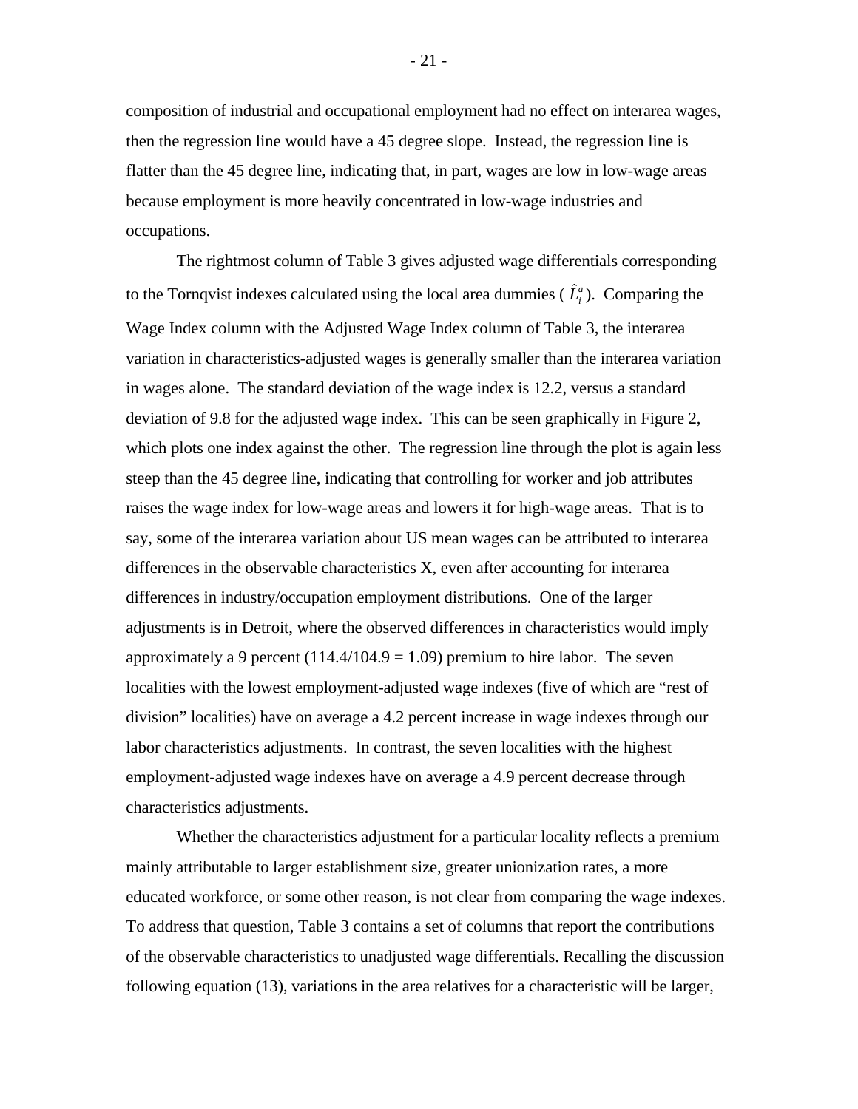composition of industrial and occupational employment had no effect on interarea wages, then the regression line would have a 45 degree slope. Instead, the regression line is flatter than the 45 degree line, indicating that, in part, wages are low in low-wage areas because employment is more heavily concentrated in low-wage industries and occupations.

The rightmost column of Table 3 gives adjusted wage differentials corresponding to the Tornqvist indexes calculated using the local area dummies ( $\hat{L}_i^a$ ). Comparing the Wage Index column with the Adjusted Wage Index column of Table 3, the interarea variation in characteristics-adjusted wages is generally smaller than the interarea variation in wages alone. The standard deviation of the wage index is 12.2, versus a standard deviation of 9.8 for the adjusted wage index. This can be seen graphically in Figure 2, which plots one index against the other. The regression line through the plot is again less steep than the 45 degree line, indicating that controlling for worker and job attributes raises the wage index for low-wage areas and lowers it for high-wage areas. That is to say, some of the interarea variation about US mean wages can be attributed to interarea differences in the observable characteristics X, even after accounting for interarea differences in industry/occupation employment distributions. One of the larger adjustments is in Detroit, where the observed differences in characteristics would imply approximately a 9 percent  $(114.4/104.9 = 1.09)$  premium to hire labor. The seven localities with the lowest employment-adjusted wage indexes (five of which are "rest of division" localities) have on average a 4.2 percent increase in wage indexes through our labor characteristics adjustments. In contrast, the seven localities with the highest employment-adjusted wage indexes have on average a 4.9 percent decrease through characteristics adjustments.

Whether the characteristics adjustment for a particular locality reflects a premium mainly attributable to larger establishment size, greater unionization rates, a more educated workforce, or some other reason, is not clear from comparing the wage indexes. To address that question, Table 3 contains a set of columns that report the contributions of the observable characteristics to unadjusted wage differentials. Recalling the discussion following equation (13), variations in the area relatives for a characteristic will be larger,

- 21 -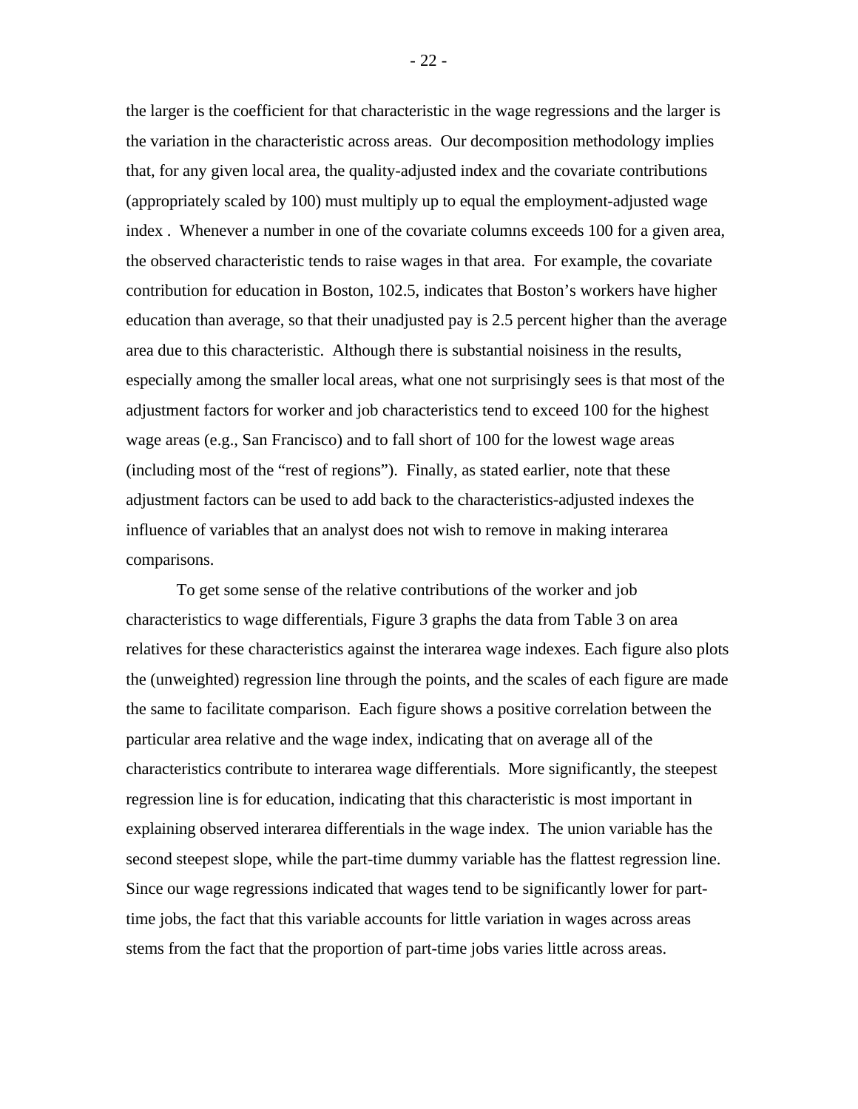the larger is the coefficient for that characteristic in the wage regressions and the larger is the variation in the characteristic across areas. Our decomposition methodology implies that, for any given local area, the quality-adjusted index and the covariate contributions (appropriately scaled by 100) must multiply up to equal the employment-adjusted wage index . Whenever a number in one of the covariate columns exceeds 100 for a given area, the observed characteristic tends to raise wages in that area. For example, the covariate contribution for education in Boston, 102.5, indicates that Boston's workers have higher education than average, so that their unadjusted pay is 2.5 percent higher than the average area due to this characteristic. Although there is substantial noisiness in the results, especially among the smaller local areas, what one not surprisingly sees is that most of the adjustment factors for worker and job characteristics tend to exceed 100 for the highest wage areas (e.g., San Francisco) and to fall short of 100 for the lowest wage areas (including most of the "rest of regions"). Finally, as stated earlier, note that these adjustment factors can be used to add back to the characteristics-adjusted indexes the influence of variables that an analyst does not wish to remove in making interarea comparisons.

To get some sense of the relative contributions of the worker and job characteristics to wage differentials, Figure 3 graphs the data from Table 3 on area relatives for these characteristics against the interarea wage indexes. Each figure also plots the (unweighted) regression line through the points, and the scales of each figure are made the same to facilitate comparison. Each figure shows a positive correlation between the particular area relative and the wage index, indicating that on average all of the characteristics contribute to interarea wage differentials. More significantly, the steepest regression line is for education, indicating that this characteristic is most important in explaining observed interarea differentials in the wage index. The union variable has the second steepest slope, while the part-time dummy variable has the flattest regression line. Since our wage regressions indicated that wages tend to be significantly lower for parttime jobs, the fact that this variable accounts for little variation in wages across areas stems from the fact that the proportion of part-time jobs varies little across areas.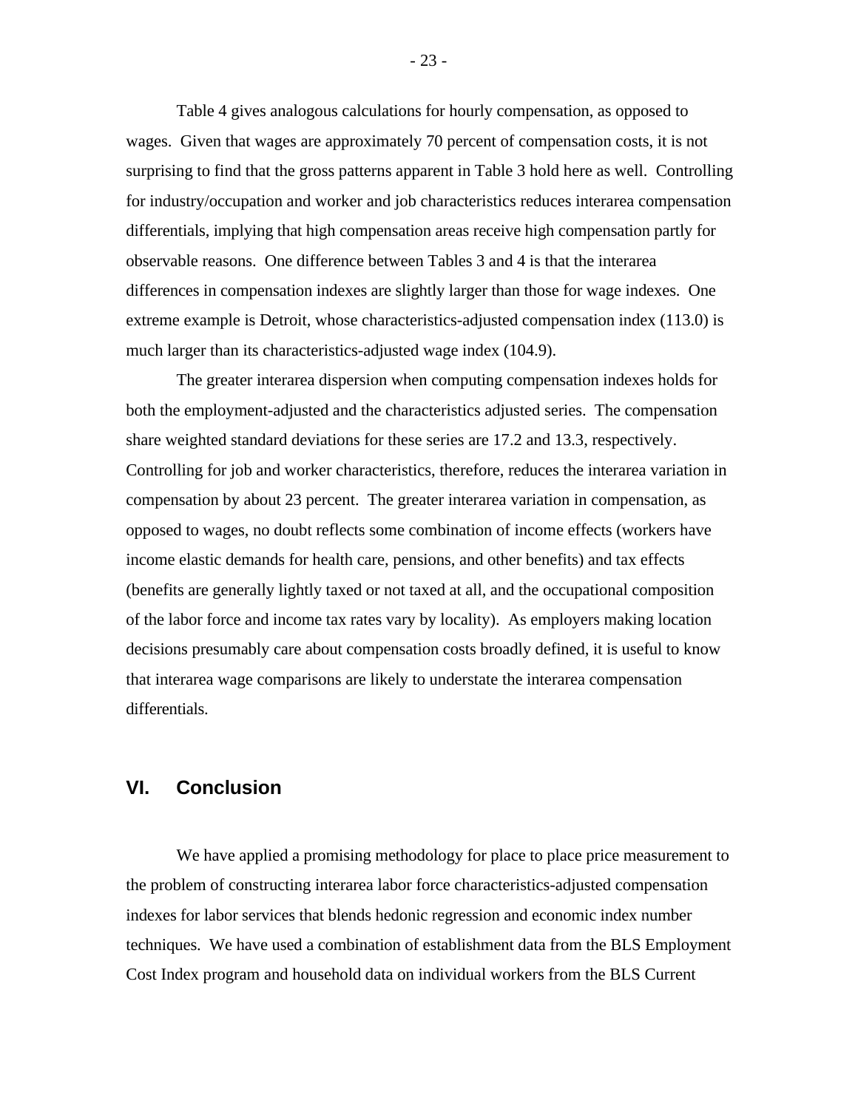Table 4 gives analogous calculations for hourly compensation, as opposed to wages. Given that wages are approximately 70 percent of compensation costs, it is not surprising to find that the gross patterns apparent in Table 3 hold here as well. Controlling for industry/occupation and worker and job characteristics reduces interarea compensation differentials, implying that high compensation areas receive high compensation partly for observable reasons. One difference between Tables 3 and 4 is that the interarea differences in compensation indexes are slightly larger than those for wage indexes. One extreme example is Detroit, whose characteristics-adjusted compensation index (113.0) is much larger than its characteristics-adjusted wage index (104.9).

The greater interarea dispersion when computing compensation indexes holds for both the employment-adjusted and the characteristics adjusted series. The compensation share weighted standard deviations for these series are 17.2 and 13.3, respectively. Controlling for job and worker characteristics, therefore, reduces the interarea variation in compensation by about 23 percent. The greater interarea variation in compensation, as opposed to wages, no doubt reflects some combination of income effects (workers have income elastic demands for health care, pensions, and other benefits) and tax effects (benefits are generally lightly taxed or not taxed at all, and the occupational composition of the labor force and income tax rates vary by locality). As employers making location decisions presumably care about compensation costs broadly defined, it is useful to know that interarea wage comparisons are likely to understate the interarea compensation differentials.

## **VI. Conclusion**

We have applied a promising methodology for place to place price measurement to the problem of constructing interarea labor force characteristics-adjusted compensation indexes for labor services that blends hedonic regression and economic index number techniques. We have used a combination of establishment data from the BLS Employment Cost Index program and household data on individual workers from the BLS Current

- 23 -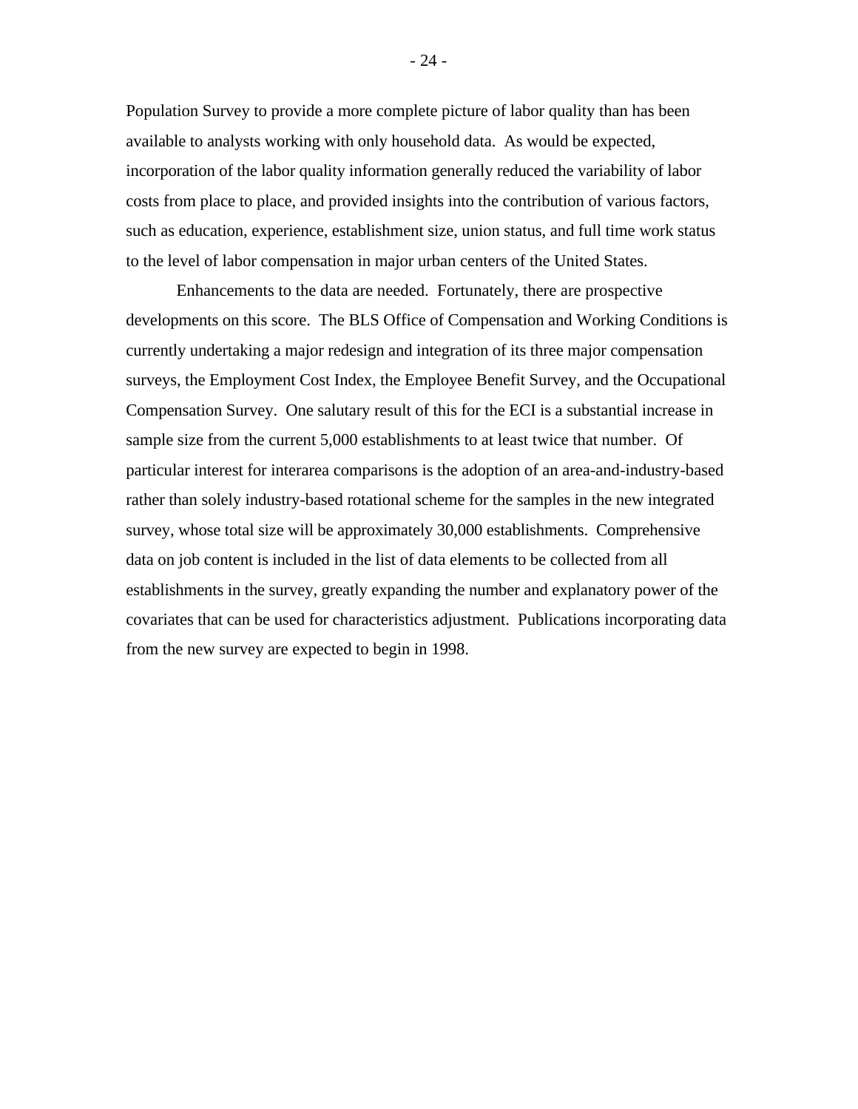Population Survey to provide a more complete picture of labor quality than has been available to analysts working with only household data. As would be expected, incorporation of the labor quality information generally reduced the variability of labor costs from place to place, and provided insights into the contribution of various factors, such as education, experience, establishment size, union status, and full time work status to the level of labor compensation in major urban centers of the United States.

Enhancements to the data are needed. Fortunately, there are prospective developments on this score. The BLS Office of Compensation and Working Conditions is currently undertaking a major redesign and integration of its three major compensation surveys, the Employment Cost Index, the Employee Benefit Survey, and the Occupational Compensation Survey. One salutary result of this for the ECI is a substantial increase in sample size from the current 5,000 establishments to at least twice that number. Of particular interest for interarea comparisons is the adoption of an area-and-industry-based rather than solely industry-based rotational scheme for the samples in the new integrated survey, whose total size will be approximately 30,000 establishments. Comprehensive data on job content is included in the list of data elements to be collected from all establishments in the survey, greatly expanding the number and explanatory power of the covariates that can be used for characteristics adjustment. Publications incorporating data from the new survey are expected to begin in 1998.

- 24 -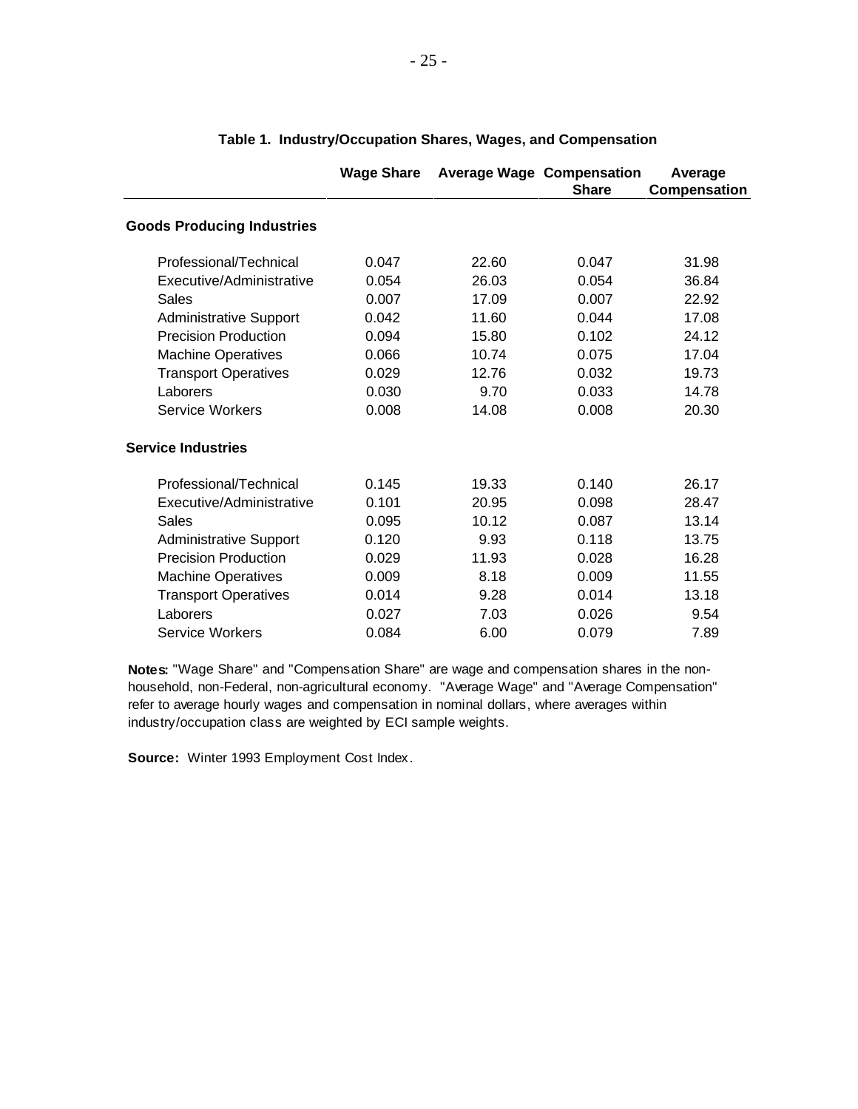|                                   | <b>Wage Share</b> |       | <b>Average Wage Compensation</b><br><b>Share</b> | Average<br><b>Compensation</b> |
|-----------------------------------|-------------------|-------|--------------------------------------------------|--------------------------------|
| <b>Goods Producing Industries</b> |                   |       |                                                  |                                |
| Professional/Technical            | 0.047             | 22.60 | 0.047                                            | 31.98                          |
| Executive/Administrative          | 0.054             | 26.03 | 0.054                                            | 36.84                          |
| <b>Sales</b>                      | 0.007             | 17.09 | 0.007                                            | 22.92                          |
| <b>Administrative Support</b>     | 0.042             | 11.60 | 0.044                                            | 17.08                          |
| <b>Precision Production</b>       | 0.094             | 15.80 | 0.102                                            | 24.12                          |
| <b>Machine Operatives</b>         | 0.066             | 10.74 | 0.075                                            | 17.04                          |
| <b>Transport Operatives</b>       | 0.029             | 12.76 | 0.032                                            | 19.73                          |
| Laborers                          | 0.030             | 9.70  | 0.033                                            | 14.78                          |
| <b>Service Workers</b>            | 0.008             | 14.08 | 0.008                                            | 20.30                          |
| <b>Service Industries</b>         |                   |       |                                                  |                                |
| Professional/Technical            | 0.145             | 19.33 | 0.140                                            | 26.17                          |
| Executive/Administrative          | 0.101             | 20.95 | 0.098                                            | 28.47                          |
| Sales                             | 0.095             | 10.12 | 0.087                                            | 13.14                          |
| <b>Administrative Support</b>     | 0.120             | 9.93  | 0.118                                            | 13.75                          |
| <b>Precision Production</b>       | 0.029             | 11.93 | 0.028                                            | 16.28                          |
| <b>Machine Operatives</b>         | 0.009             | 8.18  | 0.009                                            | 11.55                          |
| <b>Transport Operatives</b>       | 0.014             | 9.28  | 0.014                                            | 13.18                          |
| Laborers                          | 0.027             | 7.03  | 0.026                                            | 9.54                           |
| Service Workers                   | 0.084             | 6.00  | 0.079                                            | 7.89                           |

### **Table 1. Industry/Occupation Shares, Wages, and Compensation**

**Notes:** "Wage Share" and "Compensation Share" are wage and compensation shares in the nonhousehold, non-Federal, non-agricultural economy. "Average Wage" and "Average Compensation" refer to average hourly wages and compensation in nominal dollars, where averages within industry/occupation class are weighted by ECI sample weights.

**Source:** Winter 1993 Employment Cost Index.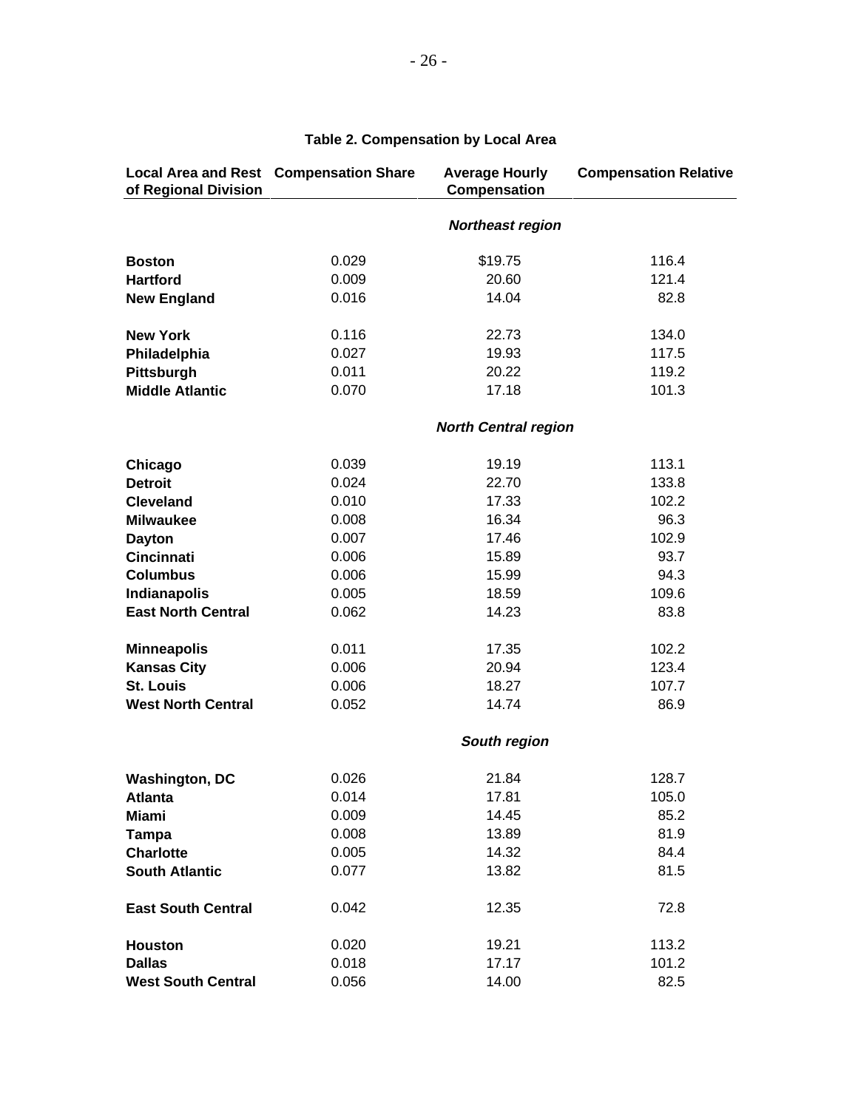| of Regional Division      | <b>Local Area and Rest Compensation Share</b> | <b>Average Hourly</b><br>Compensation | <b>Compensation Relative</b> |
|---------------------------|-----------------------------------------------|---------------------------------------|------------------------------|
|                           |                                               | <b>Northeast region</b>               |                              |
| <b>Boston</b>             | 0.029                                         | \$19.75                               | 116.4                        |
| <b>Hartford</b>           | 0.009                                         | 20.60                                 | 121.4                        |
| <b>New England</b>        | 0.016                                         | 14.04                                 | 82.8                         |
| <b>New York</b>           | 0.116                                         | 22.73                                 | 134.0                        |
| Philadelphia              | 0.027                                         | 19.93                                 | 117.5                        |
| Pittsburgh                | 0.011                                         | 20.22                                 | 119.2                        |
| <b>Middle Atlantic</b>    | 0.070                                         | 17.18                                 | 101.3                        |
|                           |                                               | <b>North Central region</b>           |                              |
| Chicago                   | 0.039                                         | 19.19                                 | 113.1                        |
| <b>Detroit</b>            | 0.024                                         | 22.70                                 | 133.8                        |
| <b>Cleveland</b>          | 0.010                                         | 17.33                                 | 102.2                        |
| <b>Milwaukee</b>          | 0.008                                         | 16.34                                 | 96.3                         |
| <b>Dayton</b>             | 0.007                                         | 17.46                                 | 102.9                        |
| <b>Cincinnati</b>         | 0.006                                         | 15.89                                 | 93.7                         |
| <b>Columbus</b>           | 0.006                                         | 15.99                                 | 94.3                         |
| Indianapolis              | 0.005                                         | 18.59                                 | 109.6                        |
| <b>East North Central</b> | 0.062                                         | 14.23                                 | 83.8                         |
| <b>Minneapolis</b>        | 0.011                                         | 17.35                                 | 102.2                        |
| <b>Kansas City</b>        | 0.006                                         | 20.94                                 | 123.4                        |
| <b>St. Louis</b>          | 0.006                                         | 18.27                                 | 107.7                        |
| <b>West North Central</b> | 0.052                                         | 14.74                                 | 86.9                         |
|                           |                                               | South region                          |                              |
| <b>Washington, DC</b>     | 0.026                                         | 21.84                                 | 128.7                        |
| <b>Atlanta</b>            | 0.014                                         | 17.81                                 | 105.0                        |
| <b>Miami</b>              | 0.009                                         | 14.45                                 | 85.2                         |
| <b>Tampa</b>              | 0.008                                         | 13.89                                 | 81.9                         |
| <b>Charlotte</b>          | 0.005                                         | 14.32                                 | 84.4                         |
| <b>South Atlantic</b>     | 0.077                                         | 13.82                                 | 81.5                         |
| <b>East South Central</b> | 0.042                                         | 12.35                                 | 72.8                         |
| <b>Houston</b>            | 0.020                                         | 19.21                                 | 113.2                        |
| <b>Dallas</b>             | 0.018                                         | 17.17                                 | 101.2                        |
| <b>West South Central</b> | 0.056                                         | 14.00                                 | 82.5                         |

## **Table 2. Compensation by Local Area**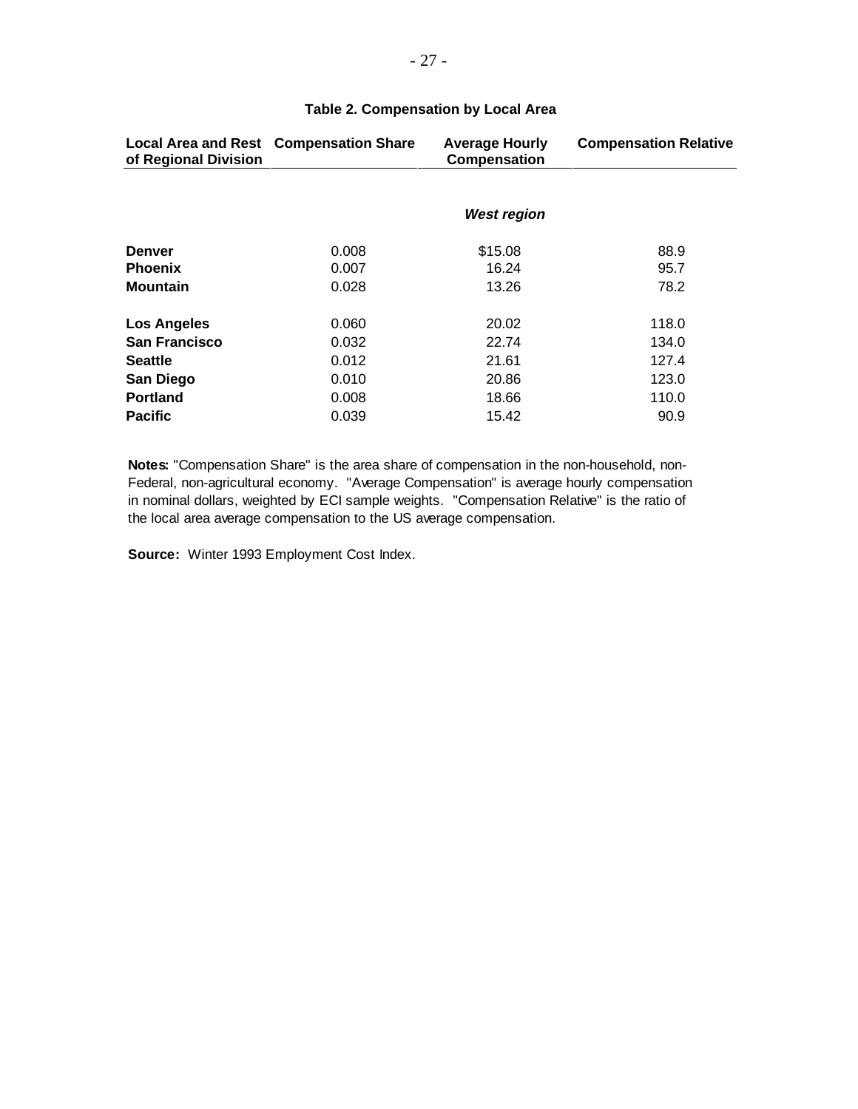| of Regional Division | <b>Local Area and Rest Compensation Share</b> | <b>Average Hourly</b><br><b>Compensation</b> | <b>Compensation Relative</b> |  |  |
|----------------------|-----------------------------------------------|----------------------------------------------|------------------------------|--|--|
|                      |                                               |                                              |                              |  |  |
|                      |                                               | <b>West region</b>                           |                              |  |  |
| <b>Denver</b>        | 0.008                                         | \$15.08                                      | 88.9                         |  |  |
| <b>Phoenix</b>       | 0.007                                         | 16.24                                        | 95.7                         |  |  |
| <b>Mountain</b>      | 0.028                                         | 13.26                                        | 78.2                         |  |  |
| <b>Los Angeles</b>   | 0.060                                         | 20.02                                        | 118.0                        |  |  |
| <b>San Francisco</b> | 0.032                                         | 22.74                                        | 134.0                        |  |  |
| <b>Seattle</b>       | 0.012                                         | 21.61                                        | 127.4                        |  |  |
| <b>San Diego</b>     | 0.010                                         | 20.86                                        | 123.0                        |  |  |
| <b>Portland</b>      | 0.008                                         | 18.66                                        | 110.0                        |  |  |
| <b>Pacific</b>       | 0.039                                         | 15.42                                        | 90.9                         |  |  |

#### **Table 2. Compensation by Local Area**

**Notes:** "Compensation Share" is the area share of compensation in the non-household, non-Federal, non-agricultural economy. "Average Compensation" is average hourly compensation in nominal dollars, weighted by ECI sample weights. "Compensation Relative" is the ratio of the local area average compensation to the US average compensation.

**Source:** Winter 1993 Employment Cost Index.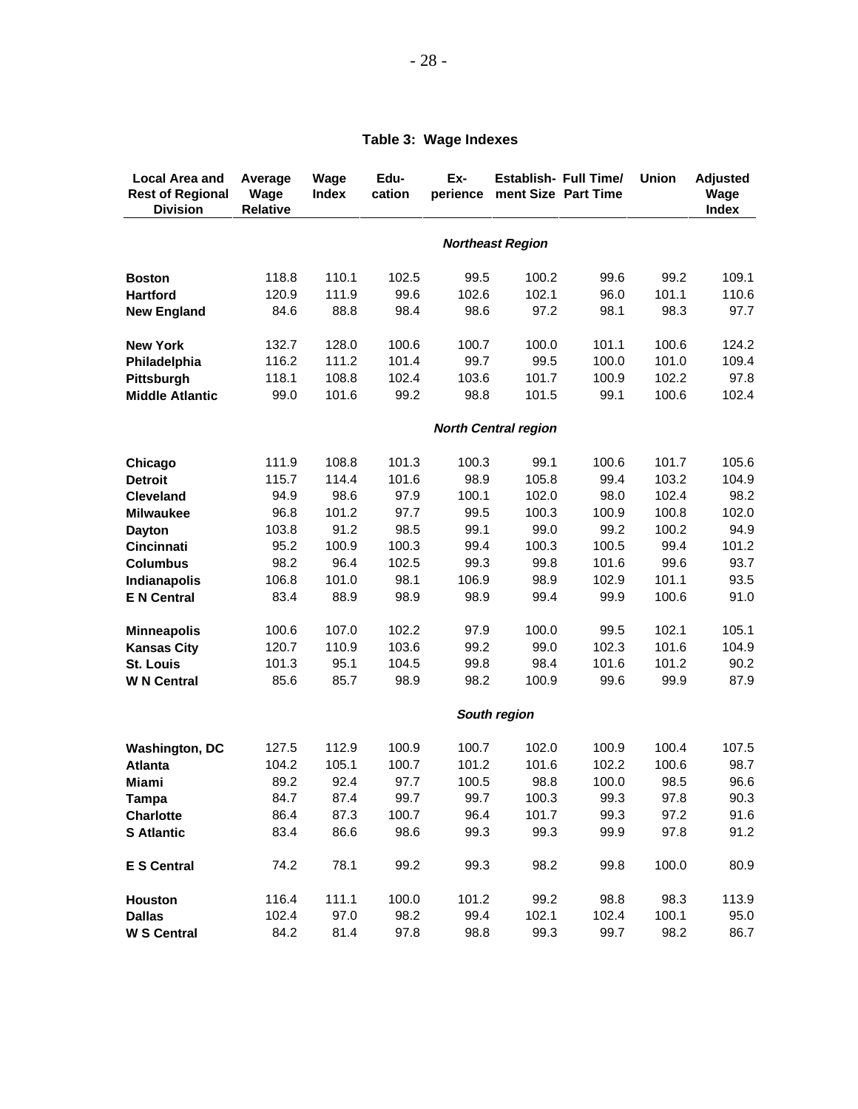#### **Table 3: Wage Indexes**

| <b>Local Area and</b><br><b>Rest of Regional</b><br><b>Division</b> | Average<br>Wage<br><b>Relative</b> | Wage<br>Index | Edu-<br>cation | Ex-<br>perience | Establish- Full Time/<br>ment Size Part Time |       | <b>Union</b> | <b>Adjusted</b><br>Wage<br>Index |  |  |
|---------------------------------------------------------------------|------------------------------------|---------------|----------------|-----------------|----------------------------------------------|-------|--------------|----------------------------------|--|--|
|                                                                     | <b>Northeast Region</b>            |               |                |                 |                                              |       |              |                                  |  |  |
| <b>Boston</b>                                                       | 118.8                              | 110.1         | 102.5          | 99.5            | 100.2                                        | 99.6  | 99.2         | 109.1                            |  |  |
| <b>Hartford</b>                                                     | 120.9                              | 111.9         | 99.6           | 102.6           | 102.1                                        | 96.0  | 101.1        | 110.6                            |  |  |
| <b>New England</b>                                                  | 84.6                               | 88.8          | 98.4           | 98.6            | 97.2                                         | 98.1  | 98.3         | 97.7                             |  |  |
| <b>New York</b>                                                     | 132.7                              | 128.0         | 100.6          | 100.7           | 100.0                                        | 101.1 | 100.6        | 124.2                            |  |  |
| Philadelphia                                                        | 116.2                              | 111.2         | 101.4          | 99.7            | 99.5                                         | 100.0 | 101.0        | 109.4                            |  |  |
| Pittsburgh                                                          | 118.1                              | 108.8         | 102.4          | 103.6           | 101.7                                        | 100.9 | 102.2        | 97.8                             |  |  |
| <b>Middle Atlantic</b>                                              | 99.0                               | 101.6         | 99.2           | 98.8            | 101.5                                        | 99.1  | 100.6        | 102.4                            |  |  |
|                                                                     |                                    |               |                |                 | <b>North Central region</b>                  |       |              |                                  |  |  |
| Chicago                                                             | 111.9                              | 108.8         | 101.3          | 100.3           | 99.1                                         | 100.6 | 101.7        | 105.6                            |  |  |
| <b>Detroit</b>                                                      | 115.7                              | 114.4         | 101.6          | 98.9            | 105.8                                        | 99.4  | 103.2        | 104.9                            |  |  |
| <b>Cleveland</b>                                                    | 94.9                               | 98.6          | 97.9           | 100.1           | 102.0                                        | 98.0  | 102.4        | 98.2                             |  |  |
| <b>Milwaukee</b>                                                    | 96.8                               | 101.2         | 97.7           | 99.5            | 100.3                                        | 100.9 | 100.8        | 102.0                            |  |  |
| <b>Dayton</b>                                                       | 103.8                              | 91.2          | 98.5           | 99.1            | 99.0                                         | 99.2  | 100.2        | 94.9                             |  |  |
| Cincinnati                                                          | 95.2                               | 100.9         | 100.3          | 99.4            | 100.3                                        | 100.5 | 99.4         | 101.2                            |  |  |
| <b>Columbus</b>                                                     | 98.2                               | 96.4          | 102.5          | 99.3            | 99.8                                         | 101.6 | 99.6         | 93.7                             |  |  |
| Indianapolis                                                        | 106.8                              | 101.0         | 98.1           | 106.9           | 98.9                                         | 102.9 | 101.1        | 93.5                             |  |  |
| <b>E N Central</b>                                                  | 83.4                               | 88.9          | 98.9           | 98.9            | 99.4                                         | 99.9  | 100.6        | 91.0                             |  |  |
| <b>Minneapolis</b>                                                  | 100.6                              | 107.0         | 102.2          | 97.9            | 100.0                                        | 99.5  | 102.1        | 105.1                            |  |  |
| <b>Kansas City</b>                                                  | 120.7                              | 110.9         | 103.6          | 99.2            | 99.0                                         | 102.3 | 101.6        | 104.9                            |  |  |
| <b>St. Louis</b>                                                    | 101.3                              | 95.1          | 104.5          | 99.8            | 98.4                                         | 101.6 | 101.2        | 90.2                             |  |  |
| <b>W N Central</b>                                                  | 85.6                               | 85.7          | 98.9           | 98.2            | 100.9                                        | 99.6  | 99.9         | 87.9                             |  |  |
|                                                                     |                                    |               |                |                 | South region                                 |       |              |                                  |  |  |
| <b>Washington, DC</b>                                               | 127.5                              | 112.9         | 100.9          | 100.7           | 102.0                                        | 100.9 | 100.4        | 107.5                            |  |  |
| Atlanta                                                             | 104.2                              | 105.1         | 100.7          | 101.2           | 101.6                                        | 102.2 | 100.6        | 98.7                             |  |  |
| <b>Miami</b>                                                        | 89.2                               | 92.4          | 97.7           | 100.5           | 98.8                                         | 100.0 | 98.5         | 96.6                             |  |  |
| <b>Tampa</b>                                                        | 84.7                               | 87.4          | 99.7           | 99.7            | 100.3                                        | 99.3  | 97.8         | 90.3                             |  |  |
| <b>Charlotte</b>                                                    | 86.4                               | 87.3          | 100.7          | 96.4            | 101.7                                        | 99.3  | 97.2         | 91.6                             |  |  |
| <b>S</b> Atlantic                                                   | 83.4                               | 86.6          | 98.6           | 99.3            | 99.3                                         | 99.9  | 97.8         | 91.2                             |  |  |
| <b>E S Central</b>                                                  | 74.2                               | 78.1          | 99.2           | 99.3            | 98.2                                         | 99.8  | 100.0        | 80.9                             |  |  |
| <b>Houston</b>                                                      | 116.4                              | 111.1         | 100.0          | 101.2           | 99.2                                         | 98.8  | 98.3         | 113.9                            |  |  |
| <b>Dallas</b>                                                       | 102.4                              | 97.0          | 98.2           | 99.4            | 102.1                                        | 102.4 | 100.1        | 95.0                             |  |  |
| <b>W S Central</b>                                                  | 84.2                               | 81.4          | 97.8           | 98.8            | 99.3                                         | 99.7  | 98.2         | 86.7                             |  |  |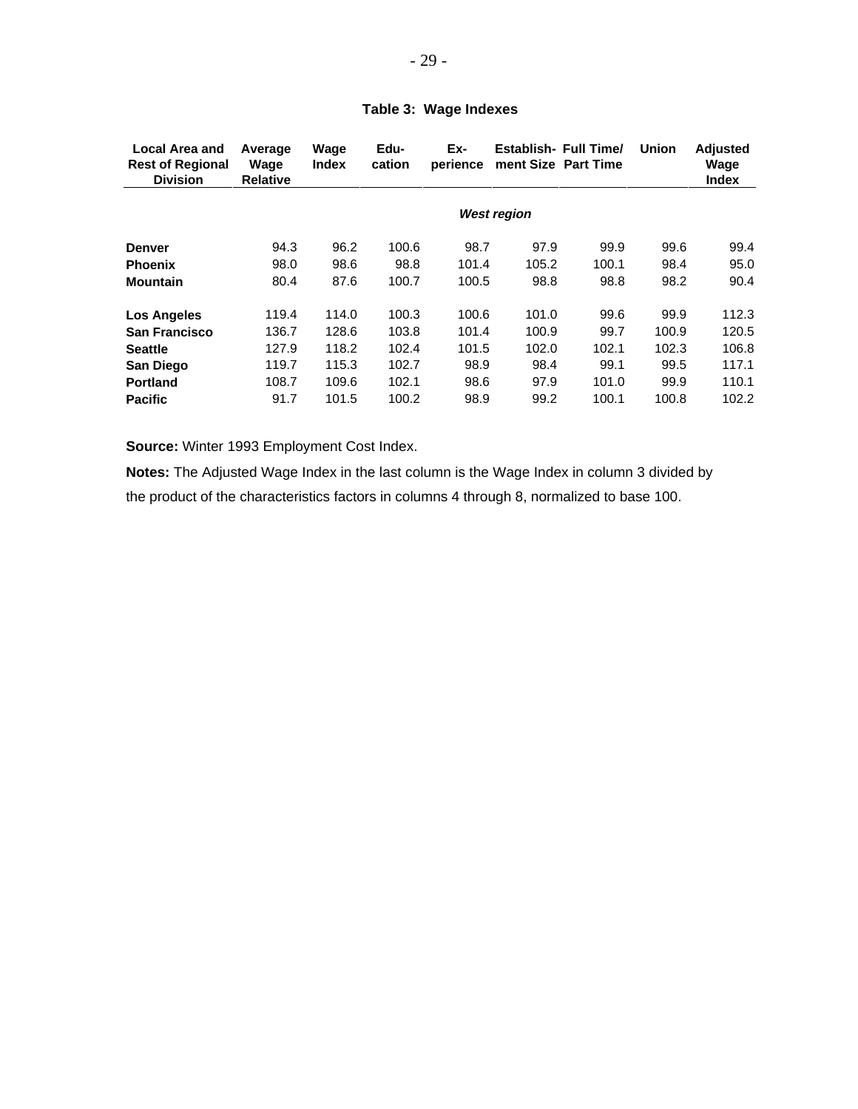| Table 3: Wage Indexes |  |  |
|-----------------------|--|--|
|-----------------------|--|--|

| <b>Local Area and</b><br><b>Rest of Regional</b><br><b>Division</b> | Average<br>Wage<br><b>Relative</b> | Wage<br><b>Index</b> | Edu-<br>cation | Ex-<br>perience | ment Size Part Time | Establish- Full Time/ | <b>Union</b> | <b>Adjusted</b><br>Wage<br><b>Index</b> |
|---------------------------------------------------------------------|------------------------------------|----------------------|----------------|-----------------|---------------------|-----------------------|--------------|-----------------------------------------|
|                                                                     |                                    |                      |                |                 | <b>West region</b>  |                       |              |                                         |
|                                                                     |                                    |                      |                |                 |                     |                       |              |                                         |
| <b>Denver</b>                                                       | 94.3                               | 96.2                 | 100.6          | 98.7            | 97.9                | 99.9                  | 99.6         | 99.4                                    |
| <b>Phoenix</b>                                                      | 98.0                               | 98.6                 | 98.8           | 101.4           | 105.2               | 100.1                 | 98.4         | 95.0                                    |
| <b>Mountain</b>                                                     | 80.4                               | 87.6                 | 100.7          | 100.5           | 98.8                | 98.8                  | 98.2         | 90.4                                    |
| <b>Los Angeles</b>                                                  | 119.4                              | 114.0                | 100.3          | 100.6           | 101.0               | 99.6                  | 99.9         | 112.3                                   |
| <b>San Francisco</b>                                                | 136.7                              | 128.6                | 103.8          | 101.4           | 100.9               | 99.7                  | 100.9        | 120.5                                   |
| <b>Seattle</b>                                                      | 127.9                              | 118.2                | 102.4          | 101.5           | 102.0               | 102.1                 | 102.3        | 106.8                                   |
| <b>San Diego</b>                                                    | 119.7                              | 115.3                | 102.7          | 98.9            | 98.4                | 99.1                  | 99.5         | 117.1                                   |
| <b>Portland</b>                                                     | 108.7                              | 109.6                | 102.1          | 98.6            | 97.9                | 101.0                 | 99.9         | 110.1                                   |
| <b>Pacific</b>                                                      | 91.7                               | 101.5                | 100.2          | 98.9            | 99.2                | 100.1                 | 100.8        | 102.2                                   |

**Source:** Winter 1993 Employment Cost Index.

**Notes:** The Adjusted Wage Index in the last column is the Wage Index in column 3 divided by the product of the characteristics factors in columns 4 through 8, normalized to base 100.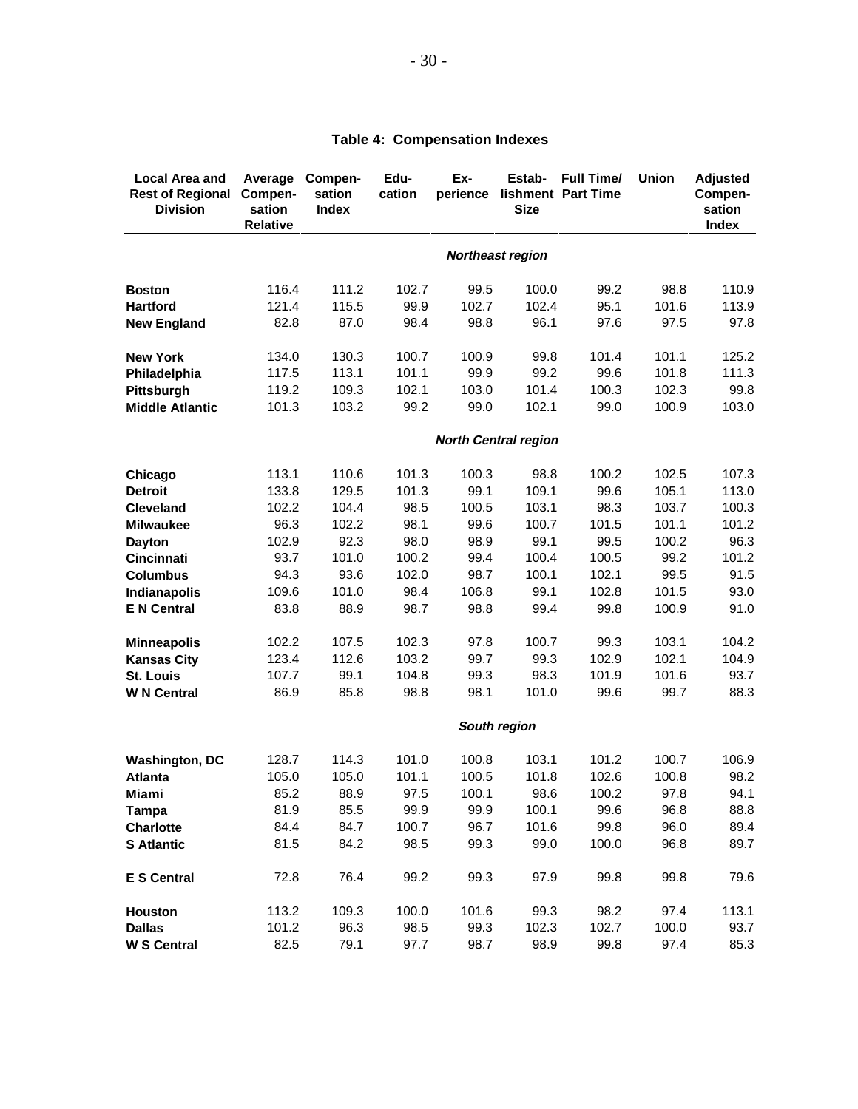| Local Area and<br><b>Rest of Regional</b><br><b>Division</b> | Average<br>Compen-<br>sation<br><b>Relative</b> | Compen-<br>sation<br><b>Index</b> | Edu-<br>cation | Ex-<br>perience | Estab-<br><b>Size</b>       | <b>Full Time/</b><br>lishment Part Time | Union | <b>Adjusted</b><br>Compen-<br>sation<br>Index |
|--------------------------------------------------------------|-------------------------------------------------|-----------------------------------|----------------|-----------------|-----------------------------|-----------------------------------------|-------|-----------------------------------------------|
|                                                              |                                                 |                                   |                |                 | <b>Northeast region</b>     |                                         |       |                                               |
| <b>Boston</b>                                                | 116.4                                           | 111.2                             | 102.7          | 99.5            | 100.0                       | 99.2                                    | 98.8  | 110.9                                         |
| <b>Hartford</b>                                              | 121.4                                           | 115.5                             | 99.9           | 102.7           | 102.4                       | 95.1                                    | 101.6 | 113.9                                         |
| <b>New England</b>                                           | 82.8                                            | 87.0                              | 98.4           | 98.8            | 96.1                        | 97.6                                    | 97.5  | 97.8                                          |
| <b>New York</b>                                              | 134.0                                           | 130.3                             | 100.7          | 100.9           | 99.8                        | 101.4                                   | 101.1 | 125.2                                         |
| Philadelphia                                                 | 117.5                                           | 113.1                             | 101.1          | 99.9            | 99.2                        | 99.6                                    | 101.8 | 111.3                                         |
| Pittsburgh                                                   | 119.2                                           | 109.3                             | 102.1          | 103.0           | 101.4                       | 100.3                                   | 102.3 | 99.8                                          |
| <b>Middle Atlantic</b>                                       | 101.3                                           | 103.2                             | 99.2           | 99.0            | 102.1                       | 99.0                                    | 100.9 | 103.0                                         |
|                                                              |                                                 |                                   |                |                 | <b>North Central region</b> |                                         |       |                                               |
| Chicago                                                      | 113.1                                           | 110.6                             | 101.3          | 100.3           | 98.8                        | 100.2                                   | 102.5 | 107.3                                         |
| <b>Detroit</b>                                               | 133.8                                           | 129.5                             | 101.3          | 99.1            | 109.1                       | 99.6                                    | 105.1 | 113.0                                         |
| <b>Cleveland</b>                                             | 102.2                                           | 104.4                             | 98.5           | 100.5           | 103.1                       | 98.3                                    | 103.7 | 100.3                                         |
| <b>Milwaukee</b>                                             | 96.3                                            | 102.2                             | 98.1           | 99.6            | 100.7                       | 101.5                                   | 101.1 | 101.2                                         |
| <b>Dayton</b>                                                | 102.9                                           | 92.3                              | 98.0           | 98.9            | 99.1                        | 99.5                                    | 100.2 | 96.3                                          |
| Cincinnati                                                   | 93.7                                            | 101.0                             | 100.2          | 99.4            | 100.4                       | 100.5                                   | 99.2  | 101.2                                         |
| <b>Columbus</b>                                              | 94.3                                            | 93.6                              | 102.0          | 98.7            | 100.1                       | 102.1                                   | 99.5  | 91.5                                          |
| Indianapolis                                                 | 109.6                                           | 101.0                             | 98.4           | 106.8           | 99.1                        | 102.8                                   | 101.5 | 93.0                                          |
| <b>E N Central</b>                                           | 83.8                                            | 88.9                              | 98.7           | 98.8            | 99.4                        | 99.8                                    | 100.9 | 91.0                                          |
| <b>Minneapolis</b>                                           | 102.2                                           | 107.5                             | 102.3          | 97.8            | 100.7                       | 99.3                                    | 103.1 | 104.2                                         |
| <b>Kansas City</b>                                           | 123.4                                           | 112.6                             | 103.2          | 99.7            | 99.3                        | 102.9                                   | 102.1 | 104.9                                         |
| <b>St. Louis</b>                                             | 107.7                                           | 99.1                              | 104.8          | 99.3            | 98.3                        | 101.9                                   | 101.6 | 93.7                                          |
| <b>W N Central</b>                                           | 86.9                                            | 85.8                              | 98.8           | 98.1            | 101.0                       | 99.6                                    | 99.7  | 88.3                                          |
|                                                              |                                                 |                                   |                |                 | South region                |                                         |       |                                               |
| <b>Washington, DC</b>                                        | 128.7                                           | 114.3                             | 101.0          | 100.8           | 103.1                       | 101.2                                   | 100.7 | 106.9                                         |
| <b>Atlanta</b>                                               | 105.0                                           | 105.0                             | 101.1          | 100.5           | 101.8                       | 102.6                                   | 100.8 | 98.2                                          |
| Miami                                                        | 85.2                                            | 88.9                              | 97.5           | 100.1           | 98.6                        | 100.2                                   | 97.8  | 94.1                                          |
| Tampa                                                        | 81.9                                            | 85.5                              | 99.9           | 99.9            | 100.1                       | 99.6                                    | 96.8  | 88.8                                          |
| <b>Charlotte</b>                                             | 84.4                                            | 84.7                              | 100.7          | 96.7            | 101.6                       | 99.8                                    | 96.0  | 89.4                                          |
| <b>S</b> Atlantic                                            | 81.5                                            | 84.2                              | 98.5           | 99.3            | 99.0                        | 100.0                                   | 96.8  | 89.7                                          |
| <b>E S Central</b>                                           | 72.8                                            | 76.4                              | 99.2           | 99.3            | 97.9                        | 99.8                                    | 99.8  | 79.6                                          |
| <b>Houston</b>                                               | 113.2                                           | 109.3                             | 100.0          | 101.6           | 99.3                        | 98.2                                    | 97.4  | 113.1                                         |
| <b>Dallas</b>                                                | 101.2                                           | 96.3                              | 98.5           | 99.3            | 102.3                       | 102.7                                   | 100.0 | 93.7                                          |
| <b>W S Central</b>                                           | 82.5                                            | 79.1                              | 97.7           | 98.7            | 98.9                        | 99.8                                    | 97.4  | 85.3                                          |

### **Table 4: Compensation Indexes**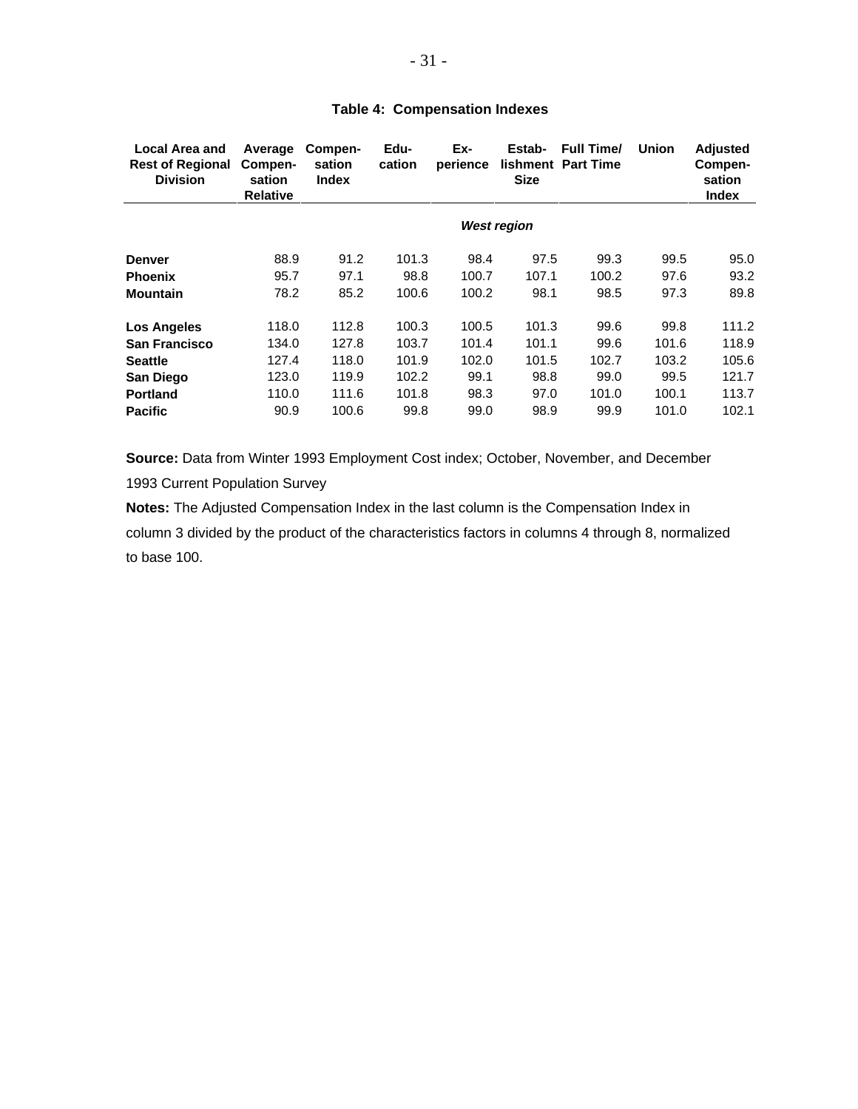| Local Area and<br><b>Rest of Regional</b><br><b>Division</b> | Average<br>Compen-<br>sation<br><b>Relative</b> | Compen-<br>sation<br><b>Index</b> | Edu-<br>cation | Ex-<br>perience | Estab-<br><b>Size</b> | <b>Full Time/</b><br>lishment Part Time | <b>Union</b> | <b>Adjusted</b><br>Compen-<br>sation<br><b>Index</b> |
|--------------------------------------------------------------|-------------------------------------------------|-----------------------------------|----------------|-----------------|-----------------------|-----------------------------------------|--------------|------------------------------------------------------|
|                                                              |                                                 |                                   |                |                 | <b>West region</b>    |                                         |              |                                                      |
| <b>Denver</b>                                                | 88.9                                            | 91.2                              | 101.3          | 98.4            | 97.5                  | 99.3                                    | 99.5         | 95.0                                                 |
| <b>Phoenix</b>                                               | 95.7                                            | 97.1                              | 98.8           | 100.7           | 107.1                 | 100.2                                   | 97.6         | 93.2                                                 |
| <b>Mountain</b>                                              | 78.2                                            | 85.2                              | 100.6          | 100.2           | 98.1                  | 98.5                                    | 97.3         | 89.8                                                 |
| <b>Los Angeles</b>                                           | 118.0                                           | 112.8                             | 100.3          | 100.5           | 101.3                 | 99.6                                    | 99.8         | 111.2                                                |
| <b>San Francisco</b>                                         | 134.0                                           | 127.8                             | 103.7          | 101.4           | 101.1                 | 99.6                                    | 101.6        | 118.9                                                |
| <b>Seattle</b>                                               | 127.4                                           | 118.0                             | 101.9          | 102.0           | 101.5                 | 102.7                                   | 103.2        | 105.6                                                |
| <b>San Diego</b>                                             | 123.0                                           | 119.9                             | 102.2          | 99.1            | 98.8                  | 99.0                                    | 99.5         | 121.7                                                |
| <b>Portland</b>                                              | 110.0                                           | 111.6                             | 101.8          | 98.3            | 97.0                  | 101.0                                   | 100.1        | 113.7                                                |
| <b>Pacific</b>                                               | 90.9                                            | 100.6                             | 99.8           | 99.0            | 98.9                  | 99.9                                    | 101.0        | 102.1                                                |

#### **Table 4: Compensation Indexes**

**Source:** Data from Winter 1993 Employment Cost index; October, November, and December 1993 Current Population Survey

**Notes:** The Adjusted Compensation Index in the last column is the Compensation Index in column 3 divided by the product of the characteristics factors in columns 4 through 8, normalized to base 100.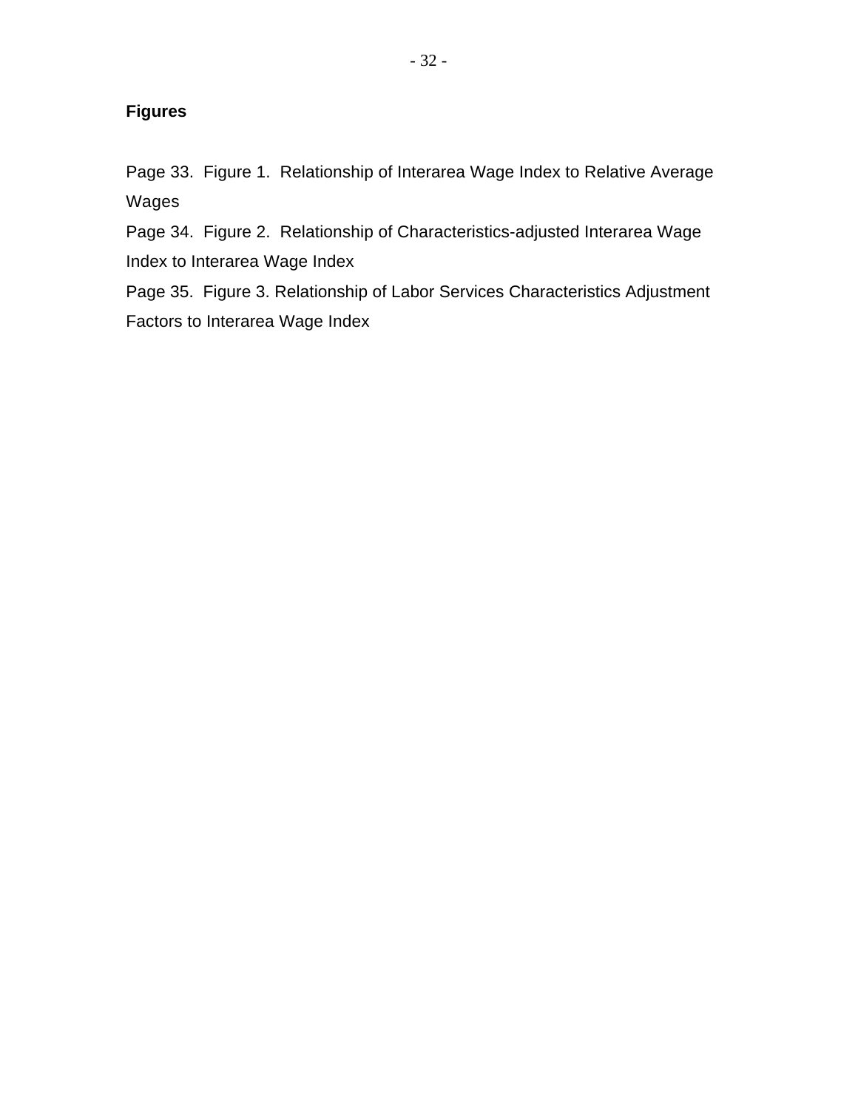# **Figures**

Page 33. Figure 1. Relationship of Interarea Wage Index to Relative Average Wages

Page 34. Figure 2. Relationship of Characteristics-adjusted Interarea Wage Index to Interarea Wage Index

Page 35. Figure 3. Relationship of Labor Services Characteristics Adjustment Factors to Interarea Wage Index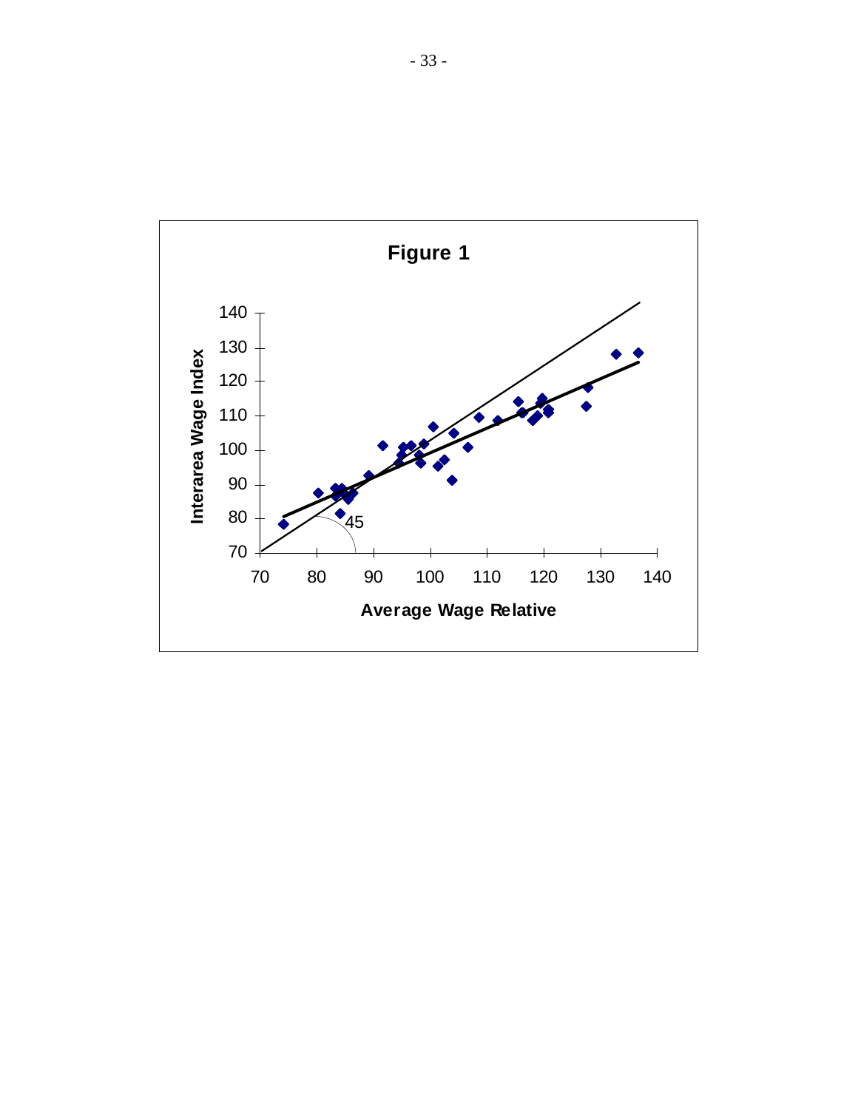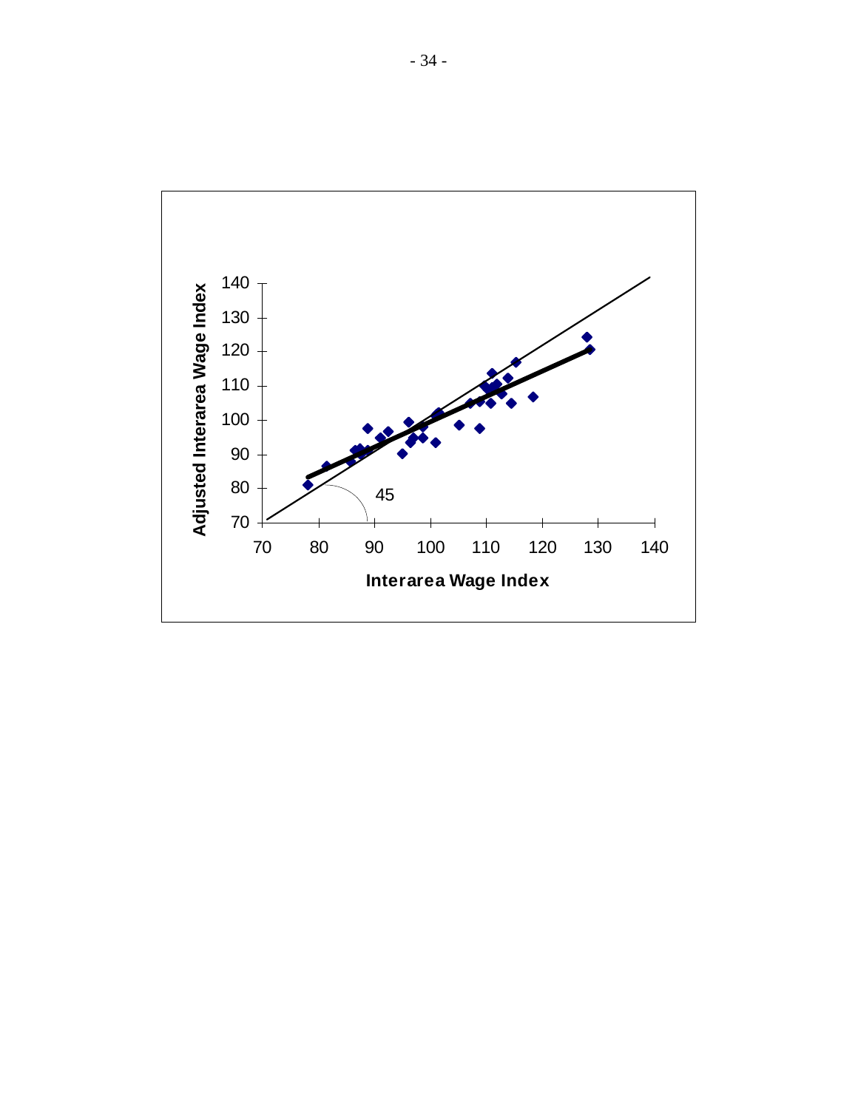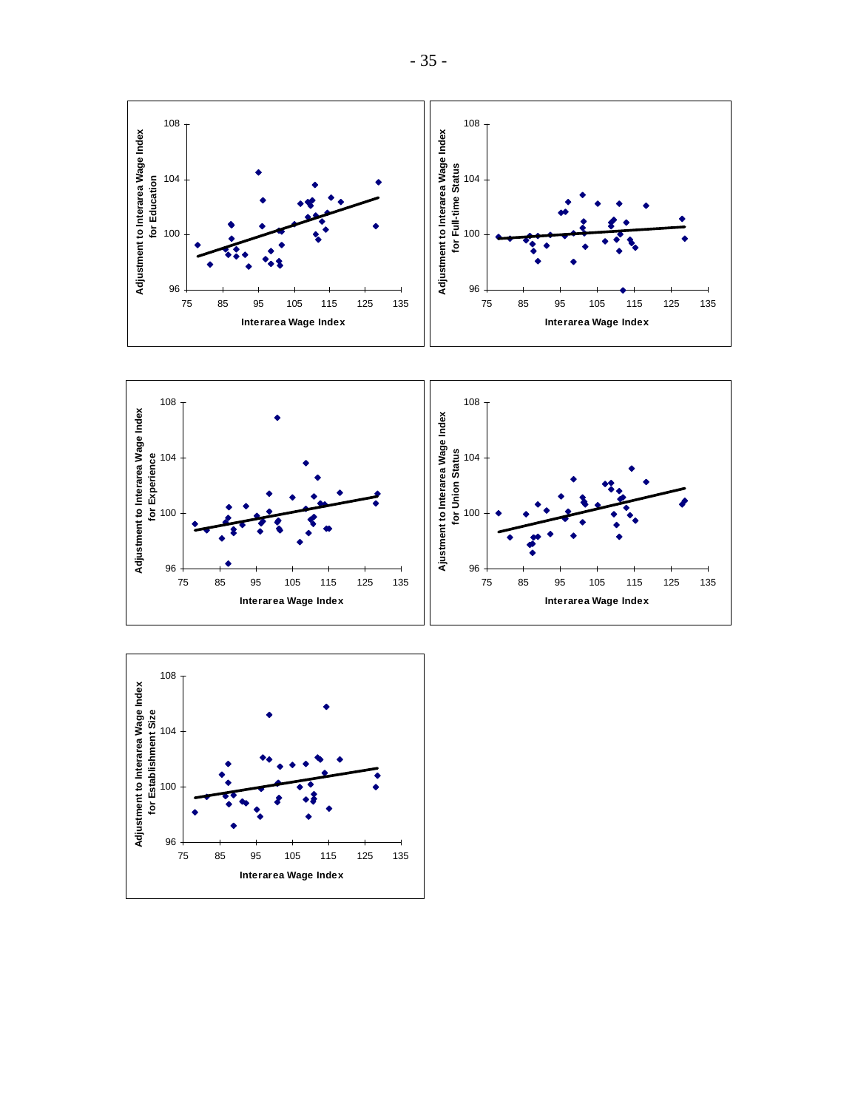

![](_page_37_Figure_1.jpeg)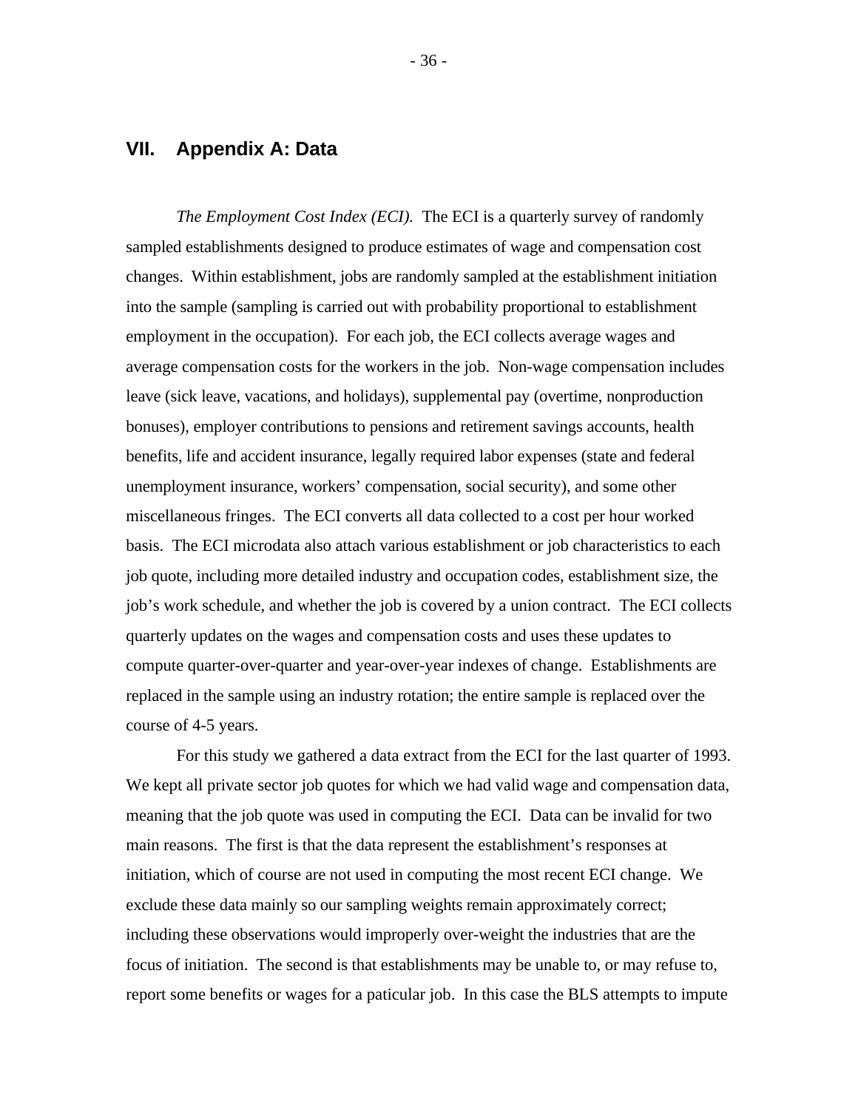### **VII. Appendix A: Data**

*The Employment Cost Index (ECI).* The ECI is a quarterly survey of randomly sampled establishments designed to produce estimates of wage and compensation cost changes. Within establishment, jobs are randomly sampled at the establishment initiation into the sample (sampling is carried out with probability proportional to establishment employment in the occupation). For each job, the ECI collects average wages and average compensation costs for the workers in the job. Non-wage compensation includes leave (sick leave, vacations, and holidays), supplemental pay (overtime, nonproduction bonuses), employer contributions to pensions and retirement savings accounts, health benefits, life and accident insurance, legally required labor expenses (state and federal unemployment insurance, workers' compensation, social security), and some other miscellaneous fringes. The ECI converts all data collected to a cost per hour worked basis. The ECI microdata also attach various establishment or job characteristics to each job quote, including more detailed industry and occupation codes, establishment size, the job's work schedule, and whether the job is covered by a union contract. The ECI collects quarterly updates on the wages and compensation costs and uses these updates to compute quarter-over-quarter and year-over-year indexes of change. Establishments are replaced in the sample using an industry rotation; the entire sample is replaced over the course of 4-5 years.

For this study we gathered a data extract from the ECI for the last quarter of 1993. We kept all private sector job quotes for which we had valid wage and compensation data, meaning that the job quote was used in computing the ECI. Data can be invalid for two main reasons. The first is that the data represent the establishment's responses at initiation, which of course are not used in computing the most recent ECI change. We exclude these data mainly so our sampling weights remain approximately correct; including these observations would improperly over-weight the industries that are the focus of initiation. The second is that establishments may be unable to, or may refuse to, report some benefits or wages for a paticular job. In this case the BLS attempts to impute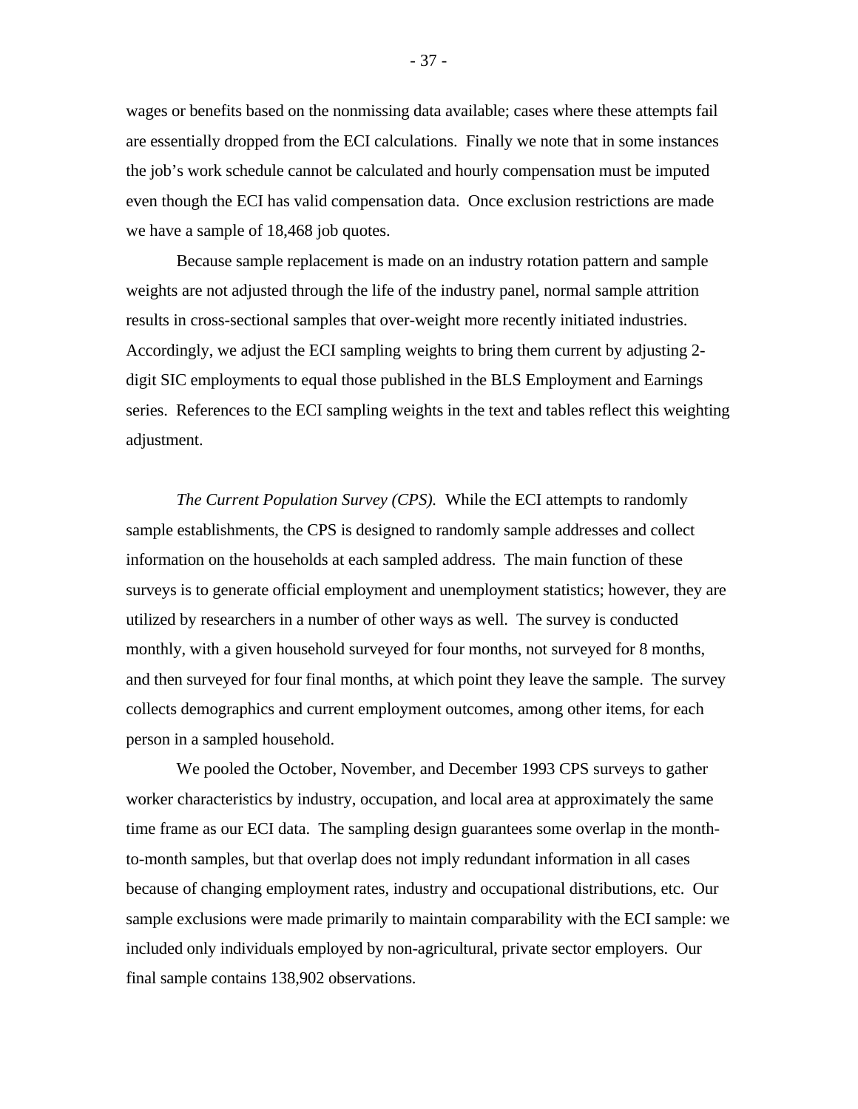wages or benefits based on the nonmissing data available; cases where these attempts fail are essentially dropped from the ECI calculations. Finally we note that in some instances the job's work schedule cannot be calculated and hourly compensation must be imputed even though the ECI has valid compensation data. Once exclusion restrictions are made we have a sample of 18,468 job quotes.

Because sample replacement is made on an industry rotation pattern and sample weights are not adjusted through the life of the industry panel, normal sample attrition results in cross-sectional samples that over-weight more recently initiated industries. Accordingly, we adjust the ECI sampling weights to bring them current by adjusting 2 digit SIC employments to equal those published in the BLS Employment and Earnings series. References to the ECI sampling weights in the text and tables reflect this weighting adjustment.

*The Current Population Survey (CPS).* While the ECI attempts to randomly sample establishments, the CPS is designed to randomly sample addresses and collect information on the households at each sampled address. The main function of these surveys is to generate official employment and unemployment statistics; however, they are utilized by researchers in a number of other ways as well. The survey is conducted monthly, with a given household surveyed for four months, not surveyed for 8 months, and then surveyed for four final months, at which point they leave the sample. The survey collects demographics and current employment outcomes, among other items, for each person in a sampled household.

We pooled the October, November, and December 1993 CPS surveys to gather worker characteristics by industry, occupation, and local area at approximately the same time frame as our ECI data. The sampling design guarantees some overlap in the monthto-month samples, but that overlap does not imply redundant information in all cases because of changing employment rates, industry and occupational distributions, etc. Our sample exclusions were made primarily to maintain comparability with the ECI sample: we included only individuals employed by non-agricultural, private sector employers. Our final sample contains 138,902 observations.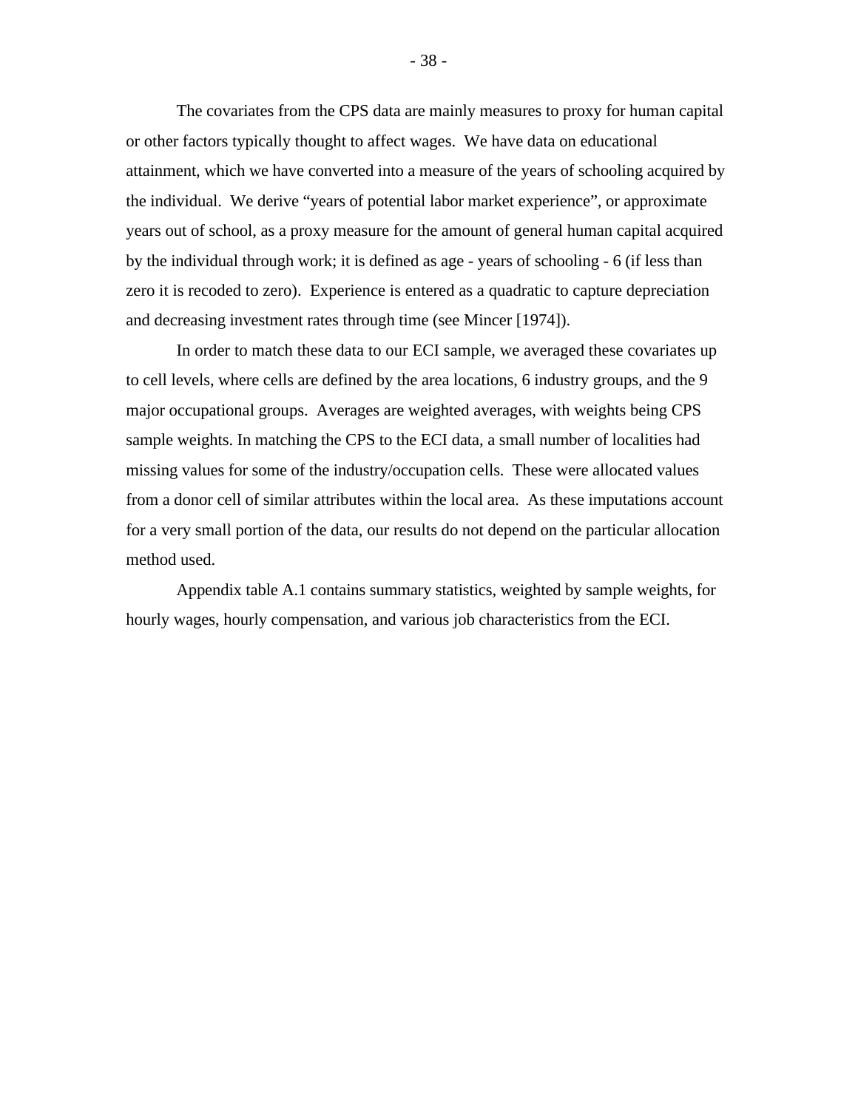The covariates from the CPS data are mainly measures to proxy for human capital or other factors typically thought to affect wages. We have data on educational attainment, which we have converted into a measure of the years of schooling acquired by the individual. We derive "years of potential labor market experience", or approximate years out of school, as a proxy measure for the amount of general human capital acquired by the individual through work; it is defined as age - years of schooling - 6 (if less than zero it is recoded to zero). Experience is entered as a quadratic to capture depreciation and decreasing investment rates through time (see Mincer [1974]).

In order to match these data to our ECI sample, we averaged these covariates up to cell levels, where cells are defined by the area locations, 6 industry groups, and the 9 major occupational groups. Averages are weighted averages, with weights being CPS sample weights. In matching the CPS to the ECI data, a small number of localities had missing values for some of the industry/occupation cells. These were allocated values from a donor cell of similar attributes within the local area. As these imputations account for a very small portion of the data, our results do not depend on the particular allocation method used.

Appendix table A.1 contains summary statistics, weighted by sample weights, for hourly wages, hourly compensation, and various job characteristics from the ECI.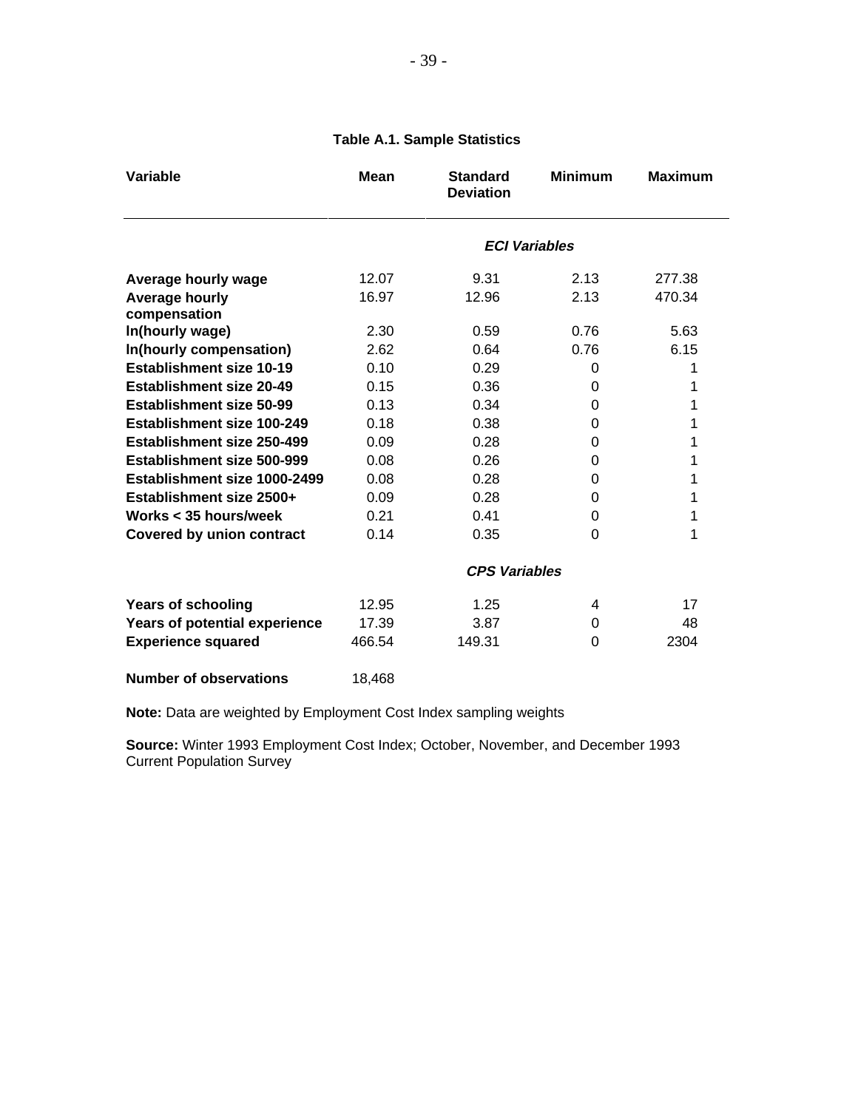| Variable                              | <b>Mean</b> | <b>Standard</b><br><b>Deviation</b> | <b>Minimum</b>       | <b>Maximum</b> |
|---------------------------------------|-------------|-------------------------------------|----------------------|----------------|
|                                       |             |                                     | <b>ECI Variables</b> |                |
| Average hourly wage                   | 12.07       | 9.31                                | 2.13                 | 277.38         |
| <b>Average hourly</b><br>compensation | 16.97       | 12.96                               | 2.13                 | 470.34         |
| In(hourly wage)                       | 2.30        | 0.59                                | 0.76                 | 5.63           |
| In(hourly compensation)               | 2.62        | 0.64                                | 0.76                 | 6.15           |
| <b>Establishment size 10-19</b>       | 0.10        | 0.29                                | 0                    | 1              |
| <b>Establishment size 20-49</b>       | 0.15        | 0.36                                | 0                    | 1              |
| <b>Establishment size 50-99</b>       | 0.13        | 0.34                                | 0                    | 1              |
| Establishment size 100-249            | 0.18        | 0.38                                | 0                    | 1              |
| Establishment size 250-499            | 0.09        | 0.28                                | 0                    | 1              |
| Establishment size 500-999            | 0.08        | 0.26                                | 0                    | 1              |
| Establishment size 1000-2499          | 0.08        | 0.28                                | 0                    | 1              |
| Establishment size 2500+              | 0.09        | 0.28                                | 0                    | 1              |
| Works $<$ 35 hours/week               | 0.21        | 0.41                                | 0                    | 1              |
| <b>Covered by union contract</b>      | 0.14        | 0.35                                | 0                    | 1              |
|                                       |             | <b>CPS Variables</b>                |                      |                |
| <b>Years of schooling</b>             | 12.95       | 1.25                                | 4                    | 17             |
| Years of potential experience         | 17.39       | 3.87                                | 0                    | 48             |
| <b>Experience squared</b>             | 466.54      | 149.31                              | 0                    | 2304           |
| <b>Number of observations</b>         | 18,468      |                                     |                      |                |

#### **Table A.1. Sample Statistics**

**Note:** Data are weighted by Employment Cost Index sampling weights

**Source:** Winter 1993 Employment Cost Index; October, November, and December 1993 Current Population Survey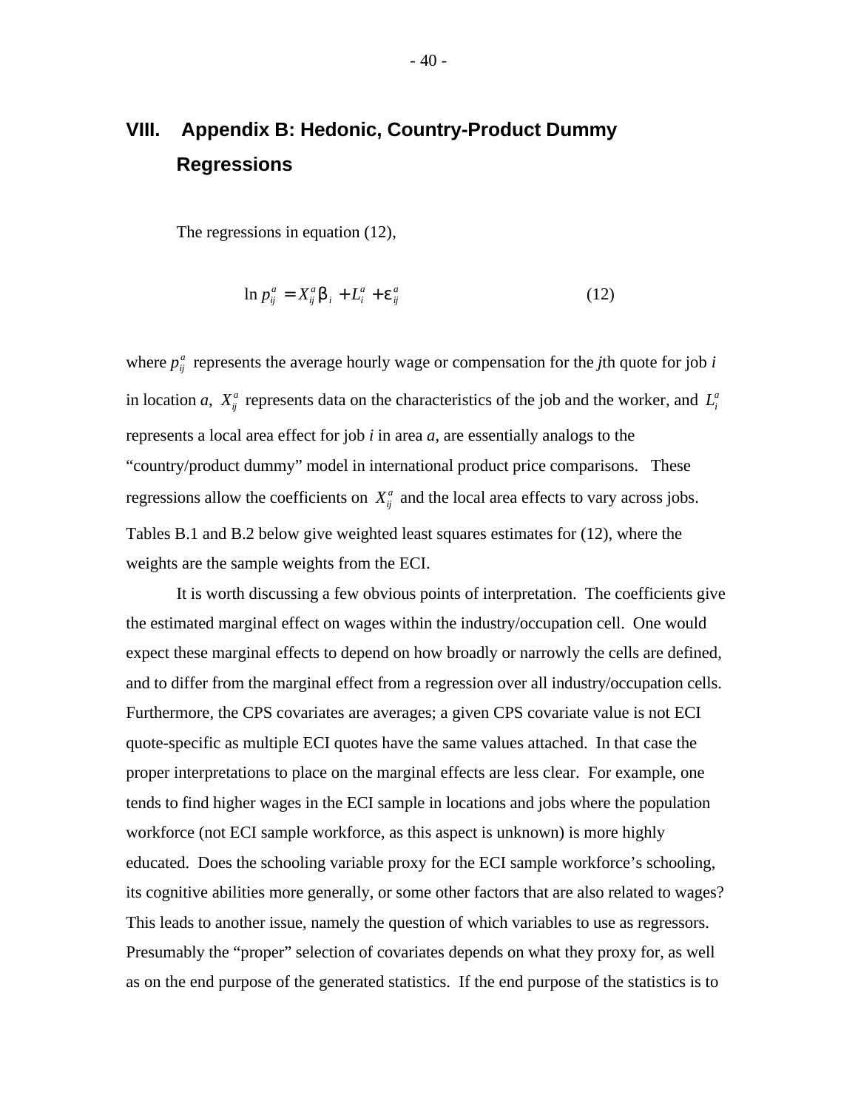# **VIII. Appendix B: Hedonic, Country-Product Dummy Regressions**

The regressions in equation (12),

$$
\ln p_{ij}^a = X_{ij}^a \beta_i + L_i^a + \varepsilon_{ij}^a \tag{12}
$$

where  $p_{ij}^a$  represents the average hourly wage or compensation for the *j*th quote for job *i* in location *a*,  $X_{ij}^a$  represents data on the characteristics of the job and the worker, and  $L_i^a$ represents a local area effect for job *i* in area *a*, are essentially analogs to the "country/product dummy" model in international product price comparisons. These regressions allow the coefficients on  $X_{ij}^a$  and the local area effects to vary across jobs. Tables B.1 and B.2 below give weighted least squares estimates for (12), where the weights are the sample weights from the ECI.

It is worth discussing a few obvious points of interpretation. The coefficients give the estimated marginal effect on wages within the industry/occupation cell. One would expect these marginal effects to depend on how broadly or narrowly the cells are defined, and to differ from the marginal effect from a regression over all industry/occupation cells. Furthermore, the CPS covariates are averages; a given CPS covariate value is not ECI quote-specific as multiple ECI quotes have the same values attached. In that case the proper interpretations to place on the marginal effects are less clear. For example, one tends to find higher wages in the ECI sample in locations and jobs where the population workforce (not ECI sample workforce, as this aspect is unknown) is more highly educated. Does the schooling variable proxy for the ECI sample workforce's schooling, its cognitive abilities more generally, or some other factors that are also related to wages? This leads to another issue, namely the question of which variables to use as regressors. Presumably the "proper" selection of covariates depends on what they proxy for, as well as on the end purpose of the generated statistics. If the end purpose of the statistics is to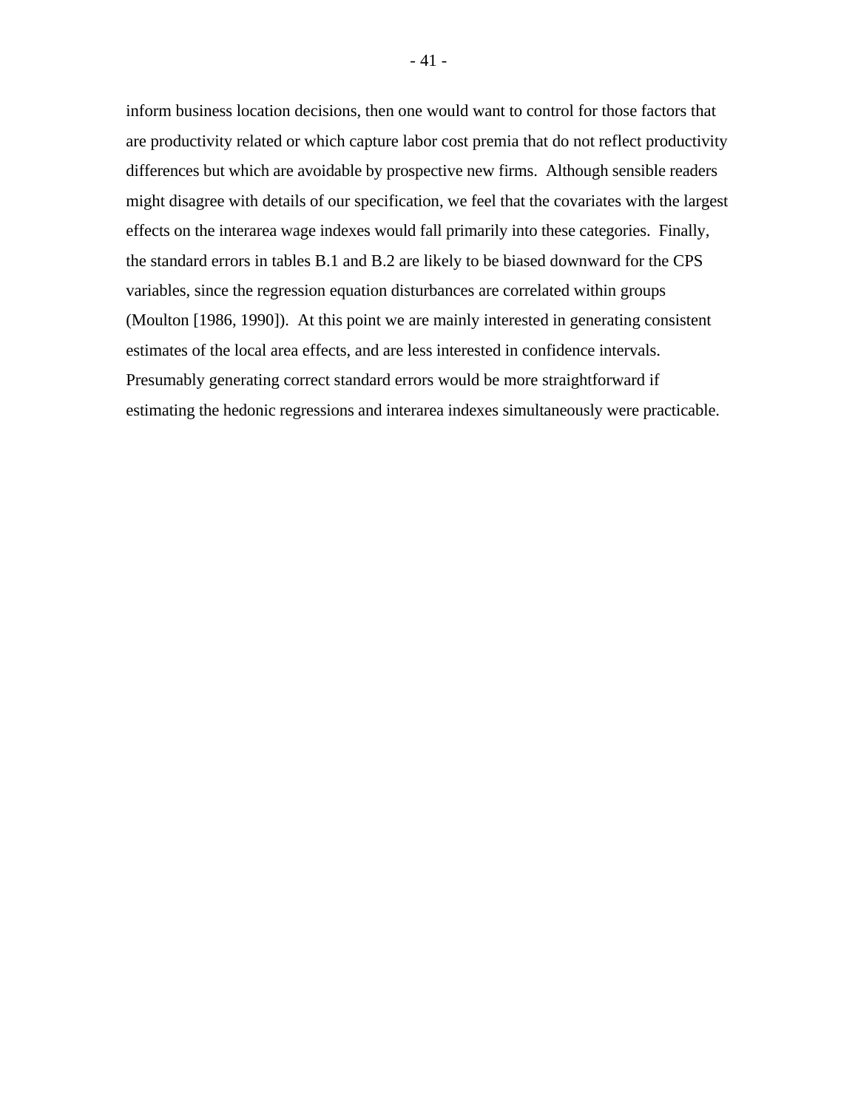inform business location decisions, then one would want to control for those factors that are productivity related or which capture labor cost premia that do not reflect productivity differences but which are avoidable by prospective new firms. Although sensible readers might disagree with details of our specification, we feel that the covariates with the largest effects on the interarea wage indexes would fall primarily into these categories. Finally, the standard errors in tables B.1 and B.2 are likely to be biased downward for the CPS variables, since the regression equation disturbances are correlated within groups (Moulton [1986, 1990]). At this point we are mainly interested in generating consistent estimates of the local area effects, and are less interested in confidence intervals. Presumably generating correct standard errors would be more straightforward if estimating the hedonic regressions and interarea indexes simultaneously were practicable.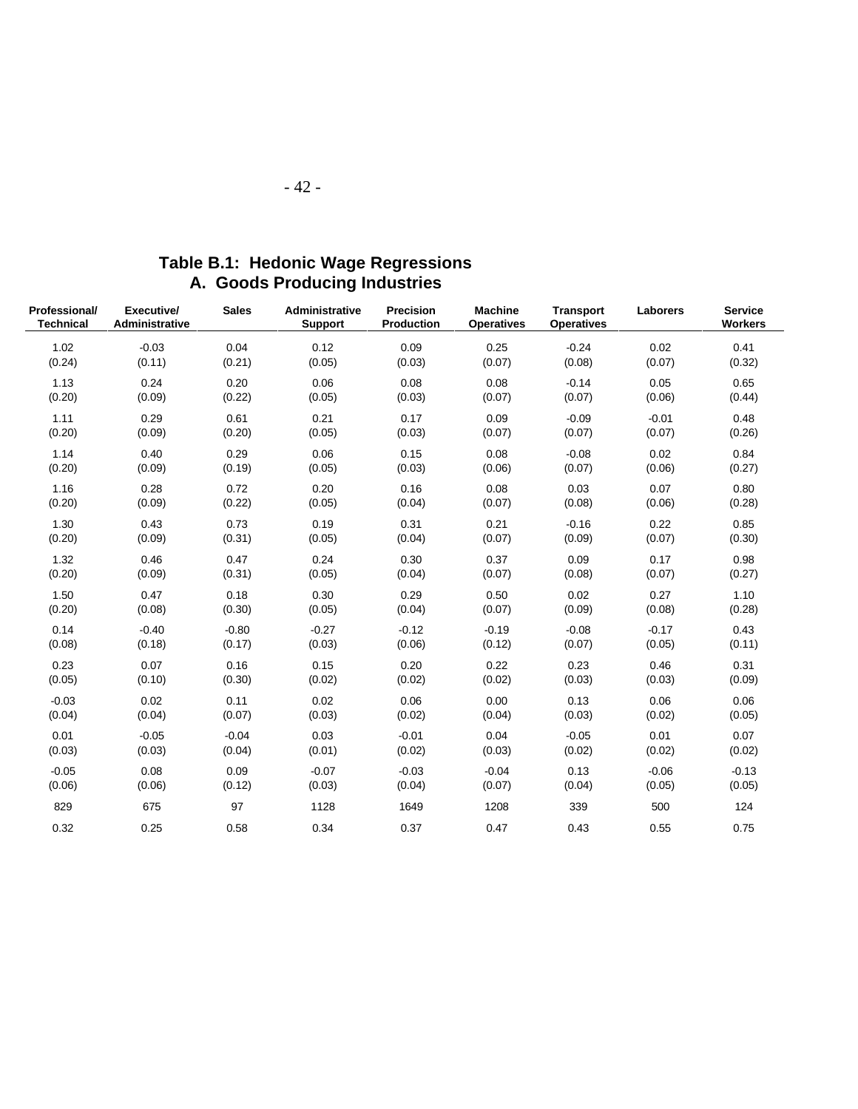| Professional/<br>Technical | Executive/<br>Administrative | <b>Sales</b> | Administrative<br><b>Support</b> | Precision<br><b>Production</b> | <b>Machine</b><br><b>Operatives</b> | <b>Transport</b><br><b>Operatives</b> | Laborers | <b>Service</b><br><b>Workers</b> |
|----------------------------|------------------------------|--------------|----------------------------------|--------------------------------|-------------------------------------|---------------------------------------|----------|----------------------------------|
| 1.02                       | $-0.03$                      | 0.04         | 0.12                             | 0.09                           | 0.25                                | $-0.24$                               | 0.02     | 0.41                             |
| (0.24)                     | (0.11)                       | (0.21)       | (0.05)                           | (0.03)                         | (0.07)                              | (0.08)                                | (0.07)   | (0.32)                           |
| 1.13                       | 0.24                         | 0.20         | 0.06                             | 0.08                           | 0.08                                | $-0.14$                               | 0.05     | 0.65                             |
| (0.20)                     | (0.09)                       | (0.22)       | (0.05)                           | (0.03)                         | (0.07)                              | (0.07)                                | (0.06)   | (0.44)                           |
| 1.11                       | 0.29                         | 0.61         | 0.21                             | 0.17                           | 0.09                                | $-0.09$                               | $-0.01$  | 0.48                             |
| (0.20)                     | (0.09)                       | (0.20)       | (0.05)                           | (0.03)                         | (0.07)                              | (0.07)                                | (0.07)   | (0.26)                           |
| 1.14                       | 0.40                         | 0.29         | 0.06                             | 0.15                           | 0.08                                | $-0.08$                               | 0.02     | 0.84                             |
| (0.20)                     | (0.09)                       | (0.19)       | (0.05)                           | (0.03)                         | (0.06)                              | (0.07)                                | (0.06)   | (0.27)                           |
| 1.16                       | 0.28                         | 0.72         | 0.20                             | 0.16                           | 0.08                                | 0.03                                  | 0.07     | 0.80                             |
| (0.20)                     | (0.09)                       | (0.22)       | (0.05)                           | (0.04)                         | (0.07)                              | (0.08)                                | (0.06)   | (0.28)                           |
| 1.30                       | 0.43                         | 0.73         | 0.19                             | 0.31                           | 0.21                                | $-0.16$                               | 0.22     | 0.85                             |
| (0.20)                     | (0.09)                       | (0.31)       | (0.05)                           | (0.04)                         | (0.07)                              | (0.09)                                | (0.07)   | (0.30)                           |
| 1.32                       | 0.46                         | 0.47         | 0.24                             | 0.30                           | 0.37                                | 0.09                                  | 0.17     | 0.98                             |
| (0.20)                     | (0.09)                       | (0.31)       | (0.05)                           | (0.04)                         | (0.07)                              | (0.08)                                | (0.07)   | (0.27)                           |
| 1.50                       | 0.47                         | 0.18         | 0.30                             | 0.29                           | 0.50                                | 0.02                                  | 0.27     | 1.10                             |
| (0.20)                     | (0.08)                       | (0.30)       | (0.05)                           | (0.04)                         | (0.07)                              | (0.09)                                | (0.08)   | (0.28)                           |
| 0.14                       | $-0.40$                      | $-0.80$      | $-0.27$                          | $-0.12$                        | $-0.19$                             | $-0.08$                               | $-0.17$  | 0.43                             |
| (0.08)                     | (0.18)                       | (0.17)       | (0.03)                           | (0.06)                         | (0.12)                              | (0.07)                                | (0.05)   | (0.11)                           |
| 0.23                       | 0.07                         | 0.16         | 0.15                             | 0.20                           | 0.22                                | 0.23                                  | 0.46     | 0.31                             |
| (0.05)                     | (0.10)                       | (0.30)       | (0.02)                           | (0.02)                         | (0.02)                              | (0.03)                                | (0.03)   | (0.09)                           |
| $-0.03$                    | 0.02                         | 0.11         | 0.02                             | 0.06                           | 0.00                                | 0.13                                  | 0.06     | 0.06                             |
| (0.04)                     | (0.04)                       | (0.07)       | (0.03)                           | (0.02)                         | (0.04)                              | (0.03)                                | (0.02)   | (0.05)                           |
| 0.01                       | $-0.05$                      | $-0.04$      | 0.03                             | $-0.01$                        | 0.04                                | $-0.05$                               | 0.01     | 0.07                             |
| (0.03)                     | (0.03)                       | (0.04)       | (0.01)                           | (0.02)                         | (0.03)                              | (0.02)                                | (0.02)   | (0.02)                           |
| $-0.05$                    | 0.08                         | 0.09         | $-0.07$                          | $-0.03$                        | $-0.04$                             | 0.13                                  | $-0.06$  | $-0.13$                          |
| (0.06)                     | (0.06)                       | (0.12)       | (0.03)                           | (0.04)                         | (0.07)                              | (0.04)                                | (0.05)   | (0.05)                           |
| 829                        | 675                          | 97           | 1128                             | 1649                           | 1208                                | 339                                   | 500      | 124                              |
| 0.32                       | 0.25                         | 0.58         | 0.34                             | 0.37                           | 0.47                                | 0.43                                  | 0.55     | 0.75                             |

### **Table B.1: Hedonic Wage Regressions A. Goods Producing Industries**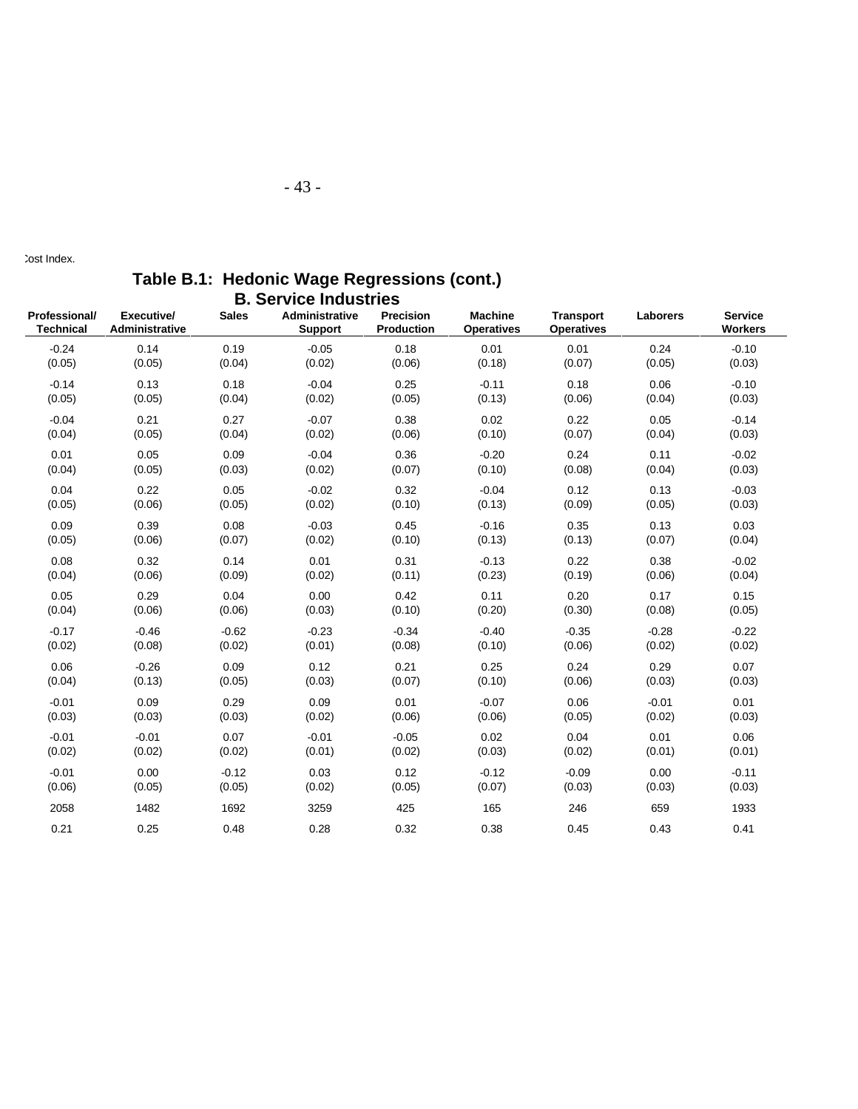Cost Index.

# **Table B.1: Hedonic Wage Regressions (cont.)**

**B. Service Industries**

| <b>Professional/</b><br><b>Technical</b> | Executive/<br>Administrative | <b>Sales</b> | <b>Administrative</b><br><b>Support</b> | <b>Precision</b><br>Production | <b>Machine</b><br><b>Operatives</b> | <b>Transport</b><br><b>Operatives</b> | Laborers | <b>Service</b><br><b>Workers</b> |
|------------------------------------------|------------------------------|--------------|-----------------------------------------|--------------------------------|-------------------------------------|---------------------------------------|----------|----------------------------------|
| $-0.24$                                  | 0.14                         | 0.19         | $-0.05$                                 | 0.18                           | 0.01                                | 0.01                                  | 0.24     | $-0.10$                          |
| (0.05)                                   | (0.05)                       | (0.04)       | (0.02)                                  | (0.06)                         | (0.18)                              | (0.07)                                | (0.05)   | (0.03)                           |
| $-0.14$                                  | 0.13                         | 0.18         | $-0.04$                                 | 0.25                           | $-0.11$                             | 0.18                                  | 0.06     | $-0.10$                          |
| (0.05)                                   | (0.05)                       | (0.04)       | (0.02)                                  | (0.05)                         | (0.13)                              | (0.06)                                | (0.04)   | (0.03)                           |
| $-0.04$                                  | 0.21                         | 0.27         | $-0.07$                                 | 0.38                           | 0.02                                | 0.22                                  | 0.05     | $-0.14$                          |
| (0.04)                                   | (0.05)                       | (0.04)       | (0.02)                                  | (0.06)                         | (0.10)                              | (0.07)                                | (0.04)   | (0.03)                           |
| 0.01                                     | 0.05                         | 0.09         | $-0.04$                                 | 0.36                           | $-0.20$                             | 0.24                                  | 0.11     | $-0.02$                          |
| (0.04)                                   | (0.05)                       | (0.03)       | (0.02)                                  | (0.07)                         | (0.10)                              | (0.08)                                | (0.04)   | (0.03)                           |
| 0.04                                     | 0.22                         | 0.05         | $-0.02$                                 | 0.32                           | $-0.04$                             | 0.12                                  | 0.13     | $-0.03$                          |
| (0.05)                                   | (0.06)                       | (0.05)       | (0.02)                                  | (0.10)                         | (0.13)                              | (0.09)                                | (0.05)   | (0.03)                           |
| 0.09                                     | 0.39                         | 0.08         | $-0.03$                                 | 0.45                           | $-0.16$                             | 0.35                                  | 0.13     | 0.03                             |
| (0.05)                                   | (0.06)                       | (0.07)       | (0.02)                                  | (0.10)                         | (0.13)                              | (0.13)                                | (0.07)   | (0.04)                           |
| 0.08                                     | 0.32                         | 0.14         | 0.01                                    | 0.31                           | $-0.13$                             | 0.22                                  | 0.38     | $-0.02$                          |
| (0.04)                                   | (0.06)                       | (0.09)       | (0.02)                                  | (0.11)                         | (0.23)                              | (0.19)                                | (0.06)   | (0.04)                           |
| 0.05                                     | 0.29                         | 0.04         | 0.00                                    | 0.42                           | 0.11                                | 0.20                                  | 0.17     | 0.15                             |
| (0.04)                                   | (0.06)                       | (0.06)       | (0.03)                                  | (0.10)                         | (0.20)                              | (0.30)                                | (0.08)   | (0.05)                           |
| $-0.17$                                  | $-0.46$                      | $-0.62$      | $-0.23$                                 | $-0.34$                        | $-0.40$                             | $-0.35$                               | $-0.28$  | $-0.22$                          |
| (0.02)                                   | (0.08)                       | (0.02)       | (0.01)                                  | (0.08)                         | (0.10)                              | (0.06)                                | (0.02)   | (0.02)                           |
| 0.06                                     | $-0.26$                      | 0.09         | 0.12                                    | 0.21                           | 0.25                                | 0.24                                  | 0.29     | 0.07                             |
| (0.04)                                   | (0.13)                       | (0.05)       | (0.03)                                  | (0.07)                         | (0.10)                              | (0.06)                                | (0.03)   | (0.03)                           |
| $-0.01$                                  | 0.09                         | 0.29         | 0.09                                    | 0.01                           | $-0.07$                             | 0.06                                  | $-0.01$  | 0.01                             |
| (0.03)                                   | (0.03)                       | (0.03)       | (0.02)                                  | (0.06)                         | (0.06)                              | (0.05)                                | (0.02)   | (0.03)                           |
| $-0.01$                                  | $-0.01$                      | 0.07         | $-0.01$                                 | $-0.05$                        | 0.02                                | 0.04                                  | 0.01     | 0.06                             |
| (0.02)                                   | (0.02)                       | (0.02)       | (0.01)                                  | (0.02)                         | (0.03)                              | (0.02)                                | (0.01)   | (0.01)                           |
| $-0.01$                                  | 0.00                         | $-0.12$      | 0.03                                    | 0.12                           | $-0.12$                             | $-0.09$                               | 0.00     | $-0.11$                          |
| (0.06)                                   | (0.05)                       | (0.05)       | (0.02)                                  | (0.05)                         | (0.07)                              | (0.03)                                | (0.03)   | (0.03)                           |
| 2058                                     | 1482                         | 1692         | 3259                                    | 425                            | 165                                 | 246                                   | 659      | 1933                             |
| 0.21                                     | 0.25                         | 0.48         | 0.28                                    | 0.32                           | 0.38                                | 0.45                                  | 0.43     | 0.41                             |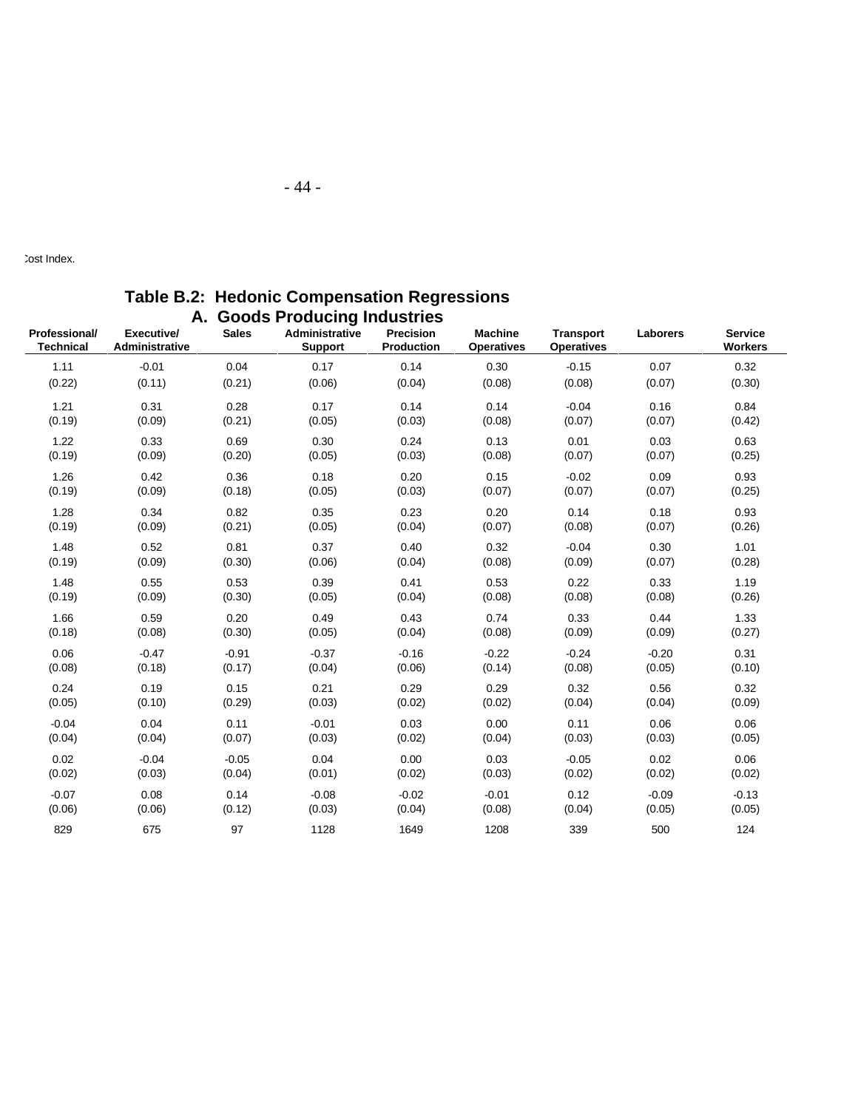Cost Index.

# **Table B.2: Hedonic Compensation Regressions**

| <b>Goods Producing Industries</b><br>А. |                              |              |                                  |                                |                                     |                                       |          |                                  |
|-----------------------------------------|------------------------------|--------------|----------------------------------|--------------------------------|-------------------------------------|---------------------------------------|----------|----------------------------------|
| Professional/<br><b>Technical</b>       | Executive/<br>Administrative | <b>Sales</b> | Administrative<br><b>Support</b> | <b>Precision</b><br>Production | <b>Machine</b><br><b>Operatives</b> | <b>Transport</b><br><b>Operatives</b> | Laborers | <b>Service</b><br><b>Workers</b> |
| 1.11                                    | $-0.01$                      | 0.04         | 0.17                             | 0.14                           | 0.30                                | $-0.15$                               | 0.07     | 0.32                             |
| (0.22)                                  | (0.11)                       | (0.21)       | (0.06)                           | (0.04)                         | (0.08)                              | (0.08)                                | (0.07)   | (0.30)                           |
| 1.21                                    | 0.31                         | 0.28         | 0.17                             | 0.14                           | 0.14                                | $-0.04$                               | 0.16     | 0.84                             |
| (0.19)                                  | (0.09)                       | (0.21)       | (0.05)                           | (0.03)                         | (0.08)                              | (0.07)                                | (0.07)   | (0.42)                           |
| 1.22                                    | 0.33                         | 0.69         | 0.30                             | 0.24                           | 0.13                                | 0.01                                  | 0.03     | 0.63                             |
| (0.19)                                  | (0.09)                       | (0.20)       | (0.05)                           | (0.03)                         | (0.08)                              | (0.07)                                | (0.07)   | (0.25)                           |
| 1.26                                    | 0.42                         | 0.36         | 0.18                             | 0.20                           | 0.15                                | $-0.02$                               | 0.09     | 0.93                             |
| (0.19)                                  | (0.09)                       | (0.18)       | (0.05)                           | (0.03)                         | (0.07)                              | (0.07)                                | (0.07)   | (0.25)                           |
| 1.28                                    | 0.34                         | 0.82         | 0.35                             | 0.23                           | 0.20                                | 0.14                                  | 0.18     | 0.93                             |
| (0.19)                                  | (0.09)                       | (0.21)       | (0.05)                           | (0.04)                         | (0.07)                              | (0.08)                                | (0.07)   | (0.26)                           |
| 1.48                                    | 0.52                         | 0.81         | 0.37                             | 0.40                           | 0.32                                | $-0.04$                               | 0.30     | 1.01                             |
| (0.19)                                  | (0.09)                       | (0.30)       | (0.06)                           | (0.04)                         | (0.08)                              | (0.09)                                | (0.07)   | (0.28)                           |
| 1.48                                    | 0.55                         | 0.53         | 0.39                             | 0.41                           | 0.53                                | 0.22                                  | 0.33     | 1.19                             |
| (0.19)                                  | (0.09)                       | (0.30)       | (0.05)                           | (0.04)                         | (0.08)                              | (0.08)                                | (0.08)   | (0.26)                           |
| 1.66                                    | 0.59                         | 0.20         | 0.49                             | 0.43                           | 0.74                                | 0.33                                  | 0.44     | 1.33                             |
| (0.18)                                  | (0.08)                       | (0.30)       | (0.05)                           | (0.04)                         | (0.08)                              | (0.09)                                | (0.09)   | (0.27)                           |
| 0.06                                    | $-0.47$                      | $-0.91$      | $-0.37$                          | $-0.16$                        | $-0.22$                             | $-0.24$                               | $-0.20$  | 0.31                             |
| (0.08)                                  | (0.18)                       | (0.17)       | (0.04)                           | (0.06)                         | (0.14)                              | (0.08)                                | (0.05)   | (0.10)                           |
| 0.24                                    | 0.19                         | 0.15         | 0.21                             | 0.29                           | 0.29                                | 0.32                                  | 0.56     | 0.32                             |
| (0.05)                                  | (0.10)                       | (0.29)       | (0.03)                           | (0.02)                         | (0.02)                              | (0.04)                                | (0.04)   | (0.09)                           |
| $-0.04$                                 | 0.04                         | 0.11         | $-0.01$                          | 0.03                           | 0.00                                | 0.11                                  | 0.06     | 0.06                             |
| (0.04)                                  | (0.04)                       | (0.07)       | (0.03)                           | (0.02)                         | (0.04)                              | (0.03)                                | (0.03)   | (0.05)                           |
| 0.02                                    | $-0.04$                      | $-0.05$      | 0.04                             | 0.00                           | 0.03                                | $-0.05$                               | 0.02     | 0.06                             |
| (0.02)                                  | (0.03)                       | (0.04)       | (0.01)                           | (0.02)                         | (0.03)                              | (0.02)                                | (0.02)   | (0.02)                           |
| $-0.07$                                 | 0.08                         | 0.14         | $-0.08$                          | $-0.02$                        | $-0.01$                             | 0.12                                  | $-0.09$  | $-0.13$                          |
| (0.06)                                  | (0.06)                       | (0.12)       | (0.03)                           | (0.04)                         | (0.08)                              | (0.04)                                | (0.05)   | (0.05)                           |
| 829                                     | 675                          | 97           | 1128                             | 1649                           | 1208                                | 339                                   | 500      | 124                              |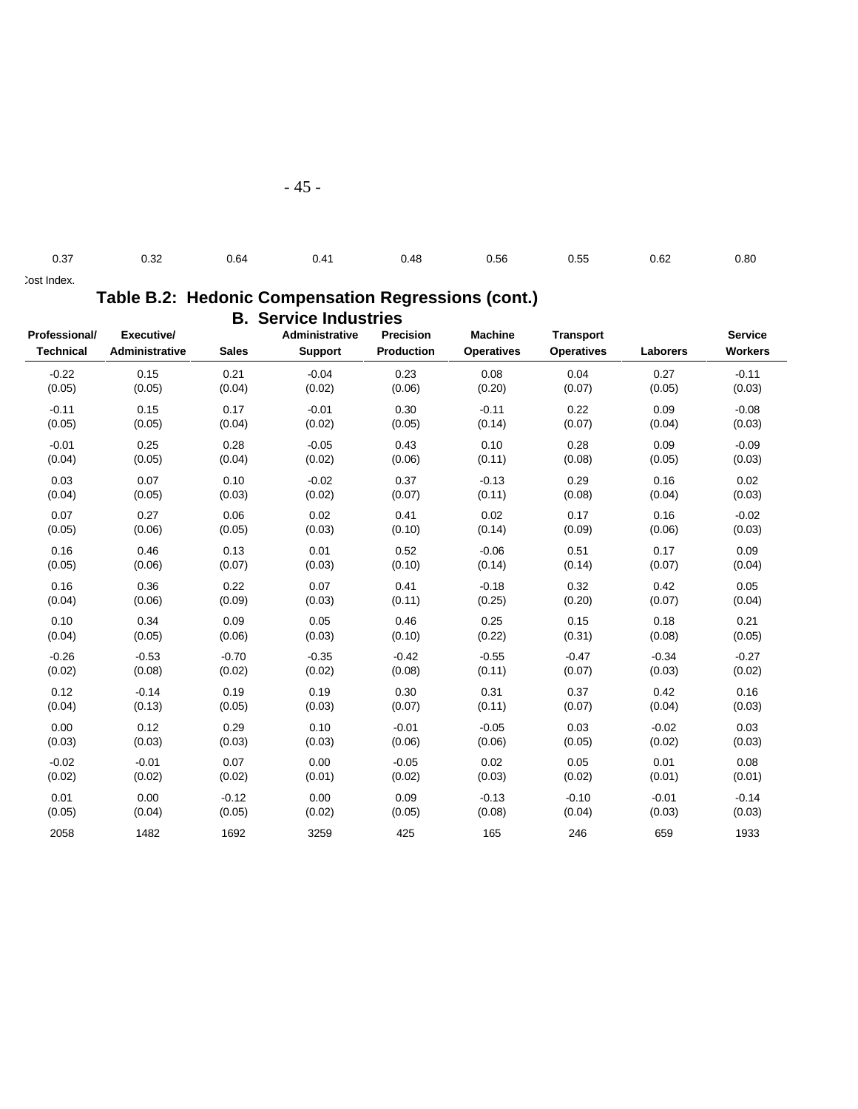| $0.37$ 0.32 |  | 0.64 | 0.41 | 0.48 | 0.56 | 0.55 | 0.62 | 0.80 |
|-------------|--|------|------|------|------|------|------|------|
|-------------|--|------|------|------|------|------|------|------|

Cost Index.

# **Table B.2: Hedonic Compensation Regressions (cont.)**

**B. Service Industries**

| <b>Professional/</b><br><b>Technical</b> | Executive/<br>Administrative | <b>Sales</b> | Administrative<br><b>Support</b> | <b>Precision</b><br>Production | <b>Machine</b><br><b>Operatives</b> | <b>Transport</b><br><b>Operatives</b> | Laborers | <b>Service</b><br><b>Workers</b> |
|------------------------------------------|------------------------------|--------------|----------------------------------|--------------------------------|-------------------------------------|---------------------------------------|----------|----------------------------------|
|                                          |                              |              |                                  |                                |                                     |                                       |          |                                  |
| $-0.22$                                  | 0.15                         | 0.21         | $-0.04$                          | 0.23                           | 0.08                                | 0.04                                  | 0.27     | $-0.11$                          |
| (0.05)                                   | (0.05)                       | (0.04)       | (0.02)                           | (0.06)                         | (0.20)                              | (0.07)                                | (0.05)   | (0.03)                           |
| $-0.11$                                  | 0.15                         | 0.17         | $-0.01$                          | 0.30                           | $-0.11$                             | 0.22                                  | 0.09     | $-0.08$                          |
| (0.05)                                   | (0.05)                       | (0.04)       | (0.02)                           | (0.05)                         | (0.14)                              | (0.07)                                | (0.04)   | (0.03)                           |
| $-0.01$                                  | 0.25                         | 0.28         | $-0.05$                          | 0.43                           | 0.10                                | 0.28                                  | 0.09     | $-0.09$                          |
| (0.04)                                   | (0.05)                       | (0.04)       | (0.02)                           | (0.06)                         | (0.11)                              | (0.08)                                | (0.05)   | (0.03)                           |
| 0.03                                     | 0.07                         | 0.10         | $-0.02$                          | 0.37                           | $-0.13$                             | 0.29                                  | 0.16     | 0.02                             |
| (0.04)                                   | (0.05)                       | (0.03)       | (0.02)                           | (0.07)                         | (0.11)                              | (0.08)                                | (0.04)   | (0.03)                           |
| 0.07                                     | 0.27                         | 0.06         | 0.02                             | 0.41                           | 0.02                                | 0.17                                  | 0.16     | $-0.02$                          |
| (0.05)                                   | (0.06)                       | (0.05)       | (0.03)                           | (0.10)                         | (0.14)                              | (0.09)                                | (0.06)   | (0.03)                           |
| 0.16                                     | 0.46                         | 0.13         | 0.01                             | 0.52                           | $-0.06$                             | 0.51                                  | 0.17     | 0.09                             |
| (0.05)                                   | (0.06)                       | (0.07)       | (0.03)                           | (0.10)                         | (0.14)                              | (0.14)                                | (0.07)   | (0.04)                           |
| 0.16                                     | 0.36                         | 0.22         | 0.07                             | 0.41                           | $-0.18$                             | 0.32                                  | 0.42     | 0.05                             |
| (0.04)                                   | (0.06)                       | (0.09)       | (0.03)                           | (0.11)                         | (0.25)                              | (0.20)                                | (0.07)   | (0.04)                           |
| 0.10                                     | 0.34                         | 0.09         | 0.05                             | 0.46                           | 0.25                                | 0.15                                  | 0.18     | 0.21                             |
| (0.04)                                   | (0.05)                       | (0.06)       | (0.03)                           | (0.10)                         | (0.22)                              | (0.31)                                | (0.08)   | (0.05)                           |
| $-0.26$                                  | $-0.53$                      | $-0.70$      | $-0.35$                          | $-0.42$                        | $-0.55$                             | $-0.47$                               | $-0.34$  | $-0.27$                          |
| (0.02)                                   | (0.08)                       | (0.02)       | (0.02)                           | (0.08)                         | (0.11)                              | (0.07)                                | (0.03)   | (0.02)                           |
| 0.12                                     | $-0.14$                      | 0.19         | 0.19                             | 0.30                           | 0.31                                | 0.37                                  | 0.42     | 0.16                             |
| (0.04)                                   | (0.13)                       | (0.05)       | (0.03)                           | (0.07)                         | (0.11)                              | (0.07)                                | (0.04)   | (0.03)                           |
| 0.00                                     | 0.12                         | 0.29         | 0.10                             | $-0.01$                        | $-0.05$                             | 0.03                                  | $-0.02$  | 0.03                             |
| (0.03)                                   | (0.03)                       | (0.03)       | (0.03)                           | (0.06)                         | (0.06)                              | (0.05)                                | (0.02)   | (0.03)                           |
| $-0.02$                                  | $-0.01$                      | 0.07         | 0.00                             | $-0.05$                        | 0.02                                | 0.05                                  | 0.01     | 0.08                             |
| (0.02)                                   | (0.02)                       | (0.02)       | (0.01)                           | (0.02)                         | (0.03)                              | (0.02)                                | (0.01)   | (0.01)                           |
| 0.01                                     | 0.00                         | $-0.12$      | 0.00                             | 0.09                           | $-0.13$                             | $-0.10$                               | $-0.01$  | $-0.14$                          |
| (0.05)                                   | (0.04)                       | (0.05)       | (0.02)                           | (0.05)                         | (0.08)                              | (0.04)                                | (0.03)   | (0.03)                           |
| 2058                                     | 1482                         | 1692         | 3259                             | 425                            | 165                                 | 246                                   | 659      | 1933                             |

- 45 -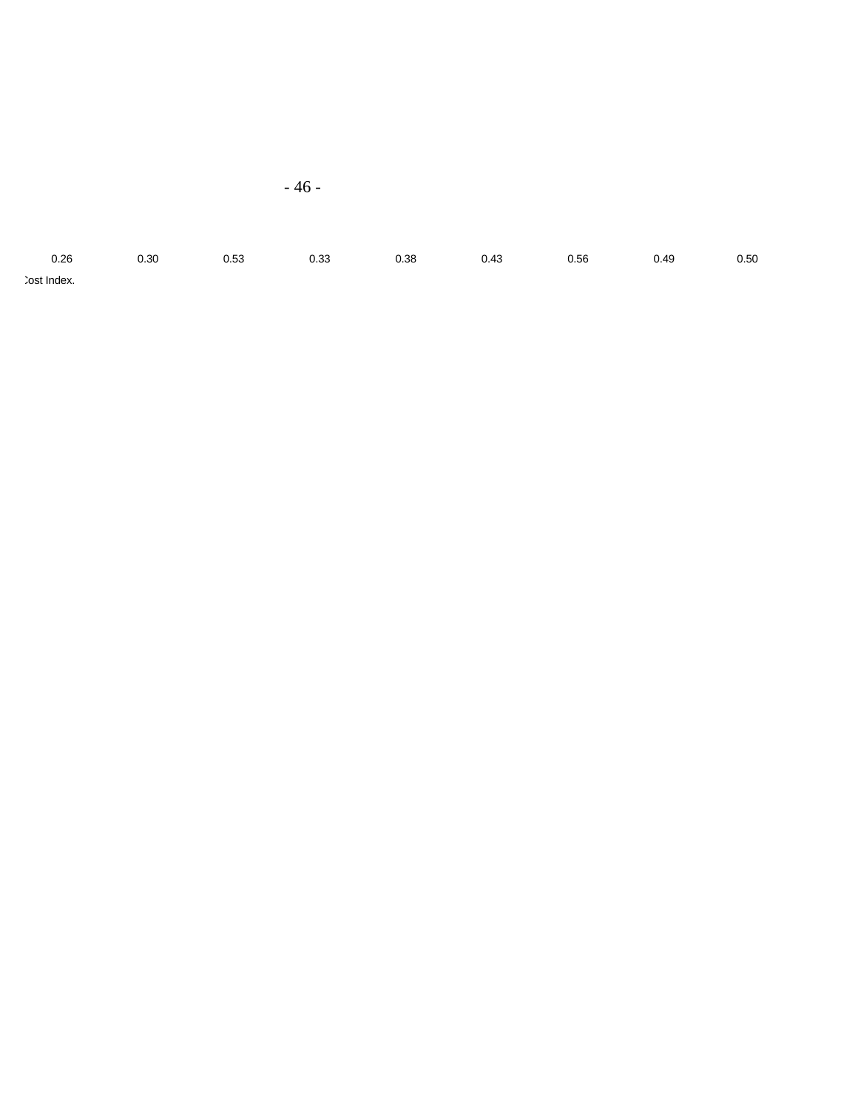| 0.26        | 0.30 | 0.53 | 0.33 | 0.38 | 0.43 | 0.56 | 0.49 | 0.50 |
|-------------|------|------|------|------|------|------|------|------|
| Cost Index. |      |      |      |      |      |      |      |      |

| ٠<br>۰.<br>× |
|--------------|
|--------------|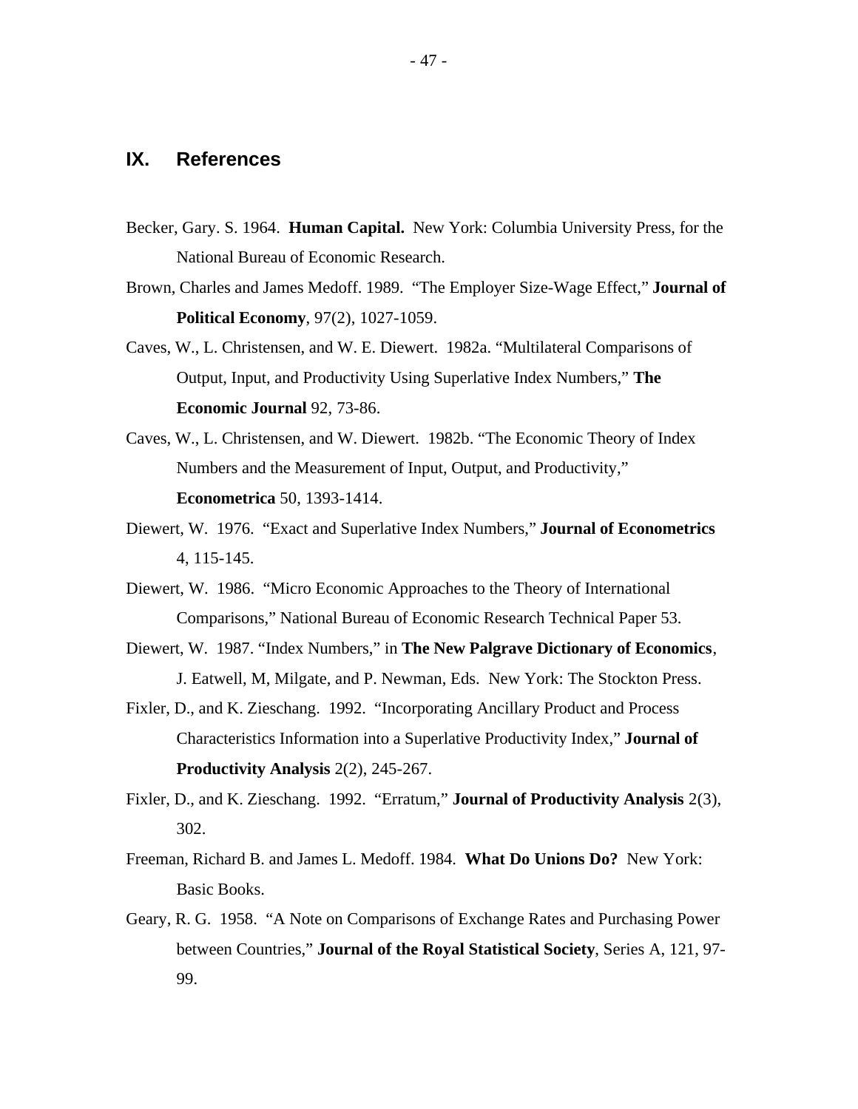# **IX. References**

- Becker, Gary. S. 1964. **Human Capital.** New York: Columbia University Press, for the National Bureau of Economic Research.
- Brown, Charles and James Medoff. 1989. "The Employer Size-Wage Effect," **Journal of Political Economy**, 97(2), 1027-1059.
- Caves, W., L. Christensen, and W. E. Diewert. 1982a. "Multilateral Comparisons of Output, Input, and Productivity Using Superlative Index Numbers," **The Economic Journal** 92, 73-86.
- Caves, W., L. Christensen, and W. Diewert. 1982b. "The Economic Theory of Index Numbers and the Measurement of Input, Output, and Productivity," **Econometrica** 50, 1393-1414.
- Diewert, W. 1976. "Exact and Superlative Index Numbers," **Journal of Econometrics** 4, 115-145.
- Diewert, W. 1986. "Micro Economic Approaches to the Theory of International Comparisons," National Bureau of Economic Research Technical Paper 53.
- Diewert, W. 1987. "Index Numbers," in **The New Palgrave Dictionary of Economics**, J. Eatwell, M, Milgate, and P. Newman, Eds. New York: The Stockton Press.
- Fixler, D., and K. Zieschang. 1992. "Incorporating Ancillary Product and Process Characteristics Information into a Superlative Productivity Index," **Journal of Productivity Analysis** 2(2), 245-267.
- Fixler, D., and K. Zieschang. 1992. "Erratum," **Journal of Productivity Analysis** 2(3), 302.
- Freeman, Richard B. and James L. Medoff. 1984. **What Do Unions Do?** New York: Basic Books.
- Geary, R. G. 1958. "A Note on Comparisons of Exchange Rates and Purchasing Power between Countries," **Journal of the Royal Statistical Society**, Series A, 121, 97- 99.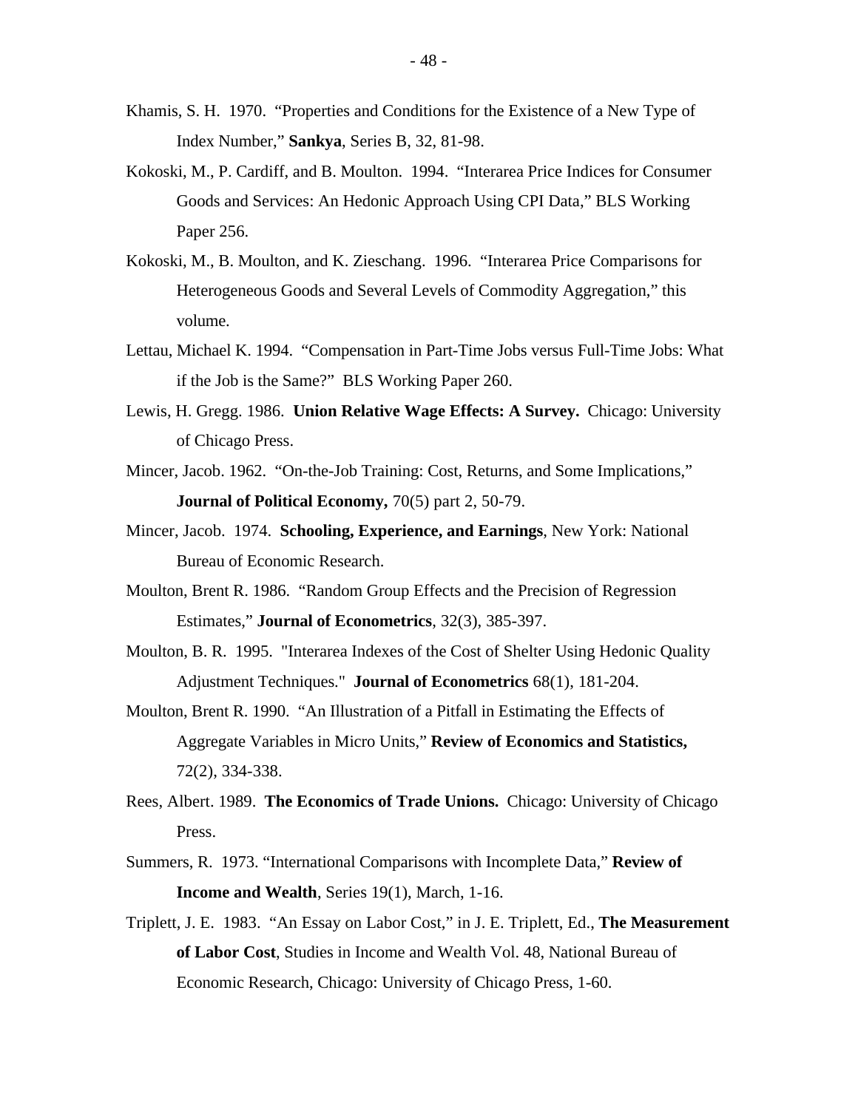- Khamis, S. H. 1970. "Properties and Conditions for the Existence of a New Type of Index Number," **Sankya**, Series B, 32, 81-98.
- Kokoski, M., P. Cardiff, and B. Moulton. 1994. "Interarea Price Indices for Consumer Goods and Services: An Hedonic Approach Using CPI Data," BLS Working Paper 256.
- Kokoski, M., B. Moulton, and K. Zieschang. 1996. "Interarea Price Comparisons for Heterogeneous Goods and Several Levels of Commodity Aggregation," this volume.
- Lettau, Michael K. 1994. "Compensation in Part-Time Jobs versus Full-Time Jobs: What if the Job is the Same?" BLS Working Paper 260.
- Lewis, H. Gregg. 1986. **Union Relative Wage Effects: A Survey.** Chicago: University of Chicago Press.
- Mincer, Jacob. 1962. "On-the-Job Training: Cost, Returns, and Some Implications," **Journal of Political Economy,** 70(5) part 2, 50-79.
- Mincer, Jacob. 1974. **Schooling, Experience, and Earnings**, New York: National Bureau of Economic Research.
- Moulton, Brent R. 1986. "Random Group Effects and the Precision of Regression Estimates," **Journal of Econometrics**, 32(3), 385-397.
- Moulton, B. R. 1995. "Interarea Indexes of the Cost of Shelter Using Hedonic Quality Adjustment Techniques." **Journal of Econometrics** 68(1), 181-204.
- Moulton, Brent R. 1990. "An Illustration of a Pitfall in Estimating the Effects of Aggregate Variables in Micro Units," **Review of Economics and Statistics,** 72(2), 334-338.
- Rees, Albert. 1989. **The Economics of Trade Unions.** Chicago: University of Chicago Press.
- Summers, R. 1973. "International Comparisons with Incomplete Data," **Review of Income and Wealth**, Series 19(1), March, 1-16.
- Triplett, J. E. 1983. "An Essay on Labor Cost," in J. E. Triplett, Ed., **The Measurement of Labor Cost**, Studies in Income and Wealth Vol. 48, National Bureau of Economic Research, Chicago: University of Chicago Press, 1-60.